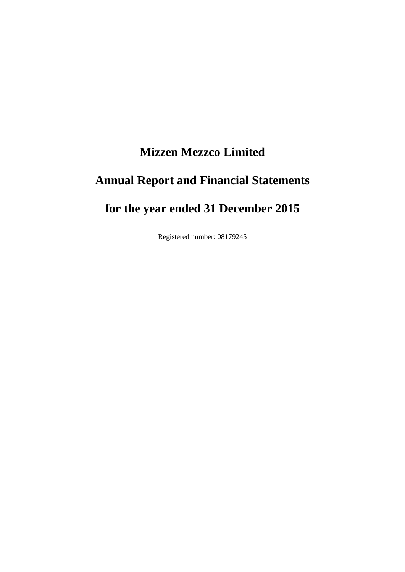# **Mizzen Mezzco Limited Annual Report and Financial Statements for the year ended 31 December 2015**

Registered number: 08179245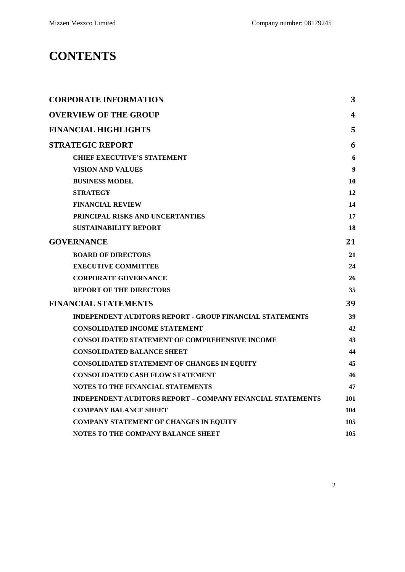# **CONTENTS**

| <b>CORPORATE INFORMATION</b>                                      | 3                |
|-------------------------------------------------------------------|------------------|
| <b>OVERVIEW OF THE GROUP</b>                                      | 4                |
| <b>FINANCIAL HIGHLIGHTS</b>                                       | 5                |
| <b>STRATEGIC REPORT</b>                                           | 6                |
| <b>CHIEF EXECUTIVE'S STATEMENT</b>                                | 6                |
| <b>VISION AND VALUES</b>                                          | $\boldsymbol{9}$ |
| <b>BUSINESS MODEL</b>                                             | 10               |
| <b>STRATEGY</b>                                                   | 12               |
| <b>FINANCIAL REVIEW</b>                                           | 14               |
| PRINCIPAL RISKS AND UNCERTANTIES                                  | 17               |
| <b>SUSTAINABILITY REPORT</b>                                      | 18               |
| <b>GOVERNANCE</b>                                                 | 21               |
| <b>BOARD OF DIRECTORS</b>                                         | 21               |
| <b>EXECUTIVE COMMITTEE</b>                                        | 24               |
| <b>CORPORATE GOVERNANCE</b>                                       | 26               |
| <b>REPORT OF THE DIRECTORS</b>                                    | 35               |
| <b>FINANCIAL STATEMENTS</b>                                       | 39               |
| <b>INDEPENDENT AUDITORS REPORT - GROUP FINANCIAL STATEMENTS</b>   | 39               |
| <b>CONSOLIDATED INCOME STATEMENT</b>                              | 42               |
| <b>CONSOLIDATED STATEMENT OF COMPREHENSIVE INCOME</b>             | 43               |
| <b>CONSOLIDATED BALANCE SHEET</b>                                 | 44               |
| <b>CONSOLIDATED STATEMENT OF CHANGES IN EQUITY</b>                | 45               |
| <b>CONSOLIDATED CASH FLOW STATEMENT</b>                           | 46               |
| <b>NOTES TO THE FINANCIAL STATEMENTS</b>                          | 47               |
| <b>INDEPENDENT AUDITORS REPORT – COMPANY FINANCIAL STATEMENTS</b> | 101              |
| <b>COMPANY BALANCE SHEET</b>                                      | 104              |
| <b>COMPANY STATEMENT OF CHANGES IN EQUITY</b>                     | 105              |
| NOTES TO THE COMPANY BALANCE SHEET                                | 105              |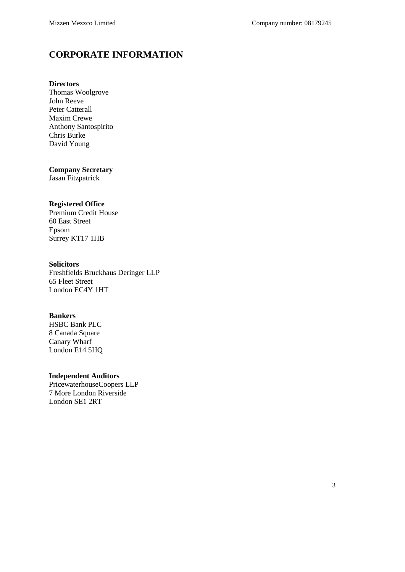### <span id="page-2-0"></span>**CORPORATE INFORMATION**

#### **Directors**

Thomas Woolgrove John Reeve Peter Catterall Maxim Crewe Anthony Santospirito Chris Burke David Young

#### **Company Secretary**

Jasan Fitzpatrick

#### **Registered Office**

Premium Credit House 60 East Street Epsom Surrey KT17 1HB

#### **Solicitors**

Freshfields Bruckhaus Deringer LLP 65 Fleet Street London EC4Y 1HT

#### **Bankers**

HSBC Bank PLC 8 Canada Square Canary Wharf London E14 5HQ

#### **Independent Auditors**

PricewaterhouseCoopers LLP 7 More London Riverside London SE1 2RT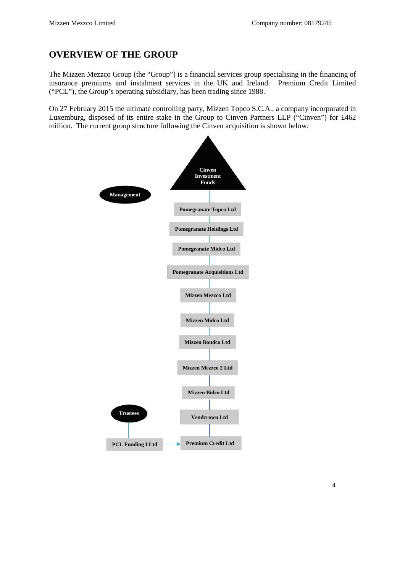### <span id="page-3-0"></span>**OVERVIEW OF THE GROUP**

The Mizzen Mezzco Group (the "Group") is a financial services group specialising in the financing of insurance premiums and instalment services in the UK and Ireland. Premium Credit Limited ("PCL"), the Group's operating subsidiary, has been trading since 1988.

On 27 February 2015 the ultimate controlling party, Mizzen Topco S.C.A., a company incorporated in Luxemburg, disposed of its entire stake in the Group to Cinven Partners LLP ("Cinven") for £462 million. The current group structure following the Cinven acquisition is shown below:

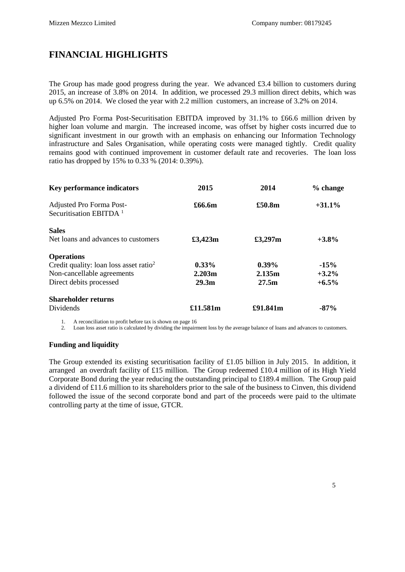### <span id="page-4-0"></span>**FINANCIAL HIGHLIGHTS**

The Group has made good progress during the year. We advanced £3.4 billion to customers during 2015, an increase of 3.8% on 2014. In addition, we processed 29.3 million direct debits, which was up 6.5% on 2014. We closed the year with 2.2 million customers, an increase of 3.2% on 2014.

Adjusted Pro Forma Post-Securitisation EBITDA improved by 31.1% to £66.6 million driven by higher loan volume and margin. The increased income, was offset by higher costs incurred due to significant investment in our growth with an emphasis on enhancing our Information Technology infrastructure and Sales Organisation, while operating costs were managed tightly. Credit quality remains good with continued improvement in customer default rate and recoveries. The loan loss ratio has dropped by 15% to 0.33 % (2014: 0.39%).

| <b>Key performance indicators</b>                  | 2015              | 2014     | % change  |
|----------------------------------------------------|-------------------|----------|-----------|
| Adjusted Pro Forma Post-                           | £66.6m            | £50.8m   | $+31.1\%$ |
| Securitisation EBITDA <sup>1</sup>                 |                   |          |           |
| <b>Sales</b>                                       |                   |          |           |
| Net loans and advances to customers                | £3,423m           | £3,297m  | $+3.8\%$  |
| <b>Operations</b>                                  |                   |          |           |
| Credit quality: loan loss asset ratio <sup>2</sup> | $0.33\%$          | $0.39\%$ | $-15%$    |
| Non-cancellable agreements                         | 2.203m            | 2.135m   | $+3.2\%$  |
| Direct debits processed                            | 29.3 <sub>m</sub> | 27.5m    | $+6.5\%$  |
| <b>Shareholder returns</b>                         |                   |          |           |
| Dividends                                          | £11.581m          | £91.841m | $-87%$    |

1. A reconciliation to profit before tax is shown on page 16

2. Loan loss asset ratio is calculated by dividing the impairment loss by the average balance of loans and advances to customers.

#### **Funding and liquidity**

The Group extended its existing securitisation facility of £1.05 billion in July 2015. In addition, it arranged an overdraft facility of £15 million. The Group redeemed £10.4 million of its High Yield Corporate Bond during the year reducing the outstanding principal to £189.4 million. The Group paid a dividend of £11.6 million to its shareholders prior to the sale of the business to Cinven, this dividend followed the issue of the second corporate bond and part of the proceeds were paid to the ultimate controlling party at the time of issue, GTCR.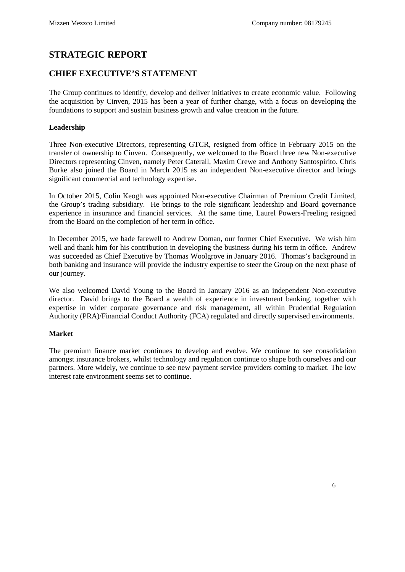### <span id="page-5-0"></span>**STRATEGIC REPORT**

### <span id="page-5-1"></span>**CHIEF EXECUTIVE'S STATEMENT**

The Group continues to identify, develop and deliver initiatives to create economic value. Following the acquisition by Cinven, 2015 has been a year of further change, with a focus on developing the foundations to support and sustain business growth and value creation in the future.

#### **Leadership**

Three Non-executive Directors, representing GTCR, resigned from office in February 2015 on the transfer of ownership to Cinven. Consequently, we welcomed to the Board three new Non-executive Directors representing Cinven, namely Peter Caterall, Maxim Crewe and Anthony Santospirito. Chris Burke also joined the Board in March 2015 as an independent Non-executive director and brings significant commercial and technology expertise.

In October 2015, Colin Keogh was appointed Non-executive Chairman of Premium Credit Limited, the Group's trading subsidiary. He brings to the role significant leadership and Board governance experience in insurance and financial services. At the same time, Laurel Powers-Freeling resigned from the Board on the completion of her term in office.

In December 2015, we bade farewell to Andrew Doman, our former Chief Executive. We wish him well and thank him for his contribution in developing the business during his term in office. Andrew was succeeded as Chief Executive by Thomas Woolgrove in January 2016. Thomas's background in both banking and insurance will provide the industry expertise to steer the Group on the next phase of our journey.

We also welcomed David Young to the Board in January 2016 as an independent Non-executive director. David brings to the Board a wealth of experience in investment banking, together with expertise in wider corporate governance and risk management, all within Prudential Regulation Authority (PRA)/Financial Conduct Authority (FCA) regulated and directly supervised environments.

#### **Market**

The premium finance market continues to develop and evolve. We continue to see consolidation amongst insurance brokers, whilst technology and regulation continue to shape both ourselves and our partners. More widely, we continue to see new payment service providers coming to market. The low interest rate environment seems set to continue.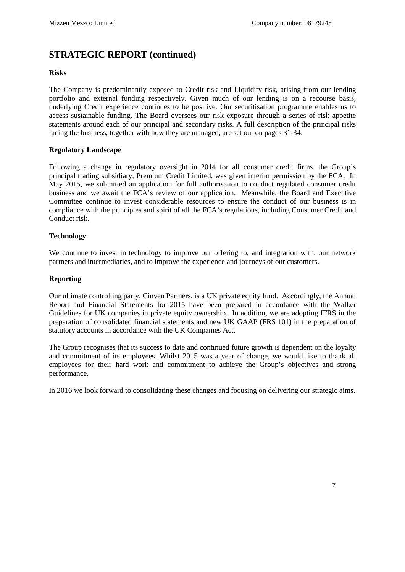#### **Risks**

The Company is predominantly exposed to Credit risk and Liquidity risk, arising from our lending portfolio and external funding respectively. Given much of our lending is on a recourse basis, underlying Credit experience continues to be positive. Our securitisation programme enables us to access sustainable funding. The Board oversees our risk exposure through a series of risk appetite statements around each of our principal and secondary risks. A full description of the principal risks facing the business, together with how they are managed, are set out on pages 31-34.

#### **Regulatory Landscape**

Following a change in regulatory oversight in 2014 for all consumer credit firms, the Group's principal trading subsidiary, Premium Credit Limited, was given interim permission by the FCA. In May 2015, we submitted an application for full authorisation to conduct regulated consumer credit business and we await the FCA's review of our application. Meanwhile, the Board and Executive Committee continue to invest considerable resources to ensure the conduct of our business is in compliance with the principles and spirit of all the FCA's regulations, including Consumer Credit and Conduct risk.

#### **Technology**

We continue to invest in technology to improve our offering to, and integration with, our network partners and intermediaries, and to improve the experience and journeys of our customers.

#### **Reporting**

Our ultimate controlling party, Cinven Partners, is a UK private equity fund. Accordingly, the Annual Report and Financial Statements for 2015 have been prepared in accordance with the Walker Guidelines for UK companies in private equity ownership. In addition, we are adopting IFRS in the preparation of consolidated financial statements and new UK GAAP (FRS 101) in the preparation of statutory accounts in accordance with the UK Companies Act.

The Group recognises that its success to date and continued future growth is dependent on the loyalty and commitment of its employees. Whilst 2015 was a year of change, we would like to thank all employees for their hard work and commitment to achieve the Group's objectives and strong performance.

In 2016 we look forward to consolidating these changes and focusing on delivering our strategic aims.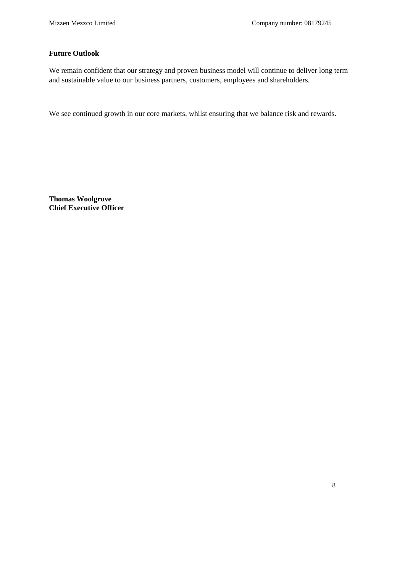#### **Future Outlook**

We remain confident that our strategy and proven business model will continue to deliver long term and sustainable value to our business partners, customers, employees and shareholders.

We see continued growth in our core markets, whilst ensuring that we balance risk and rewards.

**Thomas Woolgrove Chief Executive Officer**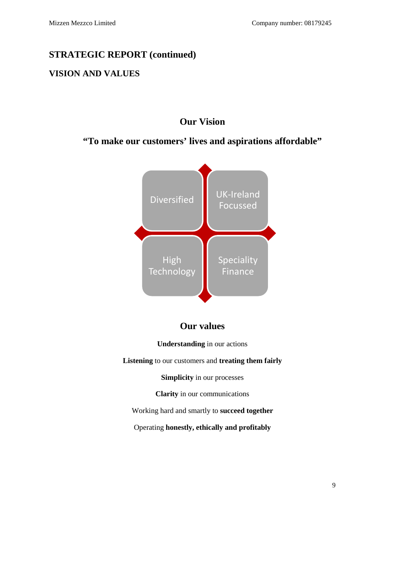### <span id="page-8-0"></span>**VISION AND VALUES**

### **Our Vision**

### **"To make our customers' lives and aspirations affordable"**



### **Our values**

**Understanding** in our actions

**Listening** to our customers and **treating them fairly**

**Simplicity** in our processes

**Clarity** in our communications

Working hard and smartly to **succeed together**

Operating **honestly, ethically and profitably**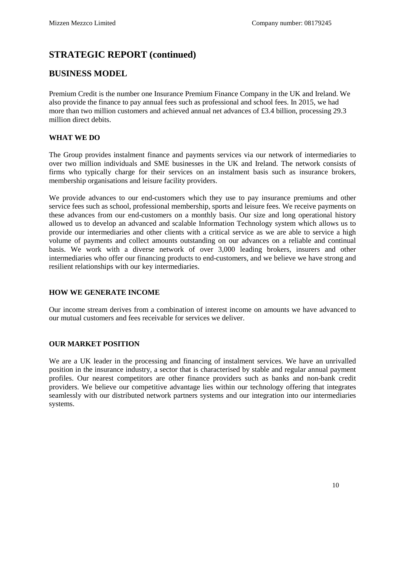#### <span id="page-9-0"></span>**BUSINESS MODEL**

Premium Credit is the number one Insurance Premium Finance Company in the UK and Ireland. We also provide the finance to pay annual fees such as professional and school fees. In 2015, we had more than two million customers and achieved annual net advances of £3.4 billion, processing 29.3 million direct debits.

#### **WHAT WE DO**

The Group provides instalment finance and payments services via our network of intermediaries to over two million individuals and SME businesses in the UK and Ireland. The network consists of firms who typically charge for their services on an instalment basis such as insurance brokers, membership organisations and leisure facility providers.

We provide advances to our end-customers which they use to pay insurance premiums and other service fees such as school, professional membership, sports and leisure fees. We receive payments on these advances from our end-customers on a monthly basis. Our size and long operational history allowed us to develop an advanced and scalable Information Technology system which allows us to provide our intermediaries and other clients with a critical service as we are able to service a high volume of payments and collect amounts outstanding on our advances on a reliable and continual basis. We work with a diverse network of over 3,000 leading brokers, insurers and other intermediaries who offer our financing products to end-customers, and we believe we have strong and resilient relationships with our key intermediaries.

#### **HOW WE GENERATE INCOME**

Our income stream derives from a combination of interest income on amounts we have advanced to our mutual customers and fees receivable for services we deliver.

#### **OUR MARKET POSITION**

We are a UK leader in the processing and financing of instalment services. We have an unrivalled position in the insurance industry, a sector that is characterised by stable and regular annual payment profiles. Our nearest competitors are other finance providers such as banks and non-bank credit providers. We believe our competitive advantage lies within our technology offering that integrates seamlessly with our distributed network partners systems and our integration into our intermediaries systems.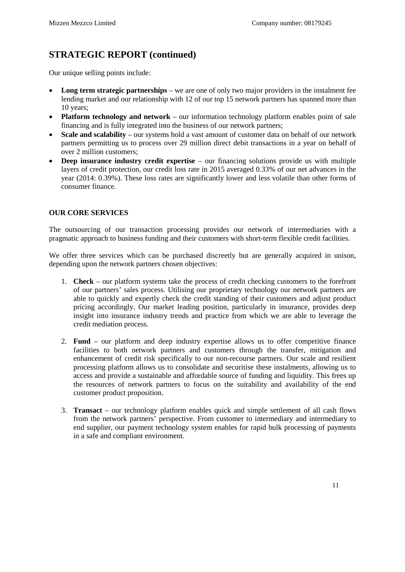Our unique selling points include:

- **Long term strategic partnerships** we are one of only two major providers in the instalment fee lending market and our relationship with 12 of our top 15 network partners has spanned more than 10 years;
- **Platform technology and network** our information technology platform enables point of sale financing and is fully integrated into the business of our network partners;
- **Scale and scalability** our systems hold a vast amount of customer data on behalf of our network partners permitting us to process over 29 million direct debit transactions in a year on behalf of over 2 million customers;
- **Deep insurance industry credit expertise** our financing solutions provide us with multiple layers of credit protection, our credit loss rate in 2015 averaged 0.33% of our net advances in the year (2014: 0.39%). These loss rates are significantly lower and less volatile than other forms of consumer finance.

#### **OUR CORE SERVICES**

The outsourcing of our transaction processing provides our network of intermediaries with a pragmatic approach to business funding and their customers with short-term flexible credit facilities.

We offer three services which can be purchased discreetly but are generally acquired in unison, depending upon the network partners chosen objectives:

- 1. **Check**  our platform systems take the process of credit checking customers to the forefront of our partners' sales process. Utilising our proprietary technology our network partners are able to quickly and expertly check the credit standing of their customers and adjust product pricing accordingly. Our market leading position, particularly in insurance, provides deep insight into insurance industry trends and practice from which we are able to leverage the credit mediation process.
- 2. **Fund** our platform and deep industry expertise allows us to offer competitive finance facilities to both network partners and customers through the transfer, mitigation and enhancement of credit risk specifically to our non-recourse partners. Our scale and resilient processing platform allows us to consolidate and securitise these instalments, allowing us to access and provide a sustainable and affordable source of funding and liquidity. This frees up the resources of network partners to focus on the suitability and availability of the end customer product proposition.
- 3. **Transact** our technology platform enables quick and simple settlement of all cash flows from the network partners' perspective. From customer to intermediary and intermediary to end supplier, our payment technology system enables for rapid bulk processing of payments in a safe and compliant environment.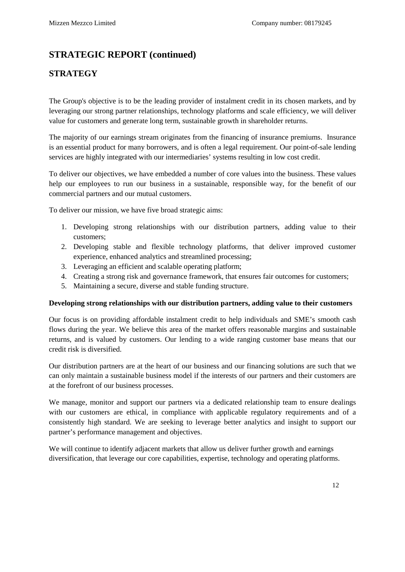### <span id="page-11-0"></span>**STRATEGY**

The Group's objective is to be the leading provider of instalment credit in its chosen markets, and by leveraging our strong partner relationships, technology platforms and scale efficiency, we will deliver value for customers and generate long term, sustainable growth in shareholder returns.

The majority of our earnings stream originates from the financing of insurance premiums. Insurance is an essential product for many borrowers, and is often a legal requirement. Our point-of-sale lending services are highly integrated with our intermediaries' systems resulting in low cost credit.

To deliver our objectives, we have embedded a number of core values into the business. These values help our employees to run our business in a sustainable, responsible way, for the benefit of our commercial partners and our mutual customers.

To deliver our mission, we have five broad strategic aims:

- 1. Developing strong relationships with our distribution partners, adding value to their customers;
- 2. Developing stable and flexible technology platforms, that deliver improved customer experience, enhanced analytics and streamlined processing;
- 3. Leveraging an efficient and scalable operating platform;
- 4. Creating a strong risk and governance framework, that ensures fair outcomes for customers;
- 5. Maintaining a secure, diverse and stable funding structure.

#### **Developing strong relationships with our distribution partners, adding value to their customers**

Our focus is on providing affordable instalment credit to help individuals and SME's smooth cash flows during the year. We believe this area of the market offers reasonable margins and sustainable returns, and is valued by customers. Our lending to a wide ranging customer base means that our credit risk is diversified.

Our distribution partners are at the heart of our business and our financing solutions are such that we can only maintain a sustainable business model if the interests of our partners and their customers are at the forefront of our business processes.

We manage, monitor and support our partners via a dedicated relationship team to ensure dealings with our customers are ethical, in compliance with applicable regulatory requirements and of a consistently high standard. We are seeking to leverage better analytics and insight to support our partner's performance management and objectives.

We will continue to identify adjacent markets that allow us deliver further growth and earnings diversification, that leverage our core capabilities, expertise, technology and operating platforms.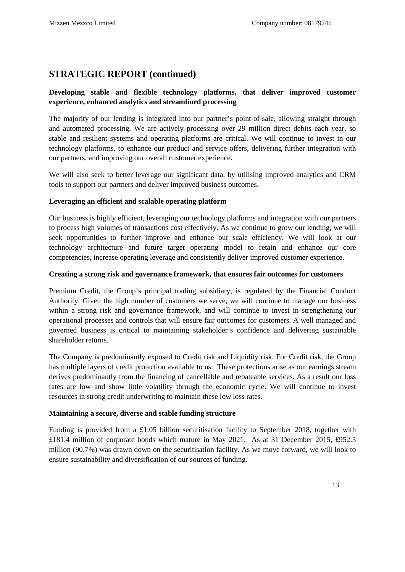#### **Developing stable and flexible technology platforms, that deliver improved customer experience, enhanced analytics and streamlined processing**

The majority of our lending is integrated into our partner's point-of-sale, allowing straight through and automated processing. We are actively processing over 29 million direct debits each year, so stable and resilient systems and operating platforms are critical. We will continue to invest in our technology platforms, to enhance our product and service offers, delivering further integration with our partners, and improving our overall customer experience.

We will also seek to better leverage our significant data, by utilising improved analytics and CRM tools to support our partners and deliver improved business outcomes.

#### **Leveraging an efficient and scalable operating platform**

Our business is highly efficient, leveraging our technology platforms and integration with our partners to process high volumes of transactions cost effectively. As we continue to grow our lending, we will seek opportunities to further improve and enhance our scale efficiency. We will look at our technology architecture and future target operating model to retain and enhance our core competencies, increase operating leverage and consistently deliver improved customer experience.

#### **Creating a strong risk and governance framework, that ensures fair outcomes for customers**

Premium Credit, the Group's principal trading subsidiary, is regulated by the Financial Conduct Authority. Given the high number of customers we serve, we will continue to manage our business within a strong risk and governance framework, and will continue to invest in strengthening our operational processes and controls that will ensure fair outcomes for customers. A well managed and governed business is critical to maintaining stakeholder's confidence and delivering sustainable shareholder returns.

The Company is predominantly exposed to Credit risk and Liquidity risk. For Credit risk, the Group has multiple layers of credit protection available to us. These protections arise as our earnings stream derives predominantly from the financing of cancellable and rebateable services. As a result our loss rates are low and show little volatility through the economic cycle. We will continue to invest resources in strong credit underwriting to maintain these low loss rates.

#### **Maintaining a secure, diverse and stable funding structure**

Funding is provided from a £1.05 billion securitisation facility to September 2018, together with £181.4 million of corporate bonds which mature in May 2021. As at 31 December 2015, £952.5 million (90.7%) was drawn down on the securitisation facility. As we move forward, we will look to ensure sustainability and diversification of our sources of funding.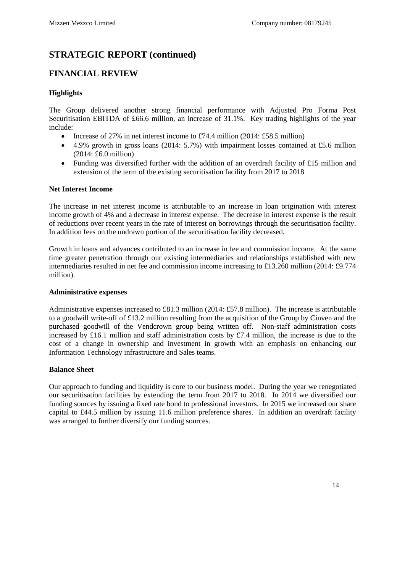#### <span id="page-13-0"></span>**FINANCIAL REVIEW**

#### **Highlights**

The Group delivered another strong financial performance with Adjusted Pro Forma Post Securitisation EBITDA of £66.6 million, an increase of 31.1%. Key trading highlights of the year include:

- Increase of 27% in net interest income to £74.4 million (2014: £58.5 million)
- 4.9% growth in gross loans (2014: 5.7%) with impairment losses contained at £5.6 million (2014: £6.0 million)
- Funding was diversified further with the addition of an overdraft facility of £15 million and extension of the term of the existing securitisation facility from 2017 to 2018

#### **Net Interest Income**

The increase in net interest income is attributable to an increase in loan origination with interest income growth of 4% and a decrease in interest expense. The decrease in interest expense is the result of reductions over recent years in the rate of interest on borrowings through the securitisation facility. In addition fees on the undrawn portion of the securitisation facility decreased.

Growth in loans and advances contributed to an increase in fee and commission income. At the same time greater penetration through our existing intermediaries and relationships established with new intermediaries resulted in net fee and commission income increasing to £13.260 million (2014: £9.774 million).

#### **Administrative expenses**

Administrative expenses increased to £81.3 million (2014: £57.8 million). The increase is attributable to a goodwill write-off of £13.2 million resulting from the acquisition of the Group by Cinven and the purchased goodwill of the Vendcrown group being written off. Non-staff administration costs increased by £16.1 million and staff administration costs by £7.4 million, the increase is due to the cost of a change in ownership and investment in growth with an emphasis on enhancing our Information Technology infrastructure and Sales teams.

#### **Balance Sheet**

Our approach to funding and liquidity is core to our business model. During the year we renegotiated our securitisation facilities by extending the term from 2017 to 2018. In 2014 we diversified our funding sources by issuing a fixed rate bond to professional investors. In 2015 we increased our share capital to £44.5 million by issuing 11.6 million preference shares. In addition an overdraft facility was arranged to further diversify our funding sources.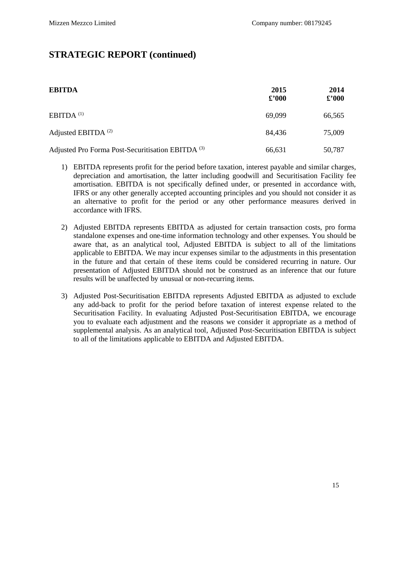| <b>EBITDA</b>                                                | 2015<br>$\pounds$ '000 | 2014<br>$\pounds$ '000 |
|--------------------------------------------------------------|------------------------|------------------------|
| EBITDA $(1)$                                                 | 69,099                 | 66,565                 |
| Adjusted EBITDA $^{(2)}$                                     | 84,436                 | 75,009                 |
| Adjusted Pro Forma Post-Securitisation EBITDA <sup>(3)</sup> | 66,631                 | 50,787                 |

- 1) EBITDA represents profit for the period before taxation, interest payable and similar charges, depreciation and amortisation, the latter including goodwill and Securitisation Facility fee amortisation. EBITDA is not specifically defined under, or presented in accordance with, IFRS or any other generally accepted accounting principles and you should not consider it as an alternative to profit for the period or any other performance measures derived in accordance with IFRS.
- 2) Adjusted EBITDA represents EBITDA as adjusted for certain transaction costs, pro forma standalone expenses and one-time information technology and other expenses. You should be aware that, as an analytical tool, Adjusted EBITDA is subject to all of the limitations applicable to EBITDA. We may incur expenses similar to the adjustments in this presentation in the future and that certain of these items could be considered recurring in nature. Our presentation of Adjusted EBITDA should not be construed as an inference that our future results will be unaffected by unusual or non-recurring items.
- 3) Adjusted Post-Securitisation EBITDA represents Adjusted EBITDA as adjusted to exclude any add-back to profit for the period before taxation of interest expense related to the Securitisation Facility. In evaluating Adjusted Post-Securitisation EBITDA, we encourage you to evaluate each adjustment and the reasons we consider it appropriate as a method of supplemental analysis. As an analytical tool, Adjusted Post-Securitisation EBITDA is subject to all of the limitations applicable to EBITDA and Adjusted EBITDA.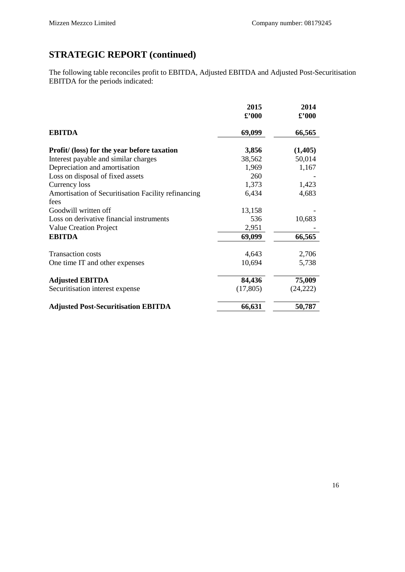The following table reconciles profit to EBITDA, Adjusted EBITDA and Adjusted Post-Securitisation EBITDA for the periods indicated:

|                                                     | 2015<br>$\pounds$ '000 | 2014<br>$\pmb{\pounds}^{\pmb{\cdot}} 000$ |
|-----------------------------------------------------|------------------------|-------------------------------------------|
| <b>EBITDA</b>                                       | 69,099                 | 66,565                                    |
| Profit/ (loss) for the year before taxation         | 3,856                  | (1, 405)                                  |
| Interest payable and similar charges                | 38,562                 | 50,014                                    |
| Depreciation and amortisation                       | 1,969                  | 1,167                                     |
| Loss on disposal of fixed assets                    | 260                    |                                           |
| Currency loss                                       | 1,373                  | 1,423                                     |
| Amortisation of Securitisation Facility refinancing | 6,434                  | 4,683                                     |
| fees                                                |                        |                                           |
| Goodwill written off                                | 13,158                 |                                           |
| Loss on derivative financial instruments            | 536                    | 10,683                                    |
| <b>Value Creation Project</b>                       | 2,951                  |                                           |
| <b>EBITDA</b>                                       | 69,099                 | 66,565                                    |
| <b>Transaction costs</b>                            | 4,643                  | 2,706                                     |
| One time IT and other expenses                      | 10,694                 | 5,738                                     |
| <b>Adjusted EBITDA</b>                              | 84,436                 | 75,009                                    |
| Securitisation interest expense                     | (17, 805)              | (24, 222)                                 |
| <b>Adjusted Post-Securitisation EBITDA</b>          | 66,631                 | 50,787                                    |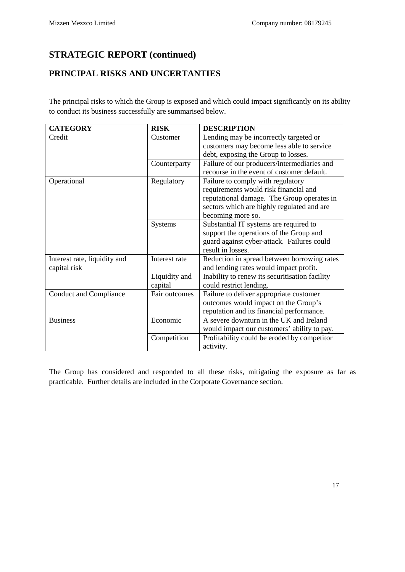### <span id="page-16-0"></span>**PRINCIPAL RISKS AND UNCERTANTIES**

The principal risks to which the Group is exposed and which could impact significantly on its ability to conduct its business successfully are summarised below.

| <b>CATEGORY</b>               | <b>RISK</b>    | <b>DESCRIPTION</b>                             |
|-------------------------------|----------------|------------------------------------------------|
| Credit                        | Customer       | Lending may be incorrectly targeted or         |
|                               |                | customers may become less able to service      |
|                               |                | debt, exposing the Group to losses.            |
|                               | Counterparty   | Failure of our producers/intermediaries and    |
|                               |                | recourse in the event of customer default.     |
| Operational                   | Regulatory     | Failure to comply with regulatory              |
|                               |                | requirements would risk financial and          |
|                               |                | reputational damage. The Group operates in     |
|                               |                | sectors which are highly regulated and are     |
|                               |                | becoming more so.                              |
|                               | <b>Systems</b> | Substantial IT systems are required to         |
|                               |                | support the operations of the Group and        |
|                               |                | guard against cyber-attack. Failures could     |
|                               |                | result in losses.                              |
| Interest rate, liquidity and  | Interest rate  | Reduction in spread between borrowing rates    |
| capital risk                  |                | and lending rates would impact profit.         |
|                               | Liquidity and  | Inability to renew its securitisation facility |
|                               | capital        | could restrict lending.                        |
| <b>Conduct and Compliance</b> | Fair outcomes  | Failure to deliver appropriate customer        |
|                               |                | outcomes would impact on the Group's           |
|                               |                | reputation and its financial performance.      |
| <b>Business</b>               | Economic       | A severe downturn in the UK and Ireland        |
|                               |                | would impact our customers' ability to pay.    |
|                               | Competition    | Profitability could be eroded by competitor    |
|                               |                | activity.                                      |

The Group has considered and responded to all these risks, mitigating the exposure as far as practicable. Further details are included in the Corporate Governance section.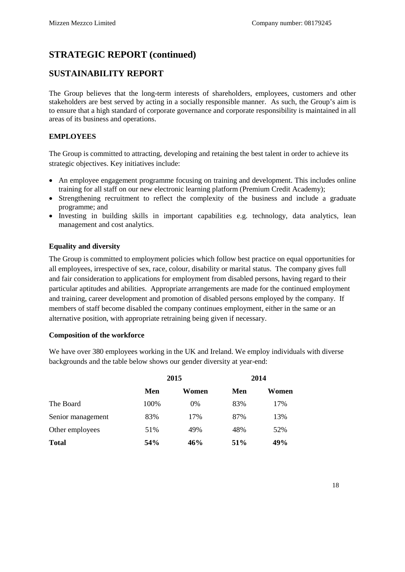### <span id="page-17-0"></span>**SUSTAINABILITY REPORT**

The Group believes that the long-term interests of shareholders, employees, customers and other stakeholders are best served by acting in a socially responsible manner. As such, the Group's aim is to ensure that a high standard of corporate governance and corporate responsibility is maintained in all areas of its business and operations.

#### **EMPLOYEES**

The Group is committed to attracting, developing and retaining the best talent in order to achieve its strategic objectives. Key initiatives include:

- An employee engagement programme focusing on training and development. This includes online training for all staff on our new electronic learning platform (Premium Credit Academy);
- Strengthening recruitment to reflect the complexity of the business and include a graduate programme; and
- Investing in building skills in important capabilities e.g. technology, data analytics, lean management and cost analytics.

#### **Equality and diversity**

The Group is committed to employment policies which follow best practice on equal opportunities for all employees, irrespective of sex, race, colour, disability or marital status. The company gives full and fair consideration to applications for employment from disabled persons, having regard to their particular aptitudes and abilities. Appropriate arrangements are made for the continued employment and training, career development and promotion of disabled persons employed by the company. If members of staff become disabled the company continues employment, either in the same or an alternative position, with appropriate retraining being given if necessary.

#### **Composition of the workforce**

We have over 380 employees working in the UK and Ireland. We employ individuals with diverse backgrounds and the table below shows our gender diversity at year-end:

|                   | 2015 |       | 2014 |       |
|-------------------|------|-------|------|-------|
|                   | Men  | Women | Men  | Women |
| The Board         | 100% | $0\%$ | 83%  | 17%   |
| Senior management | 83%  | 17%   | 87%  | 13%   |
| Other employees   | 51%  | 49%   | 48%  | 52%   |
| <b>Total</b>      | 54%  | 46%   | 51%  | 49%   |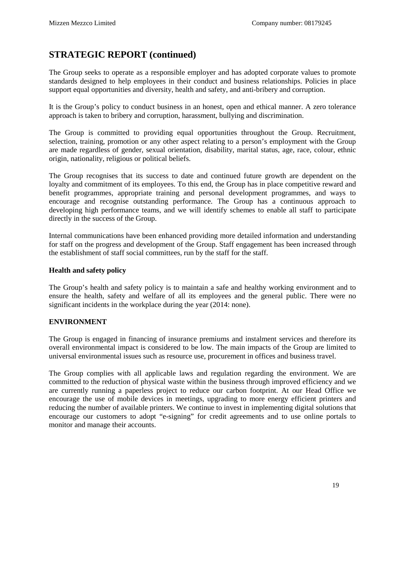The Group seeks to operate as a responsible employer and has adopted corporate values to promote standards designed to help employees in their conduct and business relationships. Policies in place support equal opportunities and diversity, health and safety, and anti-bribery and corruption.

It is the Group's policy to conduct business in an honest, open and ethical manner. A zero tolerance approach is taken to bribery and corruption, harassment, bullying and discrimination.

The Group is committed to providing equal opportunities throughout the Group. Recruitment, selection, training, promotion or any other aspect relating to a person's employment with the Group are made regardless of gender, sexual orientation, disability, marital status, age, race, colour, ethnic origin, nationality, religious or political beliefs.

The Group recognises that its success to date and continued future growth are dependent on the loyalty and commitment of its employees. To this end, the Group has in place competitive reward and benefit programmes, appropriate training and personal development programmes, and ways to encourage and recognise outstanding performance. The Group has a continuous approach to developing high performance teams, and we will identify schemes to enable all staff to participate directly in the success of the Group.

Internal communications have been enhanced providing more detailed information and understanding for staff on the progress and development of the Group. Staff engagement has been increased through the establishment of staff social committees, run by the staff for the staff.

#### **Health and safety policy**

The Group's health and safety policy is to maintain a safe and healthy working environment and to ensure the health, safety and welfare of all its employees and the general public. There were no significant incidents in the workplace during the year (2014: none).

#### **ENVIRONMENT**

The Group is engaged in financing of insurance premiums and instalment services and therefore its overall environmental impact is considered to be low. The main impacts of the Group are limited to universal environmental issues such as resource use, procurement in offices and business travel.

The Group complies with all applicable laws and regulation regarding the environment. We are committed to the reduction of physical waste within the business through improved efficiency and we are currently running a paperless project to reduce our carbon footprint. At our Head Office we encourage the use of mobile devices in meetings, upgrading to more energy efficient printers and reducing the number of available printers. We continue to invest in implementing digital solutions that encourage our customers to adopt "e-signing" for credit agreements and to use online portals to monitor and manage their accounts.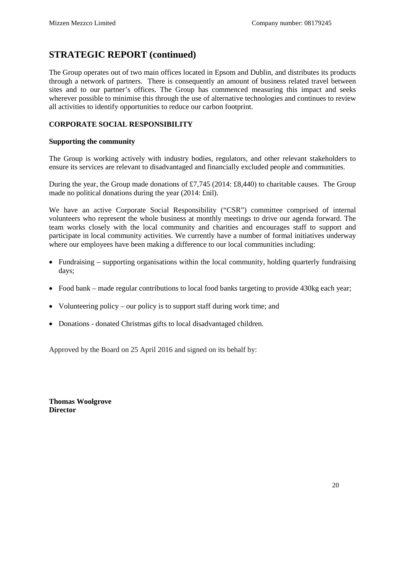The Group operates out of two main offices located in Epsom and Dublin, and distributes its products through a network of partners. There is consequently an amount of business related travel between sites and to our partner's offices. The Group has commenced measuring this impact and seeks wherever possible to minimise this through the use of alternative technologies and continues to review all activities to identify opportunities to reduce our carbon footprint.

#### **CORPORATE SOCIAL RESPONSIBILITY**

#### **Supporting the community**

The Group is working actively with industry bodies, regulators, and other relevant stakeholders to ensure its services are relevant to disadvantaged and financially excluded people and communities.

During the year, the Group made donations of £7,745 (2014: £8,440) to charitable causes. The Group made no political donations during the year (2014: £nil).

We have an active Corporate Social Responsibility ("CSR") committee comprised of internal volunteers who represent the whole business at monthly meetings to drive our agenda forward. The team works closely with the local community and charities and encourages staff to support and participate in local community activities. We currently have a number of formal initiatives underway where our employees have been making a difference to our local communities including:

- Fundraising supporting organisations within the local community, holding quarterly fundraising days;
- Food bank made regular contributions to local food banks targeting to provide 430kg each year;
- Volunteering policy our policy is to support staff during work time; and
- Donations donated Christmas gifts to local disadvantaged children.

Approved by the Board on 25 April 2016 and signed on its behalf by:

**Thomas Woolgrove Director**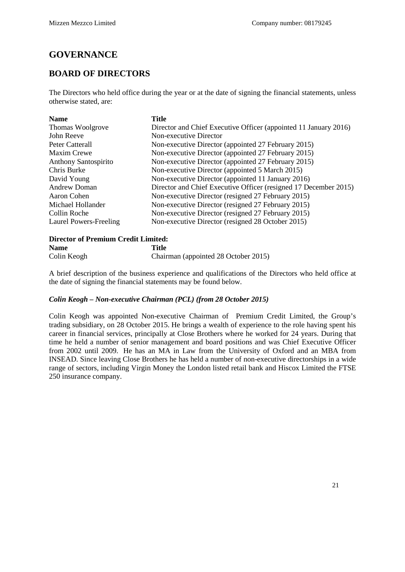### <span id="page-20-0"></span>**GOVERNANCE**

### <span id="page-20-1"></span>**BOARD OF DIRECTORS**

The Directors who held office during the year or at the date of signing the financial statements, unless otherwise stated, are:

| <b>Name</b>                 | Title                                                            |
|-----------------------------|------------------------------------------------------------------|
| Thomas Woolgrove            | Director and Chief Executive Officer (appointed 11 January 2016) |
| John Reeve                  | Non-executive Director                                           |
| Peter Catterall             | Non-executive Director (appointed 27 February 2015)              |
| Maxim Crewe                 | Non-executive Director (appointed 27 February 2015)              |
| <b>Anthony Santospirito</b> | Non-executive Director (appointed 27 February 2015)              |
| Chris Burke                 | Non-executive Director (appointed 5 March 2015)                  |
| David Young                 | Non-executive Director (appointed 11 January 2016)               |
| <b>Andrew Doman</b>         | Director and Chief Executive Officer (resigned 17 December 2015) |
| Aaron Cohen                 | Non-executive Director (resigned 27 February 2015)               |
| Michael Hollander           | Non-executive Director (resigned 27 February 2015)               |
| Collin Roche                | Non-executive Director (resigned 27 February 2015)               |
| Laurel Powers-Freeling      | Non-executive Director (resigned 28 October 2015)                |

#### **Director of Premium Credit Limited:**

| <b>Name</b> | Title                                |
|-------------|--------------------------------------|
| Colin Keogh | Chairman (appointed 28 October 2015) |

A brief description of the business experience and qualifications of the Directors who held office at the date of signing the financial statements may be found below.

#### *Colin Keogh – Non-executive Chairman (PCL) (from 28 October 2015)*

Colin Keogh was appointed Non-executive Chairman of Premium Credit Limited, the Group's trading subsidiary, on 28 October 2015. He brings a wealth of experience to the role having spent his career in financial services, principally at Close Brothers where he worked for 24 years. During that time he held a number of senior management and board positions and was Chief Executive Officer from 2002 until 2009. He has an MA in Law from the University of Oxford and an MBA from INSEAD. Since leaving Close Brothers he has held a number of non-executive directorships in a wide range of sectors, including Virgin Money the London listed retail bank and Hiscox Limited the FTSE 250 insurance company.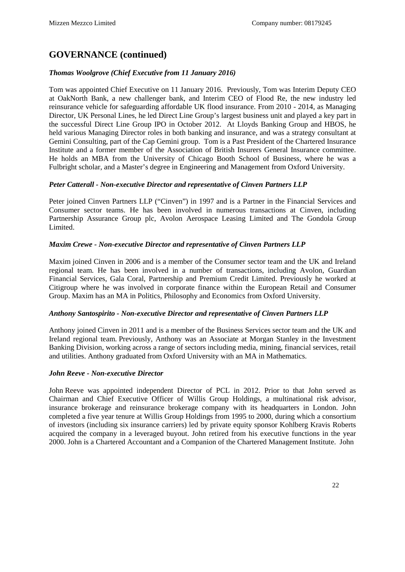#### *Thomas Woolgrove (Chief Executive from 11 January 2016)*

Tom was appointed Chief Executive on 11 January 2016. Previously, Tom was Interim Deputy CEO at OakNorth Bank, a new challenger bank, and Interim CEO of Flood Re, the new industry led reinsurance vehicle for safeguarding affordable UK flood insurance. From 2010 - 2014, as Managing Director, UK Personal Lines, he led Direct Line Group's largest business unit and played a key part in the successful Direct Line Group IPO in October 2012. At Lloyds Banking Group and HBOS, he held various Managing Director roles in both banking and insurance, and was a strategy consultant at Gemini Consulting, part of the Cap Gemini group. Tom is a Past President of the Chartered Insurance Institute and a former member of the Association of British Insurers General Insurance committee. He holds an MBA from the University of Chicago Booth School of Business, where he was a Fulbright scholar, and a Master's degree in Engineering and Management from Oxford University.

#### *Peter Catterall - Non-executive Director and representative of Cinven Partners LLP*

Peter joined Cinven Partners LLP ("Cinven") in 1997 and is a Partner in the Financial Services and Consumer sector teams. He has been involved in numerous transactions at Cinven, including Partnership Assurance Group plc, Avolon Aerospace Leasing Limited and The Gondola Group Limited.

#### *Maxim Crewe - Non-executive Director and representative of Cinven Partners LLP*

Maxim joined Cinven in 2006 and is a member of the Consumer sector team and the UK and Ireland regional team. He has been involved in a number of transactions, including Avolon, Guardian Financial Services, Gala Coral, Partnership and Premium Credit Limited. Previously he worked at Citigroup where he was involved in corporate finance within the European Retail and Consumer Group. Maxim has an MA in Politics, Philosophy and Economics from Oxford University.

#### *Anthony Santospirito - Non-executive Director and representative of Cinven Partners LLP*

Anthony joined Cinven in 2011 and is a member of the Business Services sector team and the UK and Ireland regional team. Previously, Anthony was an Associate at Morgan Stanley in the Investment Banking Division, working across a range of sectors including media, mining, financial services, retail and utilities. Anthony graduated from Oxford University with an MA in Mathematics.

#### *John Reeve - Non-executive Director*

John Reeve was appointed independent Director of PCL in 2012. Prior to that John served as Chairman and Chief Executive Officer of Willis Group Holdings, a multinational risk advisor, insurance brokerage and reinsurance brokerage company with its headquarters in London. John completed a five year tenure at Willis Group Holdings from 1995 to 2000, during which a consortium of investors (including six insurance carriers) led by private equity sponsor Kohlberg Kravis Roberts acquired the company in a leveraged buyout. John retired from his executive functions in the year 2000. John is a Chartered Accountant and a Companion of the Chartered Management Institute. John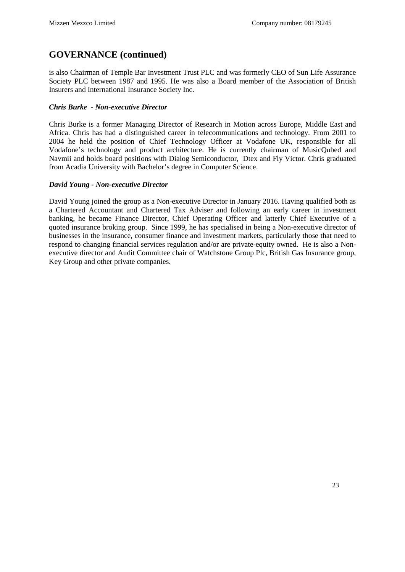is also Chairman of Temple Bar Investment Trust PLC and was formerly CEO of Sun Life Assurance Society PLC between 1987 and 1995. He was also a Board member of the Association of British Insurers and International Insurance Society Inc.

#### *Chris Burke - Non-executive Director*

Chris Burke is a former Managing Director of Research in Motion across Europe, Middle East and Africa. Chris has had a distinguished career in telecommunications and technology. From 2001 to 2004 he held the position of Chief Technology Officer at Vodafone UK, responsible for all Vodafone's technology and product architecture. He is currently chairman of MusicQubed and Navmii and holds board positions with Dialog Semiconductor, Dtex and Fly Victor. Chris graduated from Acadia University with Bachelor's degree in Computer Science.

#### *David Young - Non-executive Director*

David Young joined the group as a Non-executive Director in January 2016. Having qualified both as a Chartered Accountant and Chartered Tax Adviser and following an early career in investment banking, he became Finance Director, Chief Operating Officer and latterly Chief Executive of a quoted insurance broking group. Since 1999, he has specialised in being a Non-executive director of businesses in the insurance, consumer finance and investment markets, particularly those that need to respond to changing financial services regulation and/or are private-equity owned. He is also a Nonexecutive director and Audit Committee chair of Watchstone Group Plc, British Gas Insurance group, Key Group and other private companies.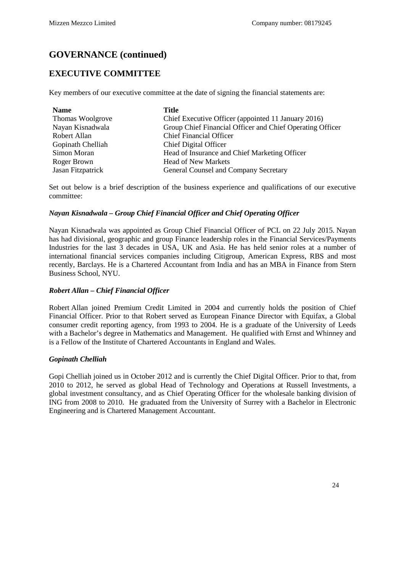### <span id="page-23-0"></span>**EXECUTIVE COMMITTEE**

Key members of our executive committee at the date of signing the financial statements are:

| <b>Name</b>       | Title                                                     |
|-------------------|-----------------------------------------------------------|
| Thomas Woolgrove  | Chief Executive Officer (appointed 11 January 2016)       |
| Nayan Kisnadwala  | Group Chief Financial Officer and Chief Operating Officer |
| Robert Allan      | <b>Chief Financial Officer</b>                            |
| Gopinath Chelliah | Chief Digital Officer                                     |
| Simon Moran       | Head of Insurance and Chief Marketing Officer             |
| Roger Brown       | <b>Head of New Markets</b>                                |
| Jasan Fitzpatrick | General Counsel and Company Secretary                     |

Set out below is a brief description of the business experience and qualifications of our executive committee:

#### *Nayan Kisnadwala – Group Chief Financial Officer and Chief Operating Officer*

Nayan Kisnadwala was appointed as Group Chief Financial Officer of PCL on 22 July 2015. Nayan has had divisional, geographic and group Finance leadership roles in the Financial Services/Payments Industries for the last 3 decades in USA, UK and Asia. He has held senior roles at a number of international financial services companies including Citigroup, American Express, RBS and most recently, Barclays. He is a Chartered Accountant from India and has an MBA in Finance from Stern Business School, NYU.

#### *Robert Allan – Chief Financial Officer*

Robert Allan joined Premium Credit Limited in 2004 and currently holds the position of Chief Financial Officer. Prior to that Robert served as European Finance Director with Equifax, a Global consumer credit reporting agency, from 1993 to 2004. He is a graduate of the University of Leeds with a Bachelor's degree in Mathematics and Management. He qualified with Ernst and Whinney and is a Fellow of the Institute of Chartered Accountants in England and Wales.

#### *Gopinath Chelliah*

Gopi Chelliah joined us in October 2012 and is currently the Chief Digital Officer. Prior to that, from 2010 to 2012, he served as global Head of Technology and Operations at Russell Investments, a global investment consultancy, and as Chief Operating Officer for the wholesale banking division of ING from 2008 to 2010. He graduated from the University of Surrey with a Bachelor in Electronic Engineering and is Chartered Management Accountant.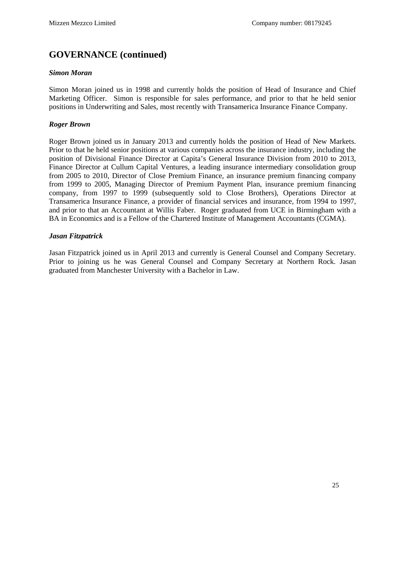#### *Simon Moran*

Simon Moran joined us in 1998 and currently holds the position of Head of Insurance and Chief Marketing Officer. Simon is responsible for sales performance, and prior to that he held senior positions in Underwriting and Sales, most recently with Transamerica Insurance Finance Company.

#### *Roger Brown*

Roger Brown joined us in January 2013 and currently holds the position of Head of New Markets. Prior to that he held senior positions at various companies across the insurance industry, including the position of Divisional Finance Director at Capita's General Insurance Division from 2010 to 2013, Finance Director at Cullum Capital Ventures, a leading insurance intermediary consolidation group from 2005 to 2010, Director of Close Premium Finance, an insurance premium financing company from 1999 to 2005, Managing Director of Premium Payment Plan, insurance premium financing company, from 1997 to 1999 (subsequently sold to Close Brothers), Operations Director at Transamerica Insurance Finance, a provider of financial services and insurance, from 1994 to 1997, and prior to that an Accountant at Willis Faber. Roger graduated from UCE in Birmingham with a BA in Economics and is a Fellow of the Chartered Institute of Management Accountants (CGMA).

#### *Jasan Fitzpatrick*

Jasan Fitzpatrick joined us in April 2013 and currently is General Counsel and Company Secretary. Prior to joining us he was General Counsel and Company Secretary at Northern Rock. Jasan graduated from Manchester University with a Bachelor in Law.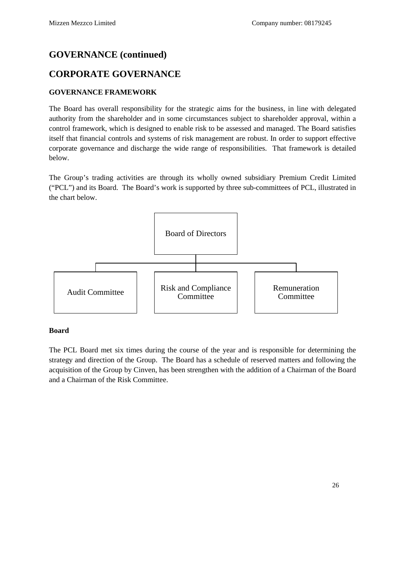### <span id="page-25-0"></span>**CORPORATE GOVERNANCE**

#### **GOVERNANCE FRAMEWORK**

The Board has overall responsibility for the strategic aims for the business, in line with delegated authority from the shareholder and in some circumstances subject to shareholder approval, within a control framework, which is designed to enable risk to be assessed and managed. The Board satisfies itself that financial controls and systems of risk management are robust. In order to support effective corporate governance and discharge the wide range of responsibilities. That framework is detailed below.

The Group's trading activities are through its wholly owned subsidiary Premium Credit Limited ("PCL") and its Board. The Board's work is supported by three sub-committees of PCL, illustrated in the chart below.



#### **Board**

The PCL Board met six times during the course of the year and is responsible for determining the strategy and direction of the Group. The Board has a schedule of reserved matters and following the acquisition of the Group by Cinven, has been strengthen with the addition of a Chairman of the Board and a Chairman of the Risk Committee.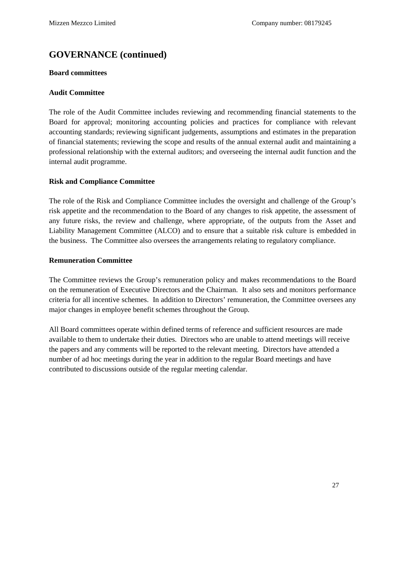#### **Board committees**

#### **Audit Committee**

The role of the Audit Committee includes reviewing and recommending financial statements to the Board for approval; monitoring accounting policies and practices for compliance with relevant accounting standards; reviewing significant judgements, assumptions and estimates in the preparation of financial statements; reviewing the scope and results of the annual external audit and maintaining a professional relationship with the external auditors; and overseeing the internal audit function and the internal audit programme.

#### **Risk and Compliance Committee**

The role of the Risk and Compliance Committee includes the oversight and challenge of the Group's risk appetite and the recommendation to the Board of any changes to risk appetite, the assessment of any future risks, the review and challenge, where appropriate, of the outputs from the Asset and Liability Management Committee (ALCO) and to ensure that a suitable risk culture is embedded in the business. The Committee also oversees the arrangements relating to regulatory compliance.

#### **Remuneration Committee**

The Committee reviews the Group's remuneration policy and makes recommendations to the Board on the remuneration of Executive Directors and the Chairman. It also sets and monitors performance criteria for all incentive schemes. In addition to Directors' remuneration, the Committee oversees any major changes in employee benefit schemes throughout the Group.

All Board committees operate within defined terms of reference and sufficient resources are made available to them to undertake their duties. Directors who are unable to attend meetings will receive the papers and any comments will be reported to the relevant meeting. Directors have attended a number of ad hoc meetings during the year in addition to the regular Board meetings and have contributed to discussions outside of the regular meeting calendar.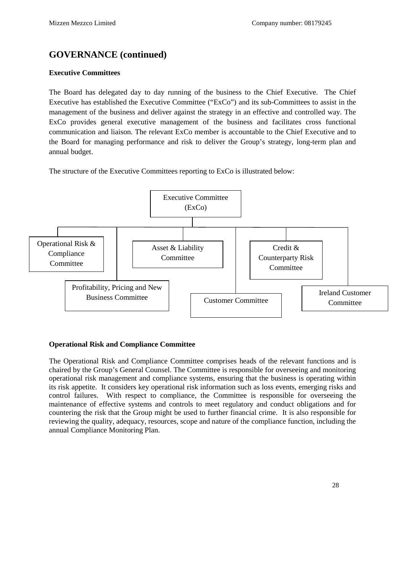#### **Executive Committees**

The Board has delegated day to day running of the business to the Chief Executive. The Chief Executive has established the Executive Committee ("ExCo") and its sub-Committees to assist in the management of the business and deliver against the strategy in an effective and controlled way. The ExCo provides general executive management of the business and facilitates cross functional communication and liaison. The relevant ExCo member is accountable to the Chief Executive and to the Board for managing performance and risk to deliver the Group's strategy, long-term plan and annual budget.

The structure of the Executive Committees reporting to ExCo is illustrated below:



#### **Operational Risk and Compliance Committee**

The Operational Risk and Compliance Committee comprises heads of the relevant functions and is chaired by the Group's General Counsel. The Committee is responsible for overseeing and monitoring operational risk management and compliance systems, ensuring that the business is operating within its risk appetite. It considers key operational risk information such as loss events, emerging risks and control failures. With respect to compliance, the Committee is responsible for overseeing the maintenance of effective systems and controls to meet regulatory and conduct obligations and for countering the risk that the Group might be used to further financial crime. It is also responsible for reviewing the quality, adequacy, resources, scope and nature of the compliance function, including the annual Compliance Monitoring Plan.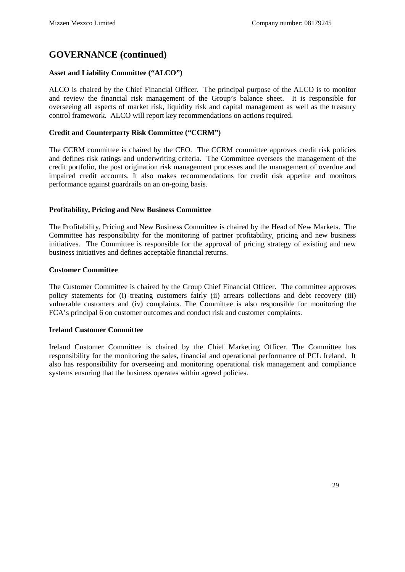#### **Asset and Liability Committee ("ALCO")**

ALCO is chaired by the Chief Financial Officer. The principal purpose of the ALCO is to monitor and review the financial risk management of the Group's balance sheet. It is responsible for overseeing all aspects of market risk, liquidity risk and capital management as well as the treasury control framework. ALCO will report key recommendations on actions required.

#### **Credit and Counterparty Risk Committee ("CCRM")**

The CCRM committee is chaired by the CEO. The CCRM committee approves credit risk policies and defines risk ratings and underwriting criteria. The Committee oversees the management of the credit portfolio, the post origination risk management processes and the management of overdue and impaired credit accounts. It also makes recommendations for credit risk appetite and monitors performance against guardrails on an on-going basis.

#### **Profitability, Pricing and New Business Committee**

The Profitability, Pricing and New Business Committee is chaired by the Head of New Markets. The Committee has responsibility for the monitoring of partner profitability, pricing and new business initiatives. The Committee is responsible for the approval of pricing strategy of existing and new business initiatives and defines acceptable financial returns.

#### **Customer Committee**

The Customer Committee is chaired by the Group Chief Financial Officer. The committee approves policy statements for (i) treating customers fairly (ii) arrears collections and debt recovery (iii) vulnerable customers and (iv) complaints. The Committee is also responsible for monitoring the FCA's principal 6 on customer outcomes and conduct risk and customer complaints.

#### **Ireland Customer Committee**

Ireland Customer Committee is chaired by the Chief Marketing Officer. The Committee has responsibility for the monitoring the sales, financial and operational performance of PCL Ireland. It also has responsibility for overseeing and monitoring operational risk management and compliance systems ensuring that the business operates within agreed policies.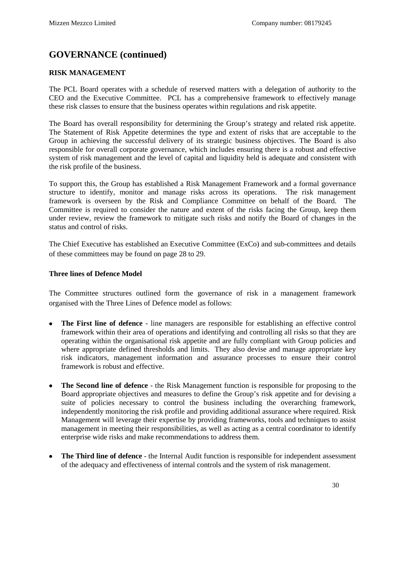#### **RISK MANAGEMENT**

The PCL Board operates with a schedule of reserved matters with a delegation of authority to the CEO and the Executive Committee. PCL has a comprehensive framework to effectively manage these risk classes to ensure that the business operates within regulations and risk appetite.

The Board has overall responsibility for determining the Group's strategy and related risk appetite. The Statement of Risk Appetite determines the type and extent of risks that are acceptable to the Group in achieving the successful delivery of its strategic business objectives. The Board is also responsible for overall corporate governance, which includes ensuring there is a robust and effective system of risk management and the level of capital and liquidity held is adequate and consistent with the risk profile of the business.

To support this, the Group has established a Risk Management Framework and a formal governance structure to identify, monitor and manage risks across its operations. The risk management framework is overseen by the Risk and Compliance Committee on behalf of the Board. The Committee is required to consider the nature and extent of the risks facing the Group, keep them under review, review the framework to mitigate such risks and notify the Board of changes in the status and control of risks.

The Chief Executive has established an Executive Committee (ExCo) and sub-committees and details of these committees may be found on page 28 to 29.

#### **Three lines of Defence Model**

The Committee structures outlined form the governance of risk in a management framework organised with the Three Lines of Defence model as follows:

- **The First line of defence**  line managers are responsible for establishing an effective control framework within their area of operations and identifying and controlling all risks so that they are operating within the organisational risk appetite and are fully compliant with Group policies and where appropriate defined thresholds and limits. They also devise and manage appropriate key risk indicators, management information and assurance processes to ensure their control framework is robust and effective.
- **The Second line of defence**  the Risk Management function is responsible for proposing to the Board appropriate objectives and measures to define the Group's risk appetite and for devising a suite of policies necessary to control the business including the overarching framework, independently monitoring the risk profile and providing additional assurance where required. Risk Management will leverage their expertise by providing frameworks, tools and techniques to assist management in meeting their responsibilities, as well as acting as a central coordinator to identify enterprise wide risks and make recommendations to address them.
- **The Third line of defence**  the Internal Audit function is responsible for independent assessment of the adequacy and effectiveness of internal controls and the system of risk management.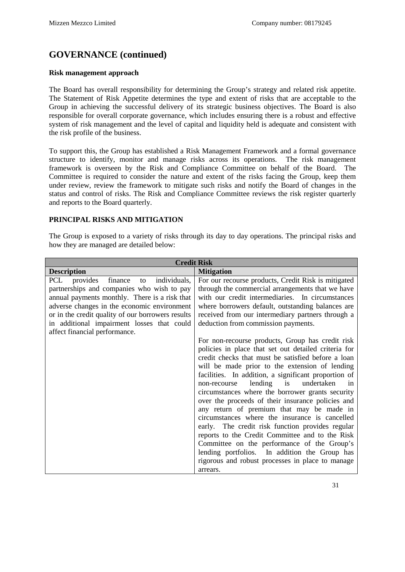#### **Risk management approach**

The Board has overall responsibility for determining the Group's strategy and related risk appetite. The Statement of Risk Appetite determines the type and extent of risks that are acceptable to the Group in achieving the successful delivery of its strategic business objectives. The Board is also responsible for overall corporate governance, which includes ensuring there is a robust and effective system of risk management and the level of capital and liquidity held is adequate and consistent with the risk profile of the business.

To support this, the Group has established a Risk Management Framework and a formal governance structure to identify, monitor and manage risks across its operations. The risk management framework is overseen by the Risk and Compliance Committee on behalf of the Board. The Committee is required to consider the nature and extent of the risks facing the Group, keep them under review, review the framework to mitigate such risks and notify the Board of changes in the status and control of risks. The Risk and Compliance Committee reviews the risk register quarterly and reports to the Board quarterly.

#### **PRINCIPAL RISKS AND MITIGATION**

The Group is exposed to a variety of risks through its day to day operations. The principal risks and how they are managed are detailed below:

| <b>Credit Risk</b>                                                                                                                                                                                                                                                                                                              |                                                                                                                                                                                                                                                                                                                                                                                                                                                                                                                                                                                                                                                                                                                                                                                                                                                                                                                                                                                                                                                                                                                           |  |
|---------------------------------------------------------------------------------------------------------------------------------------------------------------------------------------------------------------------------------------------------------------------------------------------------------------------------------|---------------------------------------------------------------------------------------------------------------------------------------------------------------------------------------------------------------------------------------------------------------------------------------------------------------------------------------------------------------------------------------------------------------------------------------------------------------------------------------------------------------------------------------------------------------------------------------------------------------------------------------------------------------------------------------------------------------------------------------------------------------------------------------------------------------------------------------------------------------------------------------------------------------------------------------------------------------------------------------------------------------------------------------------------------------------------------------------------------------------------|--|
| <b>Description</b>                                                                                                                                                                                                                                                                                                              | <b>Mitigation</b>                                                                                                                                                                                                                                                                                                                                                                                                                                                                                                                                                                                                                                                                                                                                                                                                                                                                                                                                                                                                                                                                                                         |  |
| PCL provides<br>finance<br>individuals,<br>to<br>partnerships and companies who wish to pay<br>annual payments monthly. There is a risk that<br>adverse changes in the economic environment<br>or in the credit quality of our borrowers results<br>in additional impairment losses that could<br>affect financial performance. | For our recourse products, Credit Risk is mitigated<br>through the commercial arrangements that we have<br>with our credit intermediaries. In circumstances<br>where borrowers default, outstanding balances are<br>received from our intermediary partners through a<br>deduction from commission payments.<br>For non-recourse products, Group has credit risk<br>policies in place that set out detailed criteria for<br>credit checks that must be satisfied before a loan<br>will be made prior to the extension of lending<br>facilities. In addition, a significant proportion of<br>lending is<br>undertaken<br>non-recourse<br>1n<br>circumstances where the borrower grants security<br>over the proceeds of their insurance policies and<br>any return of premium that may be made in<br>circumstances where the insurance is cancelled<br>early. The credit risk function provides regular<br>reports to the Credit Committee and to the Risk<br>Committee on the performance of the Group's<br>lending portfolios. In addition the Group has<br>rigorous and robust processes in place to manage<br>arrears. |  |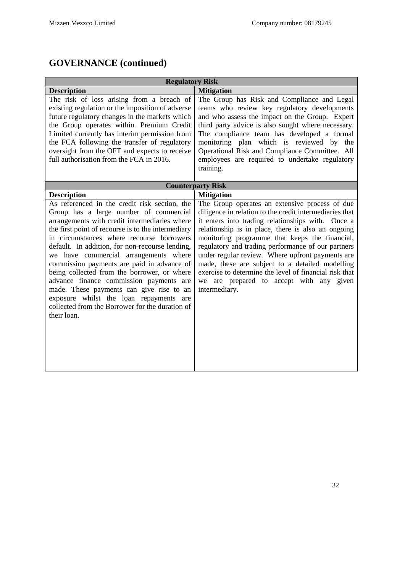| <b>Regulatory Risk</b>                                                                                                                                                                                                                                                                                                                                                                                                                                                                                                                                                                                                                                         |                                                                                                                                                                                                                                                                                                                                                                                                                                                                                                                                                                                 |  |
|----------------------------------------------------------------------------------------------------------------------------------------------------------------------------------------------------------------------------------------------------------------------------------------------------------------------------------------------------------------------------------------------------------------------------------------------------------------------------------------------------------------------------------------------------------------------------------------------------------------------------------------------------------------|---------------------------------------------------------------------------------------------------------------------------------------------------------------------------------------------------------------------------------------------------------------------------------------------------------------------------------------------------------------------------------------------------------------------------------------------------------------------------------------------------------------------------------------------------------------------------------|--|
| <b>Description</b>                                                                                                                                                                                                                                                                                                                                                                                                                                                                                                                                                                                                                                             | <b>Mitigation</b>                                                                                                                                                                                                                                                                                                                                                                                                                                                                                                                                                               |  |
| The risk of loss arising from a breach of<br>existing regulation or the imposition of adverse<br>future regulatory changes in the markets which<br>the Group operates within. Premium Credit<br>Limited currently has interim permission from<br>the FCA following the transfer of regulatory<br>oversight from the OFT and expects to receive<br>full authorisation from the FCA in 2016.                                                                                                                                                                                                                                                                     | The Group has Risk and Compliance and Legal<br>teams who review key regulatory developments<br>and who assess the impact on the Group. Expert<br>third party advice is also sought where necessary.<br>The compliance team has developed a formal<br>monitoring plan which is reviewed by the<br>Operational Risk and Compliance Committee. All<br>employees are required to undertake regulatory<br>training.                                                                                                                                                                  |  |
|                                                                                                                                                                                                                                                                                                                                                                                                                                                                                                                                                                                                                                                                | <b>Counterparty Risk</b>                                                                                                                                                                                                                                                                                                                                                                                                                                                                                                                                                        |  |
| <b>Description</b><br>As referenced in the credit risk section, the<br>Group has a large number of commercial<br>arrangements with credit intermediaries where<br>the first point of recourse is to the intermediary<br>in circumstances where recourse borrowers<br>default. In addition, for non-recourse lending,<br>we have commercial arrangements where<br>commission payments are paid in advance of<br>being collected from the borrower, or where<br>advance finance commission payments are<br>made. These payments can give rise to an<br>exposure whilst the loan repayments are<br>collected from the Borrower for the duration of<br>their loan. | <b>Mitigation</b><br>The Group operates an extensive process of due<br>diligence in relation to the credit intermediaries that<br>it enters into trading relationships with. Once a<br>relationship is in place, there is also an ongoing<br>monitoring programme that keeps the financial,<br>regulatory and trading performance of our partners<br>under regular review. Where upfront payments are<br>made, these are subject to a detailed modelling<br>exercise to determine the level of financial risk that<br>we are prepared to accept with any given<br>intermediary. |  |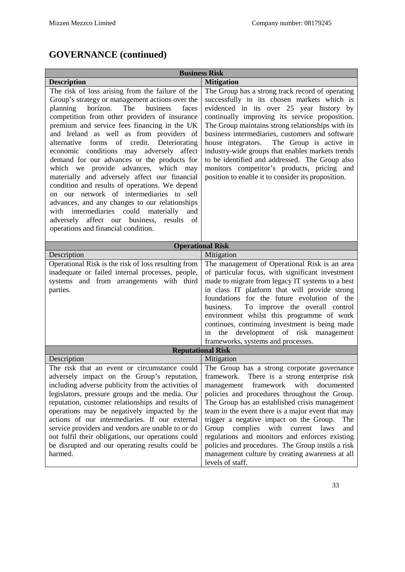| <b>Business Risk</b>                                                                                                                                                                                                                                                                                                                                                                                                                                                                                                                                                                                                                                                                                                                                                                                                                          |                                                                                                                                                                                                                                                                                                                                                                                                                                                                                                                                                                                                              |  |
|-----------------------------------------------------------------------------------------------------------------------------------------------------------------------------------------------------------------------------------------------------------------------------------------------------------------------------------------------------------------------------------------------------------------------------------------------------------------------------------------------------------------------------------------------------------------------------------------------------------------------------------------------------------------------------------------------------------------------------------------------------------------------------------------------------------------------------------------------|--------------------------------------------------------------------------------------------------------------------------------------------------------------------------------------------------------------------------------------------------------------------------------------------------------------------------------------------------------------------------------------------------------------------------------------------------------------------------------------------------------------------------------------------------------------------------------------------------------------|--|
| <b>Description</b>                                                                                                                                                                                                                                                                                                                                                                                                                                                                                                                                                                                                                                                                                                                                                                                                                            | <b>Mitigation</b>                                                                                                                                                                                                                                                                                                                                                                                                                                                                                                                                                                                            |  |
| The risk of loss arising from the failure of the<br>Group's strategy or management actions over the<br>The<br>horizon.<br>business<br>faces<br>planning<br>competition from other providers of insurance<br>premium and service fees financing in the UK<br>and Ireland as well as from providers of<br>alternative forms<br>of credit.<br>Deteriorating<br>economic conditions may adversely<br>affect<br>demand for our advances or the products for<br>which we provide advances, which may<br>materially and adversely affect our financial<br>condition and results of operations. We depend<br>on our network of intermediaries to sell<br>advances, and any changes to our relationships<br>with intermediaries could materially<br>and<br>affect our business,<br>results<br>- of<br>adversely<br>operations and financial condition. | The Group has a strong track record of operating<br>successfully in its chosen markets which is<br>evidenced in its over 25 year history by<br>continually improving its service proposition.<br>The Group maintains strong relationships with its<br>business intermediaries, customers and software<br>The Group is active in<br>house integrators.<br>industry-wide groups that enables markets trends<br>to be identified and addressed. The Group also<br>monitors competitor's products, pricing and<br>position to enable it to consider its proposition.                                             |  |
|                                                                                                                                                                                                                                                                                                                                                                                                                                                                                                                                                                                                                                                                                                                                                                                                                                               | <b>Operational Risk</b>                                                                                                                                                                                                                                                                                                                                                                                                                                                                                                                                                                                      |  |
| Description                                                                                                                                                                                                                                                                                                                                                                                                                                                                                                                                                                                                                                                                                                                                                                                                                                   | Mitigation                                                                                                                                                                                                                                                                                                                                                                                                                                                                                                                                                                                                   |  |
| Operational Risk is the risk of loss resulting from<br>inadequate or failed internal processes, people,<br>systems and from arrangements with third<br>parties.                                                                                                                                                                                                                                                                                                                                                                                                                                                                                                                                                                                                                                                                               | The management of Operational Risk is an area<br>of particular focus, with significant investment<br>made to migrate from legacy IT systems to a best<br>in class IT platform that will provide strong<br>foundations for the future evolution of the<br>To improve the overall control<br>business.<br>environment whilst this programme of work<br>continues, continuing investment is being made<br>in the development of risk management<br>frameworks, systems and processes.                                                                                                                           |  |
| <b>Reputational Risk</b>                                                                                                                                                                                                                                                                                                                                                                                                                                                                                                                                                                                                                                                                                                                                                                                                                      |                                                                                                                                                                                                                                                                                                                                                                                                                                                                                                                                                                                                              |  |
| Description<br>The risk that an event or circumstance could<br>adversely impact on the Group's reputation,<br>including adverse publicity from the activities of<br>legislators, pressure groups and the media. Our<br>reputation, customer relationships and results of<br>operations may be negatively impacted by the<br>actions of our intermediaries. If our external<br>service providers and vendors are unable to or do<br>not fulfil their obligations, our operations could<br>be disrupted and our operating results could be<br>harmed.                                                                                                                                                                                                                                                                                           | Mitigation<br>The Group has a strong corporate governance<br>framework.<br>There is a strong enterprise risk<br>framework<br>with<br>documented<br>management<br>policies and procedures throughout the Group.<br>The Group has an established crisis management<br>team in the event there is a major event that may<br>trigger a negative impact on the Group.<br>The<br>Group<br>complies<br>with<br>current<br>laws<br>and<br>regulations and monitors and enforces existing<br>policies and procedures. The Group instils a risk<br>management culture by creating awareness at all<br>levels of staff. |  |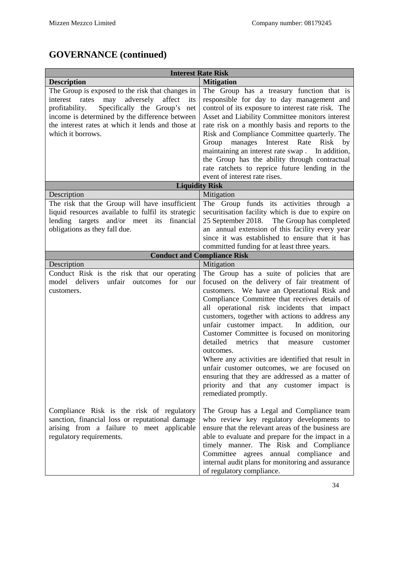| <b>Interest Rate Risk</b>                                                                                                                                                                                                                                                          |                                                                                                                                                                                                                                                                                                                                                                                                                                                                                                                                                                                                                                                                                   |  |
|------------------------------------------------------------------------------------------------------------------------------------------------------------------------------------------------------------------------------------------------------------------------------------|-----------------------------------------------------------------------------------------------------------------------------------------------------------------------------------------------------------------------------------------------------------------------------------------------------------------------------------------------------------------------------------------------------------------------------------------------------------------------------------------------------------------------------------------------------------------------------------------------------------------------------------------------------------------------------------|--|
| <b>Description</b>                                                                                                                                                                                                                                                                 | <b>Mitigation</b>                                                                                                                                                                                                                                                                                                                                                                                                                                                                                                                                                                                                                                                                 |  |
| The Group is exposed to the risk that changes in<br>may adversely<br>interest rates<br>affect<br>its<br>Specifically the Group's net<br>profitability.<br>income is determined by the difference between<br>the interest rates at which it lends and those at<br>which it borrows. | The Group has a treasury function that is<br>responsible for day to day management and<br>control of its exposure to interest rate risk. The<br>Asset and Liability Committee monitors interest<br>rate risk on a monthly basis and reports to the<br>Risk and Compliance Committee quarterly. The<br>Interest<br>Group<br>manages<br>Rate<br>Risk<br>by<br>maintaining an interest rate swap.<br>In addition,<br>the Group has the ability through contractual<br>rate ratchets to reprice future lending in the                                                                                                                                                                 |  |
|                                                                                                                                                                                                                                                                                    | event of interest rate rises.                                                                                                                                                                                                                                                                                                                                                                                                                                                                                                                                                                                                                                                     |  |
| Description                                                                                                                                                                                                                                                                        | <b>Liquidity Risk</b><br>Mitigation                                                                                                                                                                                                                                                                                                                                                                                                                                                                                                                                                                                                                                               |  |
| The risk that the Group will have insufficient<br>liquid resources available to fulfil its strategic<br>lending targets and/or meet its<br>financial<br>obligations as they fall due.                                                                                              | The Group funds its activities through a<br>securitisation facility which is due to expire on<br>25 September 2018. The Group has completed<br>an annual extension of this facility every year<br>since it was established to ensure that it has<br>committed funding for at least three years.                                                                                                                                                                                                                                                                                                                                                                                   |  |
|                                                                                                                                                                                                                                                                                    | <b>Conduct and Compliance Risk</b>                                                                                                                                                                                                                                                                                                                                                                                                                                                                                                                                                                                                                                                |  |
| Mitigation<br>Description                                                                                                                                                                                                                                                          |                                                                                                                                                                                                                                                                                                                                                                                                                                                                                                                                                                                                                                                                                   |  |
| Conduct Risk is the risk that our operating<br>model<br>delivers<br>unfair<br>for<br>outcomes<br>our<br>customers.                                                                                                                                                                 | The Group has a suite of policies that are<br>focused on the delivery of fair treatment of<br>customers. We have an Operational Risk and<br>Compliance Committee that receives details of<br>all operational risk incidents that impact<br>customers, together with actions to address any<br>unfair customer impact. In addition, our<br>Customer Committee is focused on monitoring<br>detailed<br>metrics<br>that measure<br>customer<br>outcomes.<br>Where any activities are identified that result in<br>unfair customer outcomes, we are focused on<br>ensuring that they are addressed as a matter of<br>priority and that any customer impact is<br>remediated promptly. |  |
| Compliance Risk is the risk of regulatory<br>sanction, financial loss or reputational damage<br>arising from a failure to meet applicable<br>regulatory requirements.                                                                                                              | The Group has a Legal and Compliance team<br>who review key regulatory developments to<br>ensure that the relevant areas of the business are<br>able to evaluate and prepare for the impact in a<br>timely manner. The Risk and Compliance<br>Committee agrees annual compliance and<br>internal audit plans for monitoring and assurance<br>of regulatory compliance.                                                                                                                                                                                                                                                                                                            |  |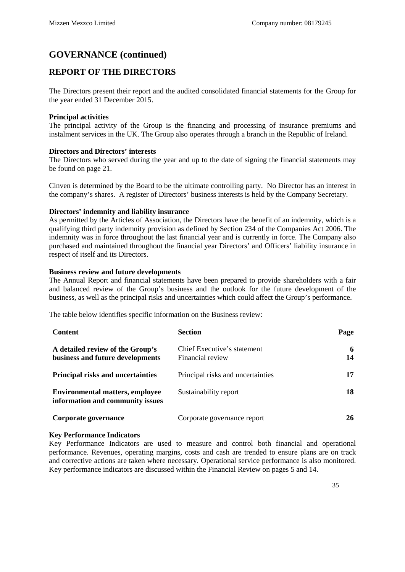### <span id="page-34-0"></span>**REPORT OF THE DIRECTORS**

The Directors present their report and the audited consolidated financial statements for the Group for the year ended 31 December 2015.

#### **Principal activities**

The principal activity of the Group is the financing and processing of insurance premiums and instalment services in the UK. The Group also operates through a branch in the Republic of Ireland.

#### **Directors and Directors' interests**

The Directors who served during the year and up to the date of signing the financial statements may be found on page 21.

Cinven is determined by the Board to be the ultimate controlling party. No Director has an interest in the company's shares.A register of Directors' business interests is held by the Company Secretary.

#### **Directors' indemnity and liability insurance**

As permitted by the Articles of Association, the Directors have the benefit of an indemnity, which is a qualifying third party indemnity provision as defined by Section 234 of the Companies Act 2006. The indemnity was in force throughout the last financial year and is currently in force. The Company also purchased and maintained throughout the financial year Directors' and Officers' liability insurance in respect of itself and its Directors.

#### **Business review and future developments**

The Annual Report and financial statements have been prepared to provide shareholders with a fair and balanced review of the Group's business and the outlook for the future development of the business, as well as the principal risks and uncertainties which could affect the Group's performance.

The table below identifies specific information on the Business review:

| <b>Content</b>                                                             | <b>Section</b>                                  | Page    |
|----------------------------------------------------------------------------|-------------------------------------------------|---------|
| A detailed review of the Group's<br>business and future developments       | Chief Executive's statement<br>Financial review | 6<br>14 |
| <b>Principal risks and uncertainties</b>                                   | Principal risks and uncertainties               | 17      |
| <b>Environmental matters, employee</b><br>information and community issues | Sustainability report                           | 18      |
| Corporate governance                                                       | Corporate governance report                     | 26      |

#### **Key Performance Indicators**

Key Performance Indicators are used to measure and control both financial and operational performance. Revenues, operating margins, costs and cash are trended to ensure plans are on track and corrective actions are taken where necessary. Operational service performance is also monitored. Key performance indicators are discussed within the Financial Review on pages 5 and 14.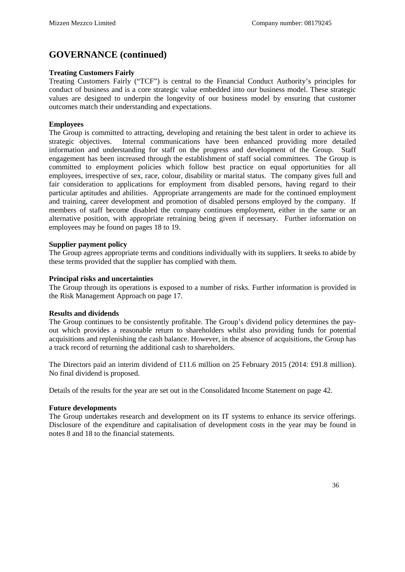#### **Treating Customers Fairly**

Treating Customers Fairly ("TCF") is central to the Financial Conduct Authority's principles for conduct of business and is a core strategic value embedded into our business model. These strategic values are designed to underpin the longevity of our business model by ensuring that customer outcomes match their understanding and expectations.

#### **Employees**

The Group is committed to attracting, developing and retaining the best talent in order to achieve its strategic objectives. Internal communications have been enhanced providing more detailed information and understanding for staff on the progress and development of the Group. Staff engagement has been increased through the establishment of staff social committees. The Group is committed to employment policies which follow best practice on equal opportunities for all employees, irrespective of sex, race, colour, disability or marital status. The company gives full and fair consideration to applications for employment from disabled persons, having regard to their particular aptitudes and abilities. Appropriate arrangements are made for the continued employment and training, career development and promotion of disabled persons employed by the company. If members of staff become disabled the company continues employment, either in the same or an alternative position, with appropriate retraining being given if necessary. Further information on employees may be found on pages 18 to 19.

#### **Supplier payment policy**

The Group agrees appropriate terms and conditions individually with its suppliers. It seeks to abide by these terms provided that the supplier has complied with them.

#### **Principal risks and uncertainties**

The Group through its operations is exposed to a number of risks. Further information is provided in the Risk Management Approach on page 17.

#### **Results and dividends**

The Group continues to be consistently profitable. The Group's dividend policy determines the payout which provides a reasonable return to shareholders whilst also providing funds for potential acquisitions and replenishing the cash balance. However, in the absence of acquisitions, the Group has a track record of returning the additional cash to shareholders.

The Directors paid an interim dividend of £11.6 million on 25 February 2015 (2014: £91.8 million). No final dividend is proposed.

Details of the results for the year are set out in the Consolidated Income Statement on page 42.

#### **Future developments**

The Group undertakes research and development on its IT systems to enhance its service offerings. Disclosure of the expenditure and capitalisation of development costs in the year may be found in notes 8 and 18 to the financial statements.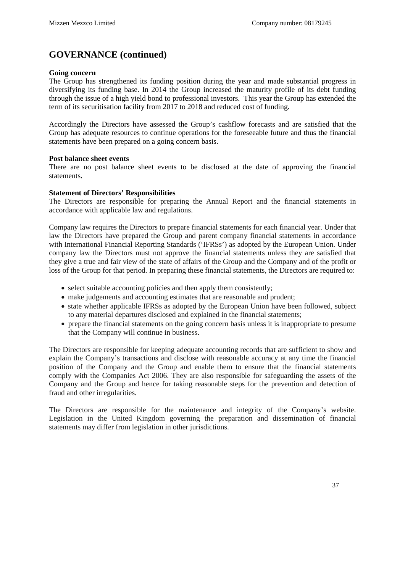### **GOVERNANCE (continued)**

#### **Going concern**

The Group has strengthened its funding position during the year and made substantial progress in diversifying its funding base. In 2014 the Group increased the maturity profile of its debt funding through the issue of a high yield bond to professional investors. This year the Group has extended the term of its securitisation facility from 2017 to 2018 and reduced cost of funding.

Accordingly the Directors have assessed the Group's cashflow forecasts and are satisfied that the Group has adequate resources to continue operations for the foreseeable future and thus the financial statements have been prepared on a going concern basis.

#### **Post balance sheet events**

There are no post balance sheet events to be disclosed at the date of approving the financial statements.

#### **Statement of Directors' Responsibilities**

The Directors are responsible for preparing the Annual Report and the financial statements in accordance with applicable law and regulations.

Company law requires the Directors to prepare financial statements for each financial year. Under that law the Directors have prepared the Group and parent company financial statements in accordance with International Financial Reporting Standards ('IFRSs') as adopted by the European Union. Under company law the Directors must not approve the financial statements unless they are satisfied that they give a true and fair view of the state of affairs of the Group and the Company and of the profit or loss of the Group for that period. In preparing these financial statements, the Directors are required to:

- select suitable accounting policies and then apply them consistently;
- make judgements and accounting estimates that are reasonable and prudent;
- state whether applicable IFRSs as adopted by the European Union have been followed, subject to any material departures disclosed and explained in the financial statements;
- prepare the financial statements on the going concern basis unless it is inappropriate to presume that the Company will continue in business.

The Directors are responsible for keeping adequate accounting records that are sufficient to show and explain the Company's transactions and disclose with reasonable accuracy at any time the financial position of the Company and the Group and enable them to ensure that the financial statements comply with the Companies Act 2006. They are also responsible for safeguarding the assets of the Company and the Group and hence for taking reasonable steps for the prevention and detection of fraud and other irregularities.

The Directors are responsible for the maintenance and integrity of the Company's website. Legislation in the United Kingdom governing the preparation and dissemination of financial statements may differ from legislation in other jurisdictions.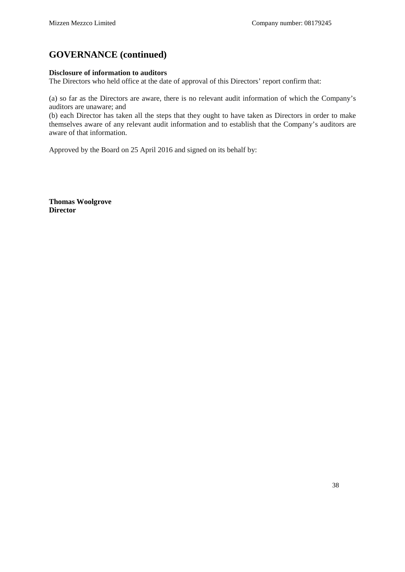### **GOVERNANCE (continued)**

#### **Disclosure of information to auditors**

The Directors who held office at the date of approval of this Directors' report confirm that:

(a) so far as the Directors are aware, there is no relevant audit information of which the Company's auditors are unaware; and

(b) each Director has taken all the steps that they ought to have taken as Directors in order to make themselves aware of any relevant audit information and to establish that the Company's auditors are aware of that information.

Approved by the Board on 25 April 2016 and signed on its behalf by:

**Thomas Woolgrove Director**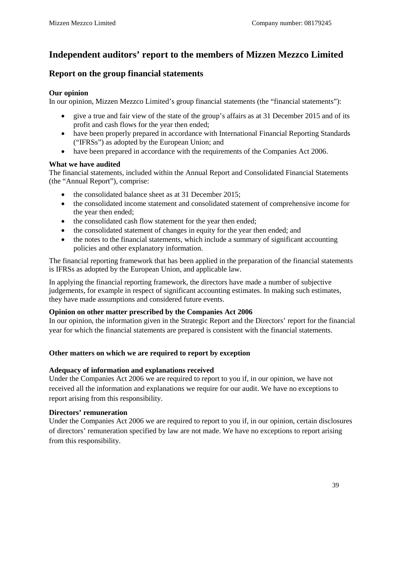## **Independent auditors' report to the members of Mizzen Mezzco Limited**

### **Report on the group financial statements**

#### **Our opinion**

In our opinion, Mizzen Mezzco Limited's group financial statements (the "financial statements"):

- give a true and fair view of the state of the group's affairs as at 31 December 2015 and of its profit and cash flows for the year then ended;
- have been properly prepared in accordance with International Financial Reporting Standards ("IFRSs") as adopted by the European Union; and
- have been prepared in accordance with the requirements of the Companies Act 2006.

#### **What we have audited**

The financial statements, included within the Annual Report and Consolidated Financial Statements (the "Annual Report"), comprise:

- the consolidated balance sheet as at 31 December 2015;
- the consolidated income statement and consolidated statement of comprehensive income for the year then ended;
- the consolidated cash flow statement for the year then ended;
- the consolidated statement of changes in equity for the year then ended; and
- the notes to the financial statements, which include a summary of significant accounting policies and other explanatory information.

The financial reporting framework that has been applied in the preparation of the financial statements is IFRSs as adopted by the European Union, and applicable law.

In applying the financial reporting framework, the directors have made a number of subjective judgements, for example in respect of significant accounting estimates. In making such estimates, they have made assumptions and considered future events.

#### **Opinion on other matter prescribed by the Companies Act 2006**

In our opinion, the information given in the Strategic Report and the Directors' report for the financial year for which the financial statements are prepared is consistent with the financial statements.

#### **Other matters on which we are required to report by exception**

#### **Adequacy of information and explanations received**

Under the Companies Act 2006 we are required to report to you if, in our opinion, we have not received all the information and explanations we require for our audit. We have no exceptions to report arising from this responsibility.

#### **Directors' remuneration**

Under the Companies Act 2006 we are required to report to you if, in our opinion, certain disclosures of directors' remuneration specified by law are not made. We have no exceptions to report arising from this responsibility.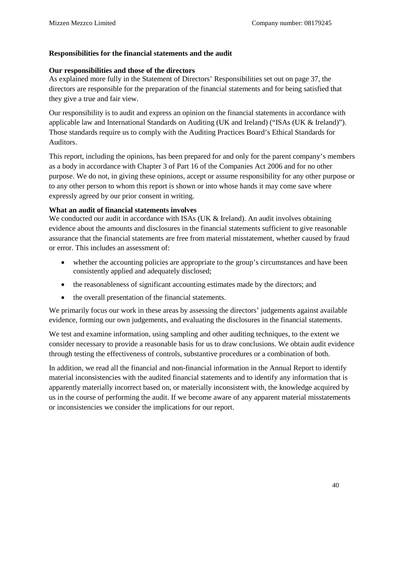#### **Responsibilities for the financial statements and the audit**

#### **Our responsibilities and those of the directors**

As explained more fully in the Statement of Directors' Responsibilities set out on page 37, the directors are responsible for the preparation of the financial statements and for being satisfied that they give a true and fair view.

Our responsibility is to audit and express an opinion on the financial statements in accordance with applicable law and International Standards on Auditing (UK and Ireland) ("ISAs (UK & Ireland)"). Those standards require us to comply with the Auditing Practices Board's Ethical Standards for Auditors.

This report, including the opinions, has been prepared for and only for the parent company's members as a body in accordance with Chapter 3 of Part 16 of the Companies Act 2006 and for no other purpose. We do not, in giving these opinions, accept or assume responsibility for any other purpose or to any other person to whom this report is shown or into whose hands it may come save where expressly agreed by our prior consent in writing.

#### **What an audit of financial statements involves**

We conducted our audit in accordance with ISAs (UK & Ireland). An audit involves obtaining evidence about the amounts and disclosures in the financial statements sufficient to give reasonable assurance that the financial statements are free from material misstatement, whether caused by fraud or error. This includes an assessment of:

- whether the accounting policies are appropriate to the group's circumstances and have been consistently applied and adequately disclosed;
- the reasonableness of significant accounting estimates made by the directors; and
- the overall presentation of the financial statements.

We primarily focus our work in these areas by assessing the directors' judgements against available evidence, forming our own judgements, and evaluating the disclosures in the financial statements.

We test and examine information, using sampling and other auditing techniques, to the extent we consider necessary to provide a reasonable basis for us to draw conclusions. We obtain audit evidence through testing the effectiveness of controls, substantive procedures or a combination of both.

In addition, we read all the financial and non-financial information in the Annual Report to identify material inconsistencies with the audited financial statements and to identify any information that is apparently materially incorrect based on, or materially inconsistent with, the knowledge acquired by us in the course of performing the audit. If we become aware of any apparent material misstatements or inconsistencies we consider the implications for our report.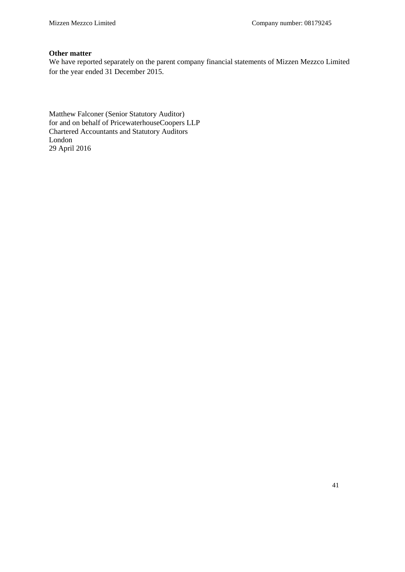#### **Other matter**

We have reported separately on the parent company financial statements of Mizzen Mezzco Limited for the year ended 31 December 2015.

Matthew Falconer (Senior Statutory Auditor) for and on behalf of PricewaterhouseCoopers LLP Chartered Accountants and Statutory Auditors London 29 April 2016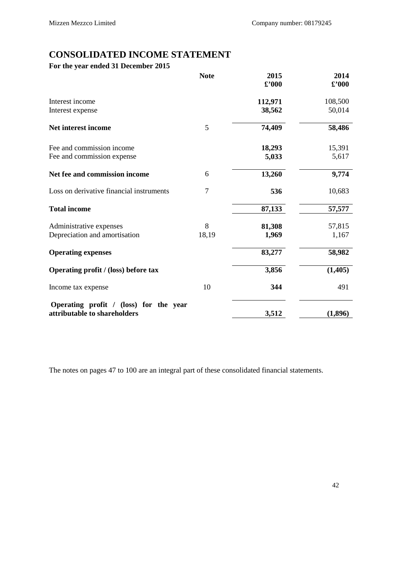## **CONSOLIDATED INCOME STATEMENT**

## **For the year ended 31 December 2015**

| <b>Note</b>    | 2015                                   | 2014                    |
|----------------|----------------------------------------|-------------------------|
|                |                                        | $\pounds$ '000          |
|                | 112,971                                | 108,500                 |
|                | 38,562                                 | 50,014                  |
| 5              | 74,409                                 | 58,486                  |
|                | 18,293                                 | 15,391                  |
|                | 5,033                                  | 5,617                   |
| 6              | 13,260                                 | 9,774                   |
| $\overline{7}$ | 536                                    | 10,683                  |
|                | 87,133                                 | 57,577                  |
| 8              | 81,308                                 | 57,815                  |
| 18,19          | 1,969                                  | 1,167                   |
|                | 83,277                                 | 58,982                  |
|                | 3,856                                  | (1, 405)                |
| 10             | 344                                    | 491                     |
|                |                                        | (1,896)                 |
|                | Operating profit / (loss) for the year | $\pounds$ '000<br>3,512 |

The notes on pages 47 to 100 are an integral part of these consolidated financial statements.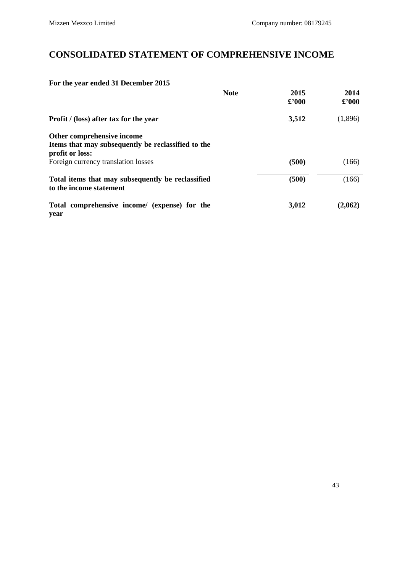# **CONSOLIDATED STATEMENT OF COMPREHENSIVE INCOME**

### **For the year ended 31 December 2015**

|                                                                                                     | <b>Note</b> | 2015<br>$\pounds$ '000 | 2014<br>$\pounds$ '000 |
|-----------------------------------------------------------------------------------------------------|-------------|------------------------|------------------------|
| Profit / (loss) after tax for the year                                                              |             | 3,512                  | (1,896)                |
| Other comprehensive income<br>Items that may subsequently be reclassified to the<br>profit or loss: |             |                        |                        |
| Foreign currency translation losses                                                                 |             | (500)                  | (166)                  |
| Total items that may subsequently be reclassified<br>to the income statement                        |             | (500)                  | (166)                  |
| Total comprehensive income/ (expense) for the<br>year                                               |             | 3,012                  | (2,062)                |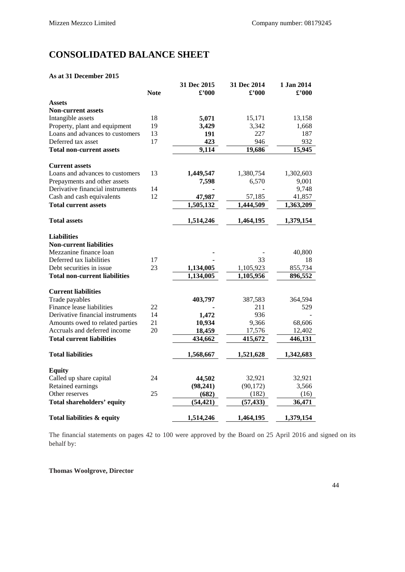## **CONSOLIDATED BALANCE SHEET**

#### **As at 31 December 2015**

|                                      |             | 31 Dec 2015   | 31 Dec 2014   | 1 Jan 2014     |
|--------------------------------------|-------------|---------------|---------------|----------------|
|                                      | <b>Note</b> | $\pounds 000$ | $\pounds 000$ | $\pounds$ '000 |
| <b>Assets</b>                        |             |               |               |                |
| <b>Non-current assets</b>            |             |               |               |                |
| Intangible assets                    | 18          | 5,071         | 15,171        | 13,158         |
| Property, plant and equipment        | 19          | 3,429         | 3,342         | 1,668          |
| Loans and advances to customers      | 13          | 191           | 227           | 187            |
| Deferred tax asset                   | 17          | 423           | 946           | 932            |
| <b>Total non-current assets</b>      |             | 9,114         | 19,686        | 15,945         |
| <b>Current assets</b>                |             |               |               |                |
| Loans and advances to customers      | 13          | 1,449,547     | 1,380,754     | 1,302,603      |
| Prepayments and other assets         |             | 7,598         | 6,570         | 9,001          |
| Derivative financial instruments     | 14          |               |               | 9,748          |
| Cash and cash equivalents            | 12          | 47,987        | 57,185        | 41,857         |
| <b>Total current assets</b>          |             | 1,505,132     | 1,444,509     | 1,363,209      |
| <b>Total assets</b>                  |             | 1,514,246     | 1,464,195     | 1,379,154      |
| <b>Liabilities</b>                   |             |               |               |                |
| <b>Non-current liabilities</b>       |             |               |               |                |
| Mezzanine finance loan               |             |               |               | 40,800         |
| Deferred tax liabilities             | 17          |               | 33            | 18             |
| Debt securities in issue             | 23          | 1,134,005     | 1,105,923     | 855,734        |
| <b>Total non-current liabilities</b> |             | 1,134,005     | 1,105,956     | 896,552        |
| <b>Current liabilities</b>           |             |               |               |                |
| Trade payables                       |             | 403,797       | 387,583       | 364,594        |
| Finance lease liabilities            | 22          |               | 211           | 529            |
| Derivative financial instruments     | 14          | 1,472         | 936           |                |
| Amounts owed to related parties      | 21          | 10,934        | 9,366         | 68,606         |
| Accruals and deferred income         | 20          | 18,459        | 17,576        | 12,402         |
| <b>Total current liabilities</b>     |             | 434,662       | 415,672       | 446,131        |
| <b>Total liabilities</b>             |             | 1,568,667     | 1,521,628     | 1,342,683      |
|                                      |             |               |               |                |
| <b>Equity</b>                        |             |               |               |                |
| Called up share capital              | 24          | 44,502        | 32,921        | 32,921         |
| Retained earnings                    | 25          | (98, 241)     | (90, 172)     | 3,566          |
| Other reserves                       |             | (682)         | (182)         | (16)           |
| <b>Total shareholders' equity</b>    |             | (54, 421)     | (57, 433)     | 36,471         |
| Total liabilities & equity           |             | 1,514,246     | 1,464,195     | 1,379,154      |

The financial statements on pages 42 to 100 were approved by the Board on 25 April 2016 and signed on its behalf by:

**Thomas Woolgrove, Director**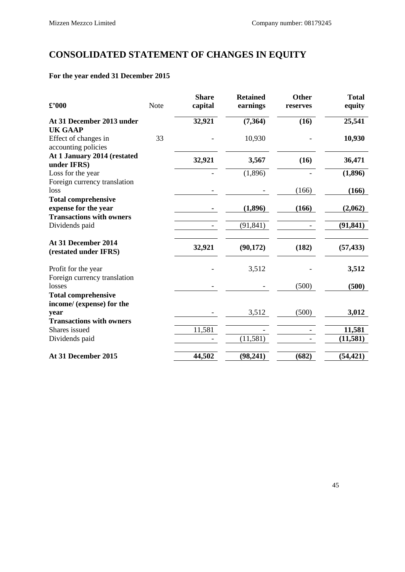# **CONSOLIDATED STATEMENT OF CHANGES IN EQUITY**

### **For the year ended 31 December 2015**

| $\pounds$ '000                                          | <b>Note</b> | <b>Share</b><br>capital | <b>Retained</b><br>earnings | <b>Other</b><br>reserves | <b>Total</b><br>equity |
|---------------------------------------------------------|-------------|-------------------------|-----------------------------|--------------------------|------------------------|
| At 31 December 2013 under                               |             | 32,921                  | (7,364)                     | (16)                     | 25,541                 |
| <b>UK GAAP</b>                                          |             |                         |                             |                          |                        |
| Effect of changes in<br>accounting policies             | 33          |                         | 10,930                      |                          | 10,930                 |
| At 1 January 2014 (restated<br>under IFRS)              |             | 32,921                  | 3,567                       | (16)                     | 36,471                 |
| Loss for the year<br>Foreign currency translation       |             |                         | (1,896)                     |                          | (1,896)                |
| loss                                                    |             |                         |                             | (166)                    | (166)                  |
| <b>Total comprehensive</b>                              |             |                         |                             |                          |                        |
| expense for the year                                    |             |                         | (1,896)                     | (166)                    | (2,062)                |
| <b>Transactions with owners</b>                         |             |                         |                             |                          |                        |
| Dividends paid                                          |             |                         | (91, 841)                   |                          | (91, 841)              |
| At 31 December 2014<br>(restated under IFRS)            |             | 32,921                  | (90, 172)                   | (182)                    | (57, 433)              |
| Profit for the year                                     |             |                         | 3,512                       |                          | 3,512                  |
| Foreign currency translation<br>losses                  |             |                         |                             | (500)                    | (500)                  |
| <b>Total comprehensive</b><br>income/ (expense) for the |             |                         |                             |                          |                        |
| year                                                    |             |                         | 3,512                       | (500)                    | 3,012                  |
| <b>Transactions with owners</b>                         |             |                         |                             |                          |                        |
| Shares issued                                           |             | 11,581                  |                             |                          | 11,581                 |
| Dividends paid                                          |             |                         | (11, 581)                   |                          | (11,581)               |
| At 31 December 2015                                     |             | 44,502                  | (98, 241)                   | (682)                    | (54, 421)              |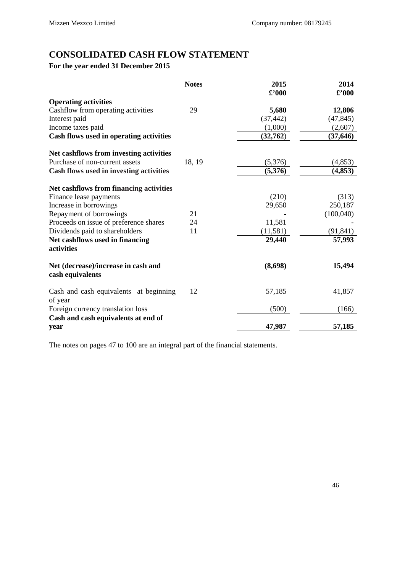## **CONSOLIDATED CASH FLOW STATEMENT**

### **For the year ended 31 December 2015**

| <b>Notes</b>                                            | 2015<br>$\pounds$ '000 | 2014<br>$\pounds$ '000 |
|---------------------------------------------------------|------------------------|------------------------|
| <b>Operating activities</b>                             |                        |                        |
| Cashflow from operating activities<br>29                | 5,680                  | 12,806                 |
| Interest paid                                           | (37, 442)              | (47, 845)              |
| Income taxes paid                                       | (1,000)                | (2,607)                |
| Cash flows used in operating activities                 | (32, 762)              | (37, 646)              |
| Net cashflows from investing activities                 |                        |                        |
| Purchase of non-current assets<br>18, 19                | (5,376)                | (4, 853)               |
| Cash flows used in investing activities                 | (5,376)                | (4, 853)               |
| Net cashflows from financing activities                 |                        |                        |
| Finance lease payments                                  | (210)                  | (313)                  |
| Increase in borrowings                                  | 29,650                 | 250,187                |
| Repayment of borrowings<br>21                           |                        | (100,040)              |
| Proceeds on issue of preference shares<br>24            | 11,581                 |                        |
| Dividends paid to shareholders<br>11                    | (11, 581)              | (91, 841)              |
| Net cashflows used in financing<br>activities           | 29,440                 | 57,993                 |
| Net (decrease)/increase in cash and<br>cash equivalents | (8,698)                | 15,494                 |
| Cash and cash equivalents at beginning<br>12            | 57,185                 | 41,857                 |
| of year<br>Foreign currency translation loss            | (500)                  | (166)                  |
| Cash and cash equivalents at end of<br>year             | 47,987                 | 57,185                 |

The notes on pages 47 to 100 are an integral part of the financial statements.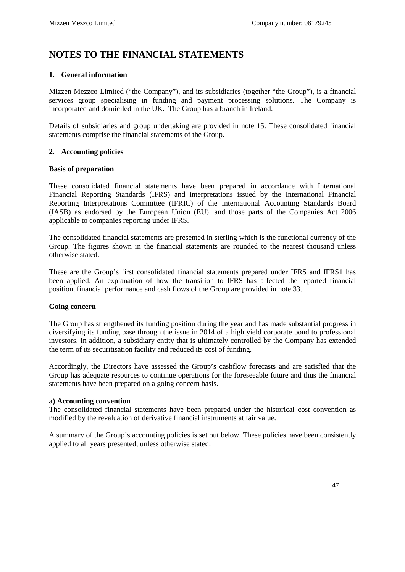### **NOTES TO THE FINANCIAL STATEMENTS**

#### **1. General information**

Mizzen Mezzco Limited ("the Company"), and its subsidiaries (together "the Group"), is a financial services group specialising in funding and payment processing solutions. The Company is incorporated and domiciled in the UK. The Group has a branch in Ireland.

Details of subsidiaries and group undertaking are provided in note 15. These consolidated financial statements comprise the financial statements of the Group.

#### **2. Accounting policies**

#### **Basis of preparation**

These consolidated financial statements have been prepared in accordance with International Financial Reporting Standards (IFRS) and interpretations issued by the International Financial Reporting Interpretations Committee (IFRIC) of the International Accounting Standards Board (IASB) as endorsed by the European Union (EU), and those parts of the Companies Act 2006 applicable to companies reporting under IFRS.

The consolidated financial statements are presented in sterling which is the functional currency of the Group. The figures shown in the financial statements are rounded to the nearest thousand unless otherwise stated.

These are the Group's first consolidated financial statements prepared under IFRS and IFRS1 has been applied. An explanation of how the transition to IFRS has affected the reported financial position, financial performance and cash flows of the Group are provided in note 33.

#### **Going concern**

The Group has strengthened its funding position during the year and has made substantial progress in diversifying its funding base through the issue in 2014 of a high yield corporate bond to professional investors. In addition, a subsidiary entity that is ultimately controlled by the Company has extended the term of its securitisation facility and reduced its cost of funding.

Accordingly, the Directors have assessed the Group's cashflow forecasts and are satisfied that the Group has adequate resources to continue operations for the foreseeable future and thus the financial statements have been prepared on a going concern basis.

#### **a) Accounting convention**

The consolidated financial statements have been prepared under the historical cost convention as modified by the revaluation of derivative financial instruments at fair value.

A summary of the Group's accounting policies is set out below. These policies have been consistently applied to all years presented, unless otherwise stated.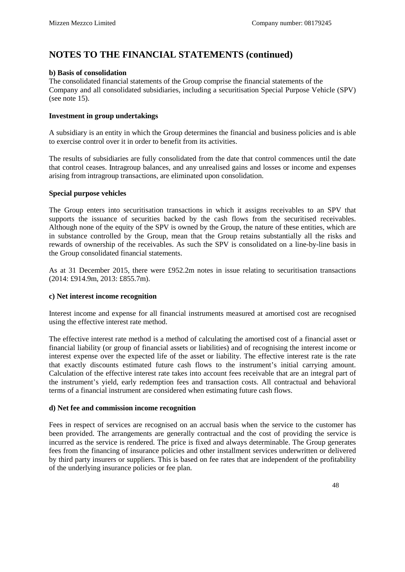#### **b) Basis of consolidation**

The consolidated financial statements of the Group comprise the financial statements of the Company and all consolidated subsidiaries, including a securitisation Special Purpose Vehicle (SPV) (see note 15).

#### **Investment in group undertakings**

A subsidiary is an entity in which the Group determines the financial and business policies and is able to exercise control over it in order to benefit from its activities.

The results of subsidiaries are fully consolidated from the date that control commences until the date that control ceases. Intragroup balances, and any unrealised gains and losses or income and expenses arising from intragroup transactions, are eliminated upon consolidation.

#### **Special purpose vehicles**

The Group enters into securitisation transactions in which it assigns receivables to an SPV that supports the issuance of securities backed by the cash flows from the securitised receivables. Although none of the equity of the SPV is owned by the Group, the nature of these entities, which are in substance controlled by the Group, mean that the Group retains substantially all the risks and rewards of ownership of the receivables. As such the SPV is consolidated on a line-by-line basis in the Group consolidated financial statements.

As at 31 December 2015, there were £952.2m notes in issue relating to securitisation transactions (2014: £914.9m, 2013: £855.7m).

#### **c) Net interest income recognition**

Interest income and expense for all financial instruments measured at amortised cost are recognised using the effective interest rate method.

The effective interest rate method is a method of calculating the amortised cost of a financial asset or financial liability (or group of financial assets or liabilities) and of recognising the interest income or interest expense over the expected life of the asset or liability. The effective interest rate is the rate that exactly discounts estimated future cash flows to the instrument's initial carrying amount. Calculation of the effective interest rate takes into account fees receivable that are an integral part of the instrument's yield, early redemption fees and transaction costs. All contractual and behavioral terms of a financial instrument are considered when estimating future cash flows.

#### **d) Net fee and commission income recognition**

Fees in respect of services are recognised on an accrual basis when the service to the customer has been provided. The arrangements are generally contractual and the cost of providing the service is incurred as the service is rendered. The price is fixed and always determinable. The Group generates fees from the financing of insurance policies and other installment services underwritten or delivered by third party insurers or suppliers. This is based on fee rates that are independent of the profitability of the underlying insurance policies or fee plan.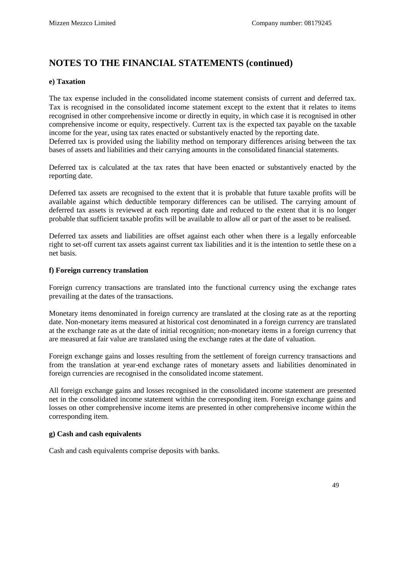#### **e) Taxation**

The tax expense included in the consolidated income statement consists of current and deferred tax. Tax is recognised in the consolidated income statement except to the extent that it relates to items recognised in other comprehensive income or directly in equity, in which case it is recognised in other comprehensive income or equity, respectively. Current tax is the expected tax payable on the taxable income for the year, using tax rates enacted or substantively enacted by the reporting date. Deferred tax is provided using the liability method on temporary differences arising between the tax bases of assets and liabilities and their carrying amounts in the consolidated financial statements.

Deferred tax is calculated at the tax rates that have been enacted or substantively enacted by the reporting date.

Deferred tax assets are recognised to the extent that it is probable that future taxable profits will be available against which deductible temporary differences can be utilised. The carrying amount of deferred tax assets is reviewed at each reporting date and reduced to the extent that it is no longer probable that sufficient taxable profits will be available to allow all or part of the asset to be realised.

Deferred tax assets and liabilities are offset against each other when there is a legally enforceable right to set-off current tax assets against current tax liabilities and it is the intention to settle these on a net basis.

#### **f) Foreign currency translation**

Foreign currency transactions are translated into the functional currency using the exchange rates prevailing at the dates of the transactions.

Monetary items denominated in foreign currency are translated at the closing rate as at the reporting date. Non-monetary items measured at historical cost denominated in a foreign currency are translated at the exchange rate as at the date of initial recognition; non-monetary items in a foreign currency that are measured at fair value are translated using the exchange rates at the date of valuation.

Foreign exchange gains and losses resulting from the settlement of foreign currency transactions and from the translation at year-end exchange rates of monetary assets and liabilities denominated in foreign currencies are recognised in the consolidated income statement.

All foreign exchange gains and losses recognised in the consolidated income statement are presented net in the consolidated income statement within the corresponding item. Foreign exchange gains and losses on other comprehensive income items are presented in other comprehensive income within the corresponding item.

#### **g) Cash and cash equivalents**

Cash and cash equivalents comprise deposits with banks.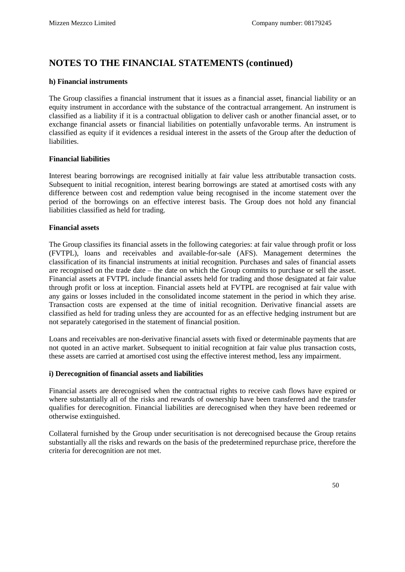#### **h) Financial instruments**

The Group classifies a financial instrument that it issues as a financial asset, financial liability or an equity instrument in accordance with the substance of the contractual arrangement. An instrument is classified as a liability if it is a contractual obligation to deliver cash or another financial asset, or to exchange financial assets or financial liabilities on potentially unfavorable terms. An instrument is classified as equity if it evidences a residual interest in the assets of the Group after the deduction of liabilities.

#### **Financial liabilities**

Interest bearing borrowings are recognised initially at fair value less attributable transaction costs. Subsequent to initial recognition, interest bearing borrowings are stated at amortised costs with any difference between cost and redemption value being recognised in the income statement over the period of the borrowings on an effective interest basis. The Group does not hold any financial liabilities classified as held for trading.

#### **Financial assets**

The Group classifies its financial assets in the following categories: at fair value through profit or loss (FVTPL), loans and receivables and available-for-sale (AFS). Management determines the classification of its financial instruments at initial recognition. Purchases and sales of financial assets are recognised on the trade date – the date on which the Group commits to purchase or sell the asset. Financial assets at FVTPL include financial assets held for trading and those designated at fair value through profit or loss at inception. Financial assets held at FVTPL are recognised at fair value with any gains or losses included in the consolidated income statement in the period in which they arise. Transaction costs are expensed at the time of initial recognition. Derivative financial assets are classified as held for trading unless they are accounted for as an effective hedging instrument but are not separately categorised in the statement of financial position.

Loans and receivables are non-derivative financial assets with fixed or determinable payments that are not quoted in an active market. Subsequent to initial recognition at fair value plus transaction costs, these assets are carried at amortised cost using the effective interest method, less any impairment.

#### **i) Derecognition of financial assets and liabilities**

Financial assets are derecognised when the contractual rights to receive cash flows have expired or where substantially all of the risks and rewards of ownership have been transferred and the transfer qualifies for derecognition. Financial liabilities are derecognised when they have been redeemed or otherwise extinguished.

Collateral furnished by the Group under securitisation is not derecognised because the Group retains substantially all the risks and rewards on the basis of the predetermined repurchase price, therefore the criteria for derecognition are not met.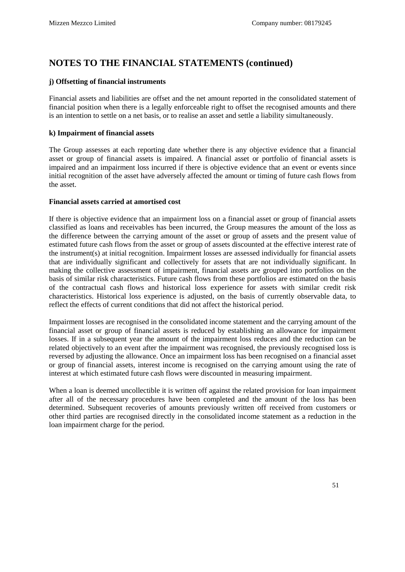#### **j) Offsetting of financial instruments**

Financial assets and liabilities are offset and the net amount reported in the consolidated statement of financial position when there is a legally enforceable right to offset the recognised amounts and there is an intention to settle on a net basis, or to realise an asset and settle a liability simultaneously.

#### **k) Impairment of financial assets**

The Group assesses at each reporting date whether there is any objective evidence that a financial asset or group of financial assets is impaired. A financial asset or portfolio of financial assets is impaired and an impairment loss incurred if there is objective evidence that an event or events since initial recognition of the asset have adversely affected the amount or timing of future cash flows from the asset.

#### **Financial assets carried at amortised cost**

If there is objective evidence that an impairment loss on a financial asset or group of financial assets classified as loans and receivables has been incurred, the Group measures the amount of the loss as the difference between the carrying amount of the asset or group of assets and the present value of estimated future cash flows from the asset or group of assets discounted at the effective interest rate of the instrument(s) at initial recognition. Impairment losses are assessed individually for financial assets that are individually significant and collectively for assets that are not individually significant. In making the collective assessment of impairment, financial assets are grouped into portfolios on the basis of similar risk characteristics. Future cash flows from these portfolios are estimated on the basis of the contractual cash flows and historical loss experience for assets with similar credit risk characteristics. Historical loss experience is adjusted, on the basis of currently observable data, to reflect the effects of current conditions that did not affect the historical period.

Impairment losses are recognised in the consolidated income statement and the carrying amount of the financial asset or group of financial assets is reduced by establishing an allowance for impairment losses. If in a subsequent year the amount of the impairment loss reduces and the reduction can be related objectively to an event after the impairment was recognised, the previously recognised loss is reversed by adjusting the allowance. Once an impairment loss has been recognised on a financial asset or group of financial assets, interest income is recognised on the carrying amount using the rate of interest at which estimated future cash flows were discounted in measuring impairment.

When a loan is deemed uncollectible it is written off against the related provision for loan impairment after all of the necessary procedures have been completed and the amount of the loss has been determined. Subsequent recoveries of amounts previously written off received from customers or other third parties are recognised directly in the consolidated income statement as a reduction in the loan impairment charge for the period.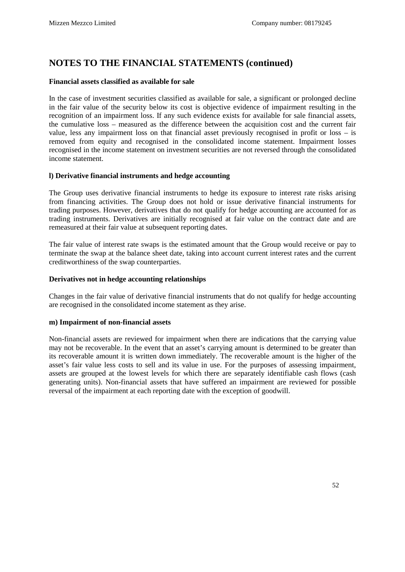#### **Financial assets classified as available for sale**

In the case of investment securities classified as available for sale, a significant or prolonged decline in the fair value of the security below its cost is objective evidence of impairment resulting in the recognition of an impairment loss. If any such evidence exists for available for sale financial assets, the cumulative loss – measured as the difference between the acquisition cost and the current fair value, less any impairment loss on that financial asset previously recognised in profit or loss – is removed from equity and recognised in the consolidated income statement. Impairment losses recognised in the income statement on investment securities are not reversed through the consolidated income statement.

#### **l) Derivative financial instruments and hedge accounting**

The Group uses derivative financial instruments to hedge its exposure to interest rate risks arising from financing activities. The Group does not hold or issue derivative financial instruments for trading purposes. However, derivatives that do not qualify for hedge accounting are accounted for as trading instruments. Derivatives are initially recognised at fair value on the contract date and are remeasured at their fair value at subsequent reporting dates.

The fair value of interest rate swaps is the estimated amount that the Group would receive or pay to terminate the swap at the balance sheet date, taking into account current interest rates and the current creditworthiness of the swap counterparties.

#### **Derivatives not in hedge accounting relationships**

Changes in the fair value of derivative financial instruments that do not qualify for hedge accounting are recognised in the consolidated income statement as they arise.

#### **m) Impairment of non-financial assets**

Non-financial assets are reviewed for impairment when there are indications that the carrying value may not be recoverable. In the event that an asset's carrying amount is determined to be greater than its recoverable amount it is written down immediately. The recoverable amount is the higher of the asset's fair value less costs to sell and its value in use. For the purposes of assessing impairment, assets are grouped at the lowest levels for which there are separately identifiable cash flows (cash generating units). Non-financial assets that have suffered an impairment are reviewed for possible reversal of the impairment at each reporting date with the exception of goodwill.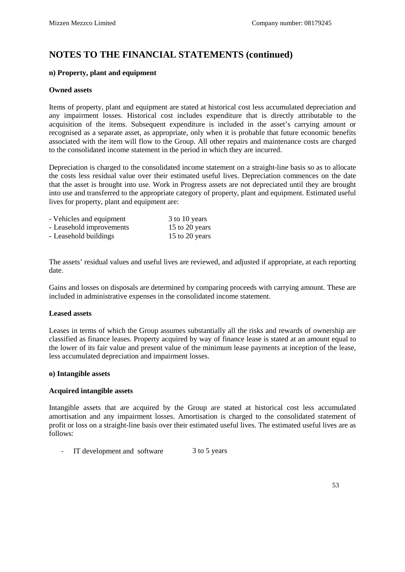#### **n) Property, plant and equipment**

#### **Owned assets**

Items of property, plant and equipment are stated at historical cost less accumulated depreciation and any impairment losses. Historical cost includes expenditure that is directly attributable to the acquisition of the items. Subsequent expenditure is included in the asset's carrying amount or recognised as a separate asset, as appropriate, only when it is probable that future economic benefits associated with the item will flow to the Group. All other repairs and maintenance costs are charged to the consolidated income statement in the period in which they are incurred.

Depreciation is charged to the consolidated income statement on a straight-line basis so as to allocate the costs less residual value over their estimated useful lives. Depreciation commences on the date that the asset is brought into use. Work in Progress assets are not depreciated until they are brought into use and transferred to the appropriate category of property, plant and equipment. Estimated useful lives for property, plant and equipment are:

| - Vehicles and equipment | 3 to 10 years  |
|--------------------------|----------------|
| - Leasehold improvements | 15 to 20 years |
| - Leasehold buildings    | 15 to 20 years |

The assets' residual values and useful lives are reviewed, and adjusted if appropriate, at each reporting date.

Gains and losses on disposals are determined by comparing proceeds with carrying amount. These are included in administrative expenses in the consolidated income statement.

#### **Leased assets**

Leases in terms of which the Group assumes substantially all the risks and rewards of ownership are classified as finance leases. Property acquired by way of finance lease is stated at an amount equal to the lower of its fair value and present value of the minimum lease payments at inception of the lease, less accumulated depreciation and impairment losses.

#### **o) Intangible assets**

#### **Acquired intangible assets**

Intangible assets that are acquired by the Group are stated at historical cost less accumulated amortisation and any impairment losses. Amortisation is charged to the consolidated statement of profit or loss on a straight-line basis over their estimated useful lives. The estimated useful lives are as follows:

- IT development and software 3 to 5 years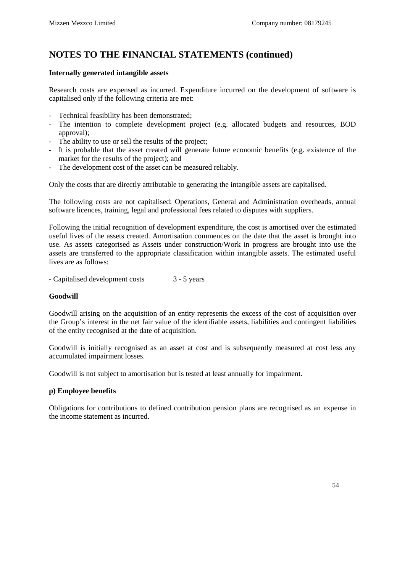#### **Internally generated intangible assets**

Research costs are expensed as incurred. Expenditure incurred on the development of software is capitalised only if the following criteria are met:

- Technical feasibility has been demonstrated;
- The intention to complete development project (e.g. allocated budgets and resources, BOD approval);
- The ability to use or sell the results of the project;
- It is probable that the asset created will generate future economic benefits (e.g. existence of the market for the results of the project); and
- The development cost of the asset can be measured reliably.

Only the costs that are directly attributable to generating the intangible assets are capitalised.

The following costs are not capitalised: Operations, General and Administration overheads, annual software licences, training, legal and professional fees related to disputes with suppliers.

Following the initial recognition of development expenditure, the cost is amortised over the estimated useful lives of the assets created. Amortisation commences on the date that the asset is brought into use. As assets categorised as Assets under construction/Work in progress are brought into use the assets are transferred to the appropriate classification within intangible assets. The estimated useful lives are as follows:

- Capitalised development costs 3 - 5 years

#### **Goodwill**

Goodwill arising on the acquisition of an entity represents the excess of the cost of acquisition over the Group's interest in the net fair value of the identifiable assets, liabilities and contingent liabilities of the entity recognised at the date of acquisition.

Goodwill is initially recognised as an asset at cost and is subsequently measured at cost less any accumulated impairment losses.

Goodwill is not subject to amortisation but is tested at least annually for impairment.

#### **p) Employee benefits**

Obligations for contributions to defined contribution pension plans are recognised as an expense in the income statement as incurred.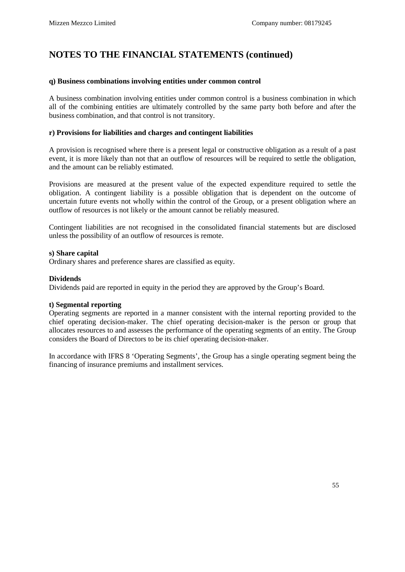#### **q) Business combinations involving entities under common control**

A business combination involving entities under common control is a business combination in which all of the combining entities are ultimately controlled by the same party both before and after the business combination, and that control is not transitory.

#### **r) Provisions for liabilities and charges and contingent liabilities**

A provision is recognised where there is a present legal or constructive obligation as a result of a past event, it is more likely than not that an outflow of resources will be required to settle the obligation, and the amount can be reliably estimated.

Provisions are measured at the present value of the expected expenditure required to settle the obligation. A contingent liability is a possible obligation that is dependent on the outcome of uncertain future events not wholly within the control of the Group, or a present obligation where an outflow of resources is not likely or the amount cannot be reliably measured.

Contingent liabilities are not recognised in the consolidated financial statements but are disclosed unless the possibility of an outflow of resources is remote.

#### **s) Share capital**

Ordinary shares and preference shares are classified as equity.

#### **Dividends**

Dividends paid are reported in equity in the period they are approved by the Group's Board.

#### **t) Segmental reporting**

Operating segments are reported in a manner consistent with the internal reporting provided to the chief operating decision-maker. The chief operating decision-maker is the person or group that allocates resources to and assesses the performance of the operating segments of an entity. The Group considers the Board of Directors to be its chief operating decision-maker.

In accordance with IFRS 8 'Operating Segments', the Group has a single operating segment being the financing of insurance premiums and installment services.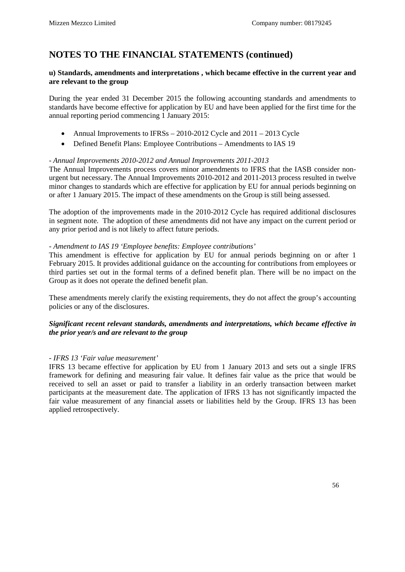#### **u) Standards, amendments and interpretations , which became effective in the current year and are relevant to the group**

During the year ended 31 December 2015 the following accounting standards and amendments to standards have become effective for application by EU and have been applied for the first time for the annual reporting period commencing 1 January 2015:

- Annual Improvements to IFRSs 2010-2012 Cycle and 2011 2013 Cycle
- Defined Benefit Plans: Employee Contributions Amendments to IAS 19

#### - *Annual Improvements 2010-2012 and Annual Improvements 2011-2013*

The Annual Improvements process covers minor amendments to IFRS that the IASB consider nonurgent but necessary. The Annual Improvements 2010-2012 and 2011-2013 process resulted in twelve minor changes to standards which are effective for application by EU for annual periods beginning on or after 1 January 2015. The impact of these amendments on the Group is still being assessed.

The adoption of the improvements made in the 2010-2012 Cycle has required additional disclosures in segment note. The adoption of these amendments did not have any impact on the current period or any prior period and is not likely to affect future periods.

#### *- Amendment to IAS 19 'Employee benefits: Employee contributions'*

This amendment is effective for application by EU for annual periods beginning on or after 1 February 2015. It provides additional guidance on the accounting for contributions from employees or third parties set out in the formal terms of a defined benefit plan. There will be no impact on the Group as it does not operate the defined benefit plan.

These amendments merely clarify the existing requirements, they do not affect the group's accounting policies or any of the disclosures.

#### *Significant recent relevant standards, amendments and interpretations, which became effective in the prior year/s and are relevant to the group*

#### *- IFRS 13 'Fair value measurement'*

IFRS 13 became effective for application by EU from 1 January 2013 and sets out a single IFRS framework for defining and measuring fair value. It defines fair value as the price that would be received to sell an asset or paid to transfer a liability in an orderly transaction between market participants at the measurement date. The application of IFRS 13 has not significantly impacted the fair value measurement of any financial assets or liabilities held by the Group. IFRS 13 has been applied retrospectively.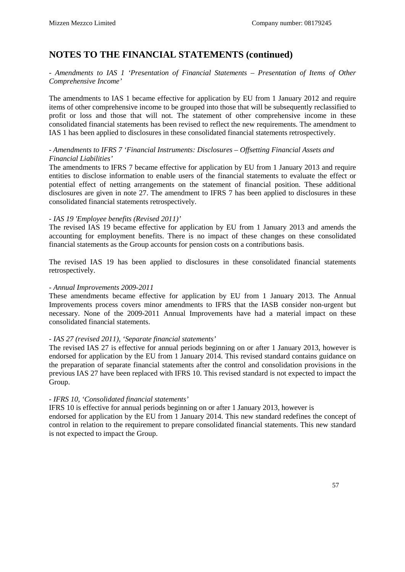#### - *Amendments to IAS 1 'Presentation of Financial Statements – Presentation of Items of Other Comprehensive Income'*

The amendments to IAS 1 became effective for application by EU from 1 January 2012 and require items of other comprehensive income to be grouped into those that will be subsequently reclassified to profit or loss and those that will not. The statement of other comprehensive income in these consolidated financial statements has been revised to reflect the new requirements. The amendment to IAS 1 has been applied to disclosures in these consolidated financial statements retrospectively.

#### - *Amendments to IFRS 7 'Financial Instruments: Disclosures – Offsetting Financial Assets and Financial Liabilities'*

The amendments to IFRS 7 became effective for application by EU from 1 January 2013 and require entities to disclose information to enable users of the financial statements to evaluate the effect or potential effect of netting arrangements on the statement of financial position. These additional disclosures are given in note 27. The amendment to IFRS 7 has been applied to disclosures in these consolidated financial statements retrospectively.

#### *- IAS 19 'Employee benefits (Revised 2011)'*

The revised IAS 19 became effective for application by EU from 1 January 2013 and amends the accounting for employment benefits. There is no impact of these changes on these consolidated financial statements as the Group accounts for pension costs on a contributions basis.

The revised IAS 19 has been applied to disclosures in these consolidated financial statements retrospectively.

#### *- Annual Improvements 2009-2011*

These amendments became effective for application by EU from 1 January 2013. The Annual Improvements process covers minor amendments to IFRS that the IASB consider non-urgent but necessary. None of the 2009-2011 Annual Improvements have had a material impact on these consolidated financial statements.

#### *- IAS 27 (revised 2011), 'Separate financial statements'*

The revised IAS 27 is effective for annual periods beginning on or after 1 January 2013, however is endorsed for application by the EU from 1 January 2014. This revised standard contains guidance on the preparation of separate financial statements after the control and consolidation provisions in the previous IAS 27 have been replaced with IFRS 10. This revised standard is not expected to impact the Group.

#### *- IFRS 10, 'Consolidated financial statements'*

IFRS 10 is effective for annual periods beginning on or after 1 January 2013, however is endorsed for application by the EU from 1 January 2014. This new standard redefines the concept of control in relation to the requirement to prepare consolidated financial statements. This new standard is not expected to impact the Group.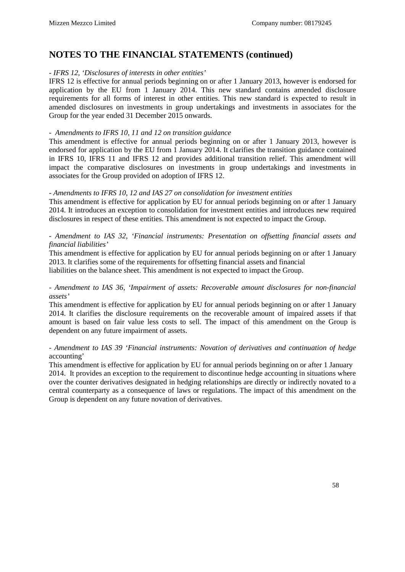#### *- IFRS 12, 'Disclosures of interests in other entities'*

IFRS 12 is effective for annual periods beginning on or after 1 January 2013, however is endorsed for application by the EU from 1 January 2014. This new standard contains amended disclosure requirements for all forms of interest in other entities. This new standard is expected to result in amended disclosures on investments in group undertakings and investments in associates for the Group for the year ended 31 December 2015 onwards.

#### *- Amendments to IFRS 10, 11 and 12 on transition guidance*

This amendment is effective for annual periods beginning on or after 1 January 2013, however is endorsed for application by the EU from 1 January 2014. It clarifies the transition guidance contained in IFRS 10, IFRS 11 and IFRS 12 and provides additional transition relief. This amendment will impact the comparative disclosures on investments in group undertakings and investments in associates for the Group provided on adoption of IFRS 12.

#### *- Amendments to IFRS 10, 12 and IAS 27 on consolidation for investment entities*

This amendment is effective for application by EU for annual periods beginning on or after 1 January 2014. It introduces an exception to consolidation for investment entities and introduces new required disclosures in respect of these entities. This amendment is not expected to impact the Group.

#### - *Amendment to IAS 32, 'Financial instruments: Presentation on offsetting financial assets and financial liabilities'*

This amendment is effective for application by EU for annual periods beginning on or after 1 January 2013. It clarifies some of the requirements for offsetting financial assets and financial liabilities on the balance sheet. This amendment is not expected to impact the Group.

#### *- Amendment to IAS 36, 'Impairment of assets: Recoverable amount disclosures for non-financial assets'*

This amendment is effective for application by EU for annual periods beginning on or after 1 January 2014. It clarifies the disclosure requirements on the recoverable amount of impaired assets if that amount is based on fair value less costs to sell. The impact of this amendment on the Group is dependent on any future impairment of assets.

#### *- Amendment to IAS 39 'Financial instruments: Novation of derivatives and continuation of hedge*  accounting'

This amendment is effective for application by EU for annual periods beginning on or after 1 January 2014. It provides an exception to the requirement to discontinue hedge accounting in situations where over the counter derivatives designated in hedging relationships are directly or indirectly novated to a central counterparty as a consequence of laws or regulations. The impact of this amendment on the Group is dependent on any future novation of derivatives.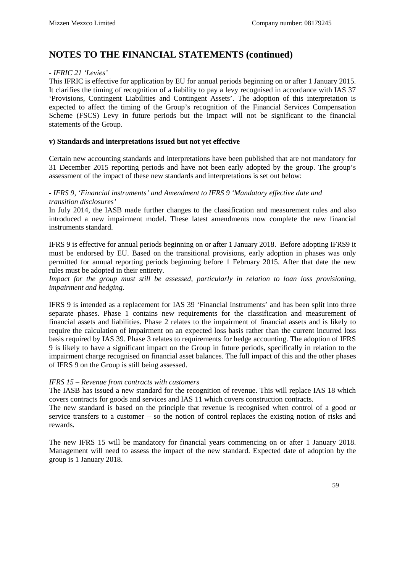#### *- IFRIC 21 'Levies'*

This IFRIC is effective for application by EU for annual periods beginning on or after 1 January 2015. It clarifies the timing of recognition of a liability to pay a levy recognised in accordance with IAS 37 'Provisions, Contingent Liabilities and Contingent Assets'. The adoption of this interpretation is expected to affect the timing of the Group's recognition of the Financial Services Compensation Scheme (FSCS) Levy in future periods but the impact will not be significant to the financial statements of the Group.

#### **v) Standards and interpretations issued but not yet effective**

Certain new accounting standards and interpretations have been published that are not mandatory for 31 December 2015 reporting periods and have not been early adopted by the group. The group's assessment of the impact of these new standards and interpretations is set out below:

#### - *IFRS 9, 'Financial instruments' and Amendment to IFRS 9 'Mandatory effective date and transition disclosures'*

In July 2014, the IASB made further changes to the classification and measurement rules and also introduced a new impairment model. These latest amendments now complete the new financial instruments standard.

IFRS 9 is effective for annual periods beginning on or after 1 January 2018. Before adopting IFRS9 it must be endorsed by EU. Based on the transitional provisions, early adoption in phases was only permitted for annual reporting periods beginning before 1 February 2015. After that date the new rules must be adopted in their entirety.

*Impact for the group must still be assessed, particularly in relation to loan loss provisioning, impairment and hedging.*

IFRS 9 is intended as a replacement for IAS 39 'Financial Instruments' and has been split into three separate phases. Phase 1 contains new requirements for the classification and measurement of financial assets and liabilities. Phase 2 relates to the impairment of financial assets and is likely to require the calculation of impairment on an expected loss basis rather than the current incurred loss basis required by IAS 39. Phase 3 relates to requirements for hedge accounting. The adoption of IFRS 9 is likely to have a significant impact on the Group in future periods, specifically in relation to the impairment charge recognised on financial asset balances. The full impact of this and the other phases of IFRS 9 on the Group is still being assessed.

#### *IFRS 15 – Revenue from contracts with customers*

The IASB has issued a new standard for the recognition of revenue. This will replace IAS 18 which covers contracts for goods and services and IAS 11 which covers construction contracts.

The new standard is based on the principle that revenue is recognised when control of a good or service transfers to a customer – so the notion of control replaces the existing notion of risks and rewards.

The new IFRS 15 will be mandatory for financial years commencing on or after 1 January 2018. Management will need to assess the impact of the new standard. Expected date of adoption by the group is 1 January 2018.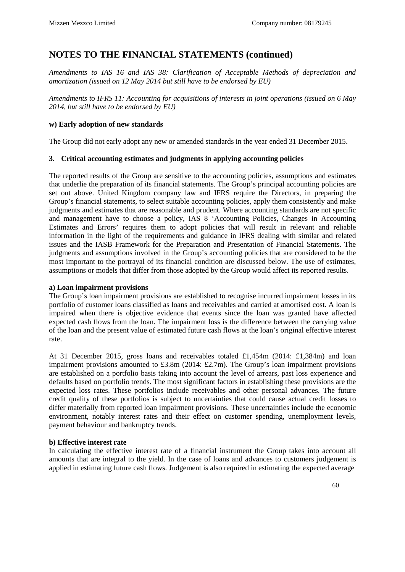*Amendments to IAS 16 and IAS 38: Clarification of Acceptable Methods of depreciation and amortization (issued on 12 May 2014 but still have to be endorsed by EU)*

*Amendments to IFRS 11: Accounting for acquisitions of interests in joint operations (issued on 6 May 2014, but still have to be endorsed by EU)*

#### **w) Early adoption of new standards**

The Group did not early adopt any new or amended standards in the year ended 31 December 2015.

#### **3. Critical accounting estimates and judgments in applying accounting policies**

The reported results of the Group are sensitive to the accounting policies, assumptions and estimates that underlie the preparation of its financial statements. The Group's principal accounting policies are set out above. United Kingdom company law and IFRS require the Directors, in preparing the Group's financial statements, to select suitable accounting policies, apply them consistently and make judgments and estimates that are reasonable and prudent. Where accounting standards are not specific and management have to choose a policy, IAS 8 'Accounting Policies, Changes in Accounting Estimates and Errors' requires them to adopt policies that will result in relevant and reliable information in the light of the requirements and guidance in IFRS dealing with similar and related issues and the IASB Framework for the Preparation and Presentation of Financial Statements. The judgments and assumptions involved in the Group's accounting policies that are considered to be the most important to the portrayal of its financial condition are discussed below. The use of estimates, assumptions or models that differ from those adopted by the Group would affect its reported results.

#### **a) Loan impairment provisions**

The Group's loan impairment provisions are established to recognise incurred impairment losses in its portfolio of customer loans classified as loans and receivables and carried at amortised cost. A loan is impaired when there is objective evidence that events since the loan was granted have affected expected cash flows from the loan. The impairment loss is the difference between the carrying value of the loan and the present value of estimated future cash flows at the loan's original effective interest rate.

At 31 December 2015, gross loans and receivables totaled £1,454m (2014: £1,384m) and loan impairment provisions amounted to £3.8m (2014: £2.7m). The Group's loan impairment provisions are established on a portfolio basis taking into account the level of arrears, past loss experience and defaults based on portfolio trends. The most significant factors in establishing these provisions are the expected loss rates. These portfolios include receivables and other personal advances. The future credit quality of these portfolios is subject to uncertainties that could cause actual credit losses to differ materially from reported loan impairment provisions. These uncertainties include the economic environment, notably interest rates and their effect on customer spending, unemployment levels, payment behaviour and bankruptcy trends.

#### **b) Effective interest rate**

In calculating the effective interest rate of a financial instrument the Group takes into account all amounts that are integral to the yield. In the case of loans and advances to customers judgement is applied in estimating future cash flows. Judgement is also required in estimating the expected average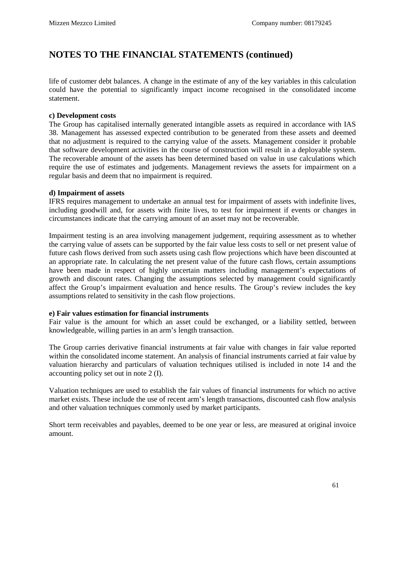life of customer debt balances. A change in the estimate of any of the key variables in this calculation could have the potential to significantly impact income recognised in the consolidated income statement.

#### **c) Development costs**

The Group has capitalised internally generated intangible assets as required in accordance with IAS 38. Management has assessed expected contribution to be generated from these assets and deemed that no adjustment is required to the carrying value of the assets. Management consider it probable that software development activities in the course of construction will result in a deployable system. The recoverable amount of the assets has been determined based on value in use calculations which require the use of estimates and judgements. Management reviews the assets for impairment on a regular basis and deem that no impairment is required.

#### **d) Impairment of assets**

IFRS requires management to undertake an annual test for impairment of assets with indefinite lives, including goodwill and, for assets with finite lives, to test for impairment if events or changes in circumstances indicate that the carrying amount of an asset may not be recoverable.

Impairment testing is an area involving management judgement, requiring assessment as to whether the carrying value of assets can be supported by the fair value less costs to sell or net present value of future cash flows derived from such assets using cash flow projections which have been discounted at an appropriate rate. In calculating the net present value of the future cash flows, certain assumptions have been made in respect of highly uncertain matters including management's expectations of growth and discount rates. Changing the assumptions selected by management could significantly affect the Group's impairment evaluation and hence results. The Group's review includes the key assumptions related to sensitivity in the cash flow projections.

#### **e) Fair values estimation for financial instruments**

Fair value is the amount for which an asset could be exchanged, or a liability settled, between knowledgeable, willing parties in an arm's length transaction.

The Group carries derivative financial instruments at fair value with changes in fair value reported within the consolidated income statement. An analysis of financial instruments carried at fair value by valuation hierarchy and particulars of valuation techniques utilised is included in note 14 and the accounting policy set out in note 2 (I).

Valuation techniques are used to establish the fair values of financial instruments for which no active market exists. These include the use of recent arm's length transactions, discounted cash flow analysis and other valuation techniques commonly used by market participants.

Short term receivables and payables, deemed to be one year or less, are measured at original invoice amount.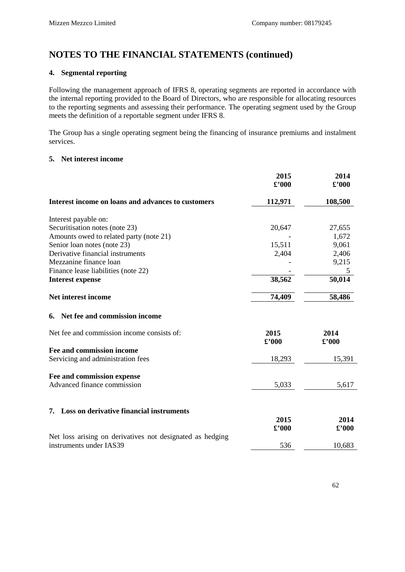#### **4. Segmental reporting**

Following the management approach of IFRS 8, operating segments are reported in accordance with the internal reporting provided to the Board of Directors, who are responsible for allocating resources to the reporting segments and assessing their performance. The operating segment used by the Group meets the definition of a reportable segment under IFRS 8.

The Group has a single operating segment being the financing of insurance premiums and instalment services.

#### **5. Net interest income**

|                                                           | 2015<br>$\pounds$ '000            | 2014<br>£'000          |
|-----------------------------------------------------------|-----------------------------------|------------------------|
| Interest income on loans and advances to customers        | 112,971                           | 108,500                |
| Interest payable on:                                      |                                   |                        |
| Securitisation notes (note 23)                            | 20,647                            | 27,655                 |
| Amounts owed to related party (note 21)                   |                                   | 1,672                  |
| Senior loan notes (note 23)                               | 15,511                            | 9,061                  |
| Derivative financial instruments                          | 2,404                             | 2,406                  |
| Mezzanine finance loan                                    |                                   | 9,215                  |
| Finance lease liabilities (note 22)                       |                                   | 5                      |
| <b>Interest expense</b>                                   | 38,562                            | 50,014                 |
| Net interest income                                       | 74,409                            | 58,486                 |
| Net fee and commission income<br>6.                       |                                   |                        |
| Net fee and commission income consists of:                | 2015<br>$\pounds$ '000            | 2014<br>$\pounds$ '000 |
| Fee and commission income                                 |                                   |                        |
| Servicing and administration fees                         | 18,293                            | 15,391                 |
| Fee and commission expense                                |                                   |                        |
| Advanced finance commission                               | 5,033                             | 5,617                  |
|                                                           |                                   |                        |
| 7. Loss on derivative financial instruments               |                                   |                        |
|                                                           | 2015                              | 2014                   |
|                                                           | $\pmb{\pounds}^{\pmb{\cdot}} 000$ | $\pounds$ '000         |
| Net loss arising on derivatives not designated as hedging |                                   |                        |
| instruments under IAS39                                   | 536                               | 10,683                 |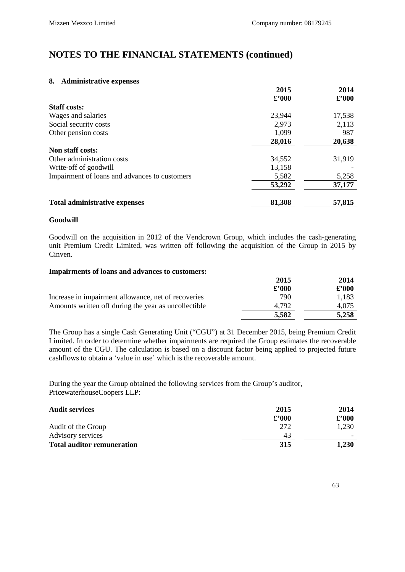#### **8. Administrative expenses**

|                                               | 2015           | 2014           |
|-----------------------------------------------|----------------|----------------|
|                                               | $\pounds$ '000 | $\pounds$ '000 |
| <b>Staff costs:</b>                           |                |                |
| Wages and salaries                            | 23,944         | 17,538         |
| Social security costs                         | 2,973          | 2,113          |
| Other pension costs                           | 1,099          | 987            |
|                                               | 28,016         | 20,638         |
| Non staff costs:                              |                |                |
| Other administration costs                    | 34,552         | 31,919         |
| Write-off of goodwill                         | 13,158         |                |
| Impairment of loans and advances to customers | 5,582          | 5,258          |
|                                               | 53,292         | 37,177         |
| <b>Total administrative expenses</b>          | 81,308         | 57,815         |

#### **Goodwill**

Goodwill on the acquisition in 2012 of the Vendcrown Group, which includes the cash-generating unit Premium Credit Limited, was written off following the acquisition of the Group in 2015 by Cinven.

#### **Impairments of loans and advances to customers:**

|                                                      | 2015           | 2014           |
|------------------------------------------------------|----------------|----------------|
|                                                      | $\pounds$ '000 | $\pounds$ '000 |
| Increase in impairment allowance, net of recoveries  | 790            | 1.183          |
| Amounts written off during the year as uncollectible | 4.792          | 4.075          |
|                                                      | 5,582          | 5,258          |

The Group has a single Cash Generating Unit ("CGU") at 31 December 2015, being Premium Credit Limited. In order to determine whether impairments are required the Group estimates the recoverable amount of the CGU. The calculation is based on a discount factor being applied to projected future cashflows to obtain a 'value in use' which is the recoverable amount.

During the year the Group obtained the following services from the Group's auditor, PricewaterhouseCoopers LLP:

| <b>Audit services</b>             | 2015           | 2014          |
|-----------------------------------|----------------|---------------|
|                                   | $\pounds$ '000 | $\pounds 000$ |
| Audit of the Group                | 272            | 1.230         |
| Advisory services                 | 43             |               |
| <b>Total auditor remuneration</b> | 315            | 1,230         |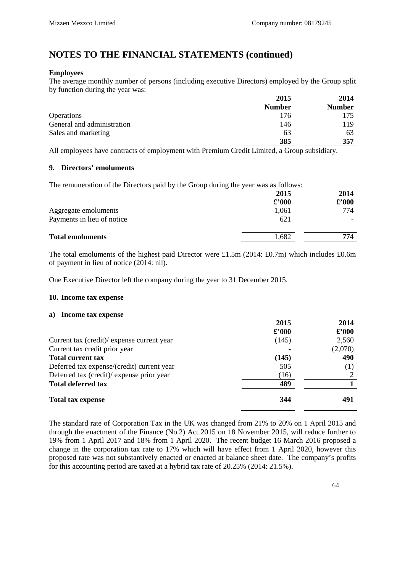#### **Employees**

The average monthly number of persons (including executive Directors) employed by the Group split by function during the year was:

|                            | 2015          | 2014          |
|----------------------------|---------------|---------------|
|                            | <b>Number</b> | <b>Number</b> |
| <b>Operations</b>          | 176           | 175           |
| General and administration | 146           | 119           |
| Sales and marketing        | 63            | 63            |
|                            | 385           | 357           |

All employees have contracts of employment with Premium Credit Limited, a Group subsidiary.

#### **9. Directors' emoluments**

The remuneration of the Directors paid by the Group during the year was as follows:

|                            | 2015           | 2014           |
|----------------------------|----------------|----------------|
|                            | $\pounds$ '000 | $\pounds$ '000 |
| Aggregate emoluments       | 1,061          | 774            |
| Payments in lieu of notice | 621            |                |
| <b>Total emoluments</b>    | 1,682          | 774            |
|                            |                |                |

The total emoluments of the highest paid Director were £1.5m (2014: £0.7m) which includes £0.6m of payment in lieu of notice (2014: nil).

One Executive Director left the company during the year to 31 December 2015.

#### **10. Income tax expense**

#### **a) Income tax expense**

|                                            | 2015           | 2014           |
|--------------------------------------------|----------------|----------------|
|                                            | $\pounds$ '000 | $\pounds$ '000 |
| Current tax (credit)/ expense current year | (145)          | 2,560          |
| Current tax credit prior year              |                | (2,070)        |
| <b>Total current tax</b>                   | (145)          | 490            |
| Deferred tax expense/(credit) current year | 505            |                |
| Deferred tax (credit)/ expense prior year  | (16)           |                |
| <b>Total deferred tax</b>                  | 489            |                |
| <b>Total tax expense</b>                   | 344            | 491            |

The standard rate of Corporation Tax in the UK was changed from 21% to 20% on 1 April 2015 and through the enactment of the Finance (No.2) Act 2015 on 18 November 2015, will reduce further to 19% from 1 April 2017 and 18% from 1 April 2020. The recent budget 16 March 2016 proposed a change in the corporation tax rate to 17% which will have effect from 1 April 2020, however this proposed rate was not substantively enacted or enacted at balance sheet date. The company's profits for this accounting period are taxed at a hybrid tax rate of 20.25% (2014: 21.5%).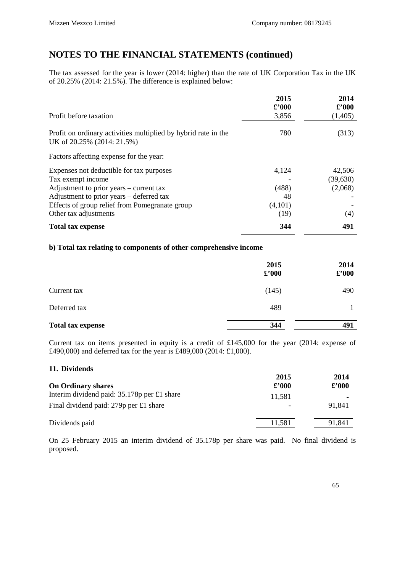The tax assessed for the year is lower (2014: higher) than the rate of UK Corporation Tax in the UK of 20.25% (2014: 21.5%). The difference is explained below:

|                                                                                              | 2015                    | 2014                      |
|----------------------------------------------------------------------------------------------|-------------------------|---------------------------|
| Profit before taxation                                                                       | $\pounds$ '000<br>3,856 | $\pounds$ '000<br>(1,405) |
| Profit on ordinary activities multiplied by hybrid rate in the<br>UK of 20.25% (2014: 21.5%) | 780                     | (313)                     |
| Factors affecting expense for the year:                                                      |                         |                           |
| Expenses not deductible for tax purposes                                                     | 4,124                   | 42,506                    |
| Tax exempt income                                                                            |                         | (39,630)                  |
| Adjustment to prior years – current tax                                                      | (488)                   | (2,068)                   |
| Adjustment to prior years – deferred tax                                                     | 48                      |                           |
| Effects of group relief from Pomegranate group                                               | (4,101)                 |                           |
| Other tax adjustments                                                                        | (19)                    | (4)                       |
| <b>Total tax expense</b>                                                                     | 344                     | 491                       |

#### **b) Total tax relating to components of other comprehensive income**

|                          | 2015<br>$\pounds$ '000 | 2014<br>$\pounds$ '000 |
|--------------------------|------------------------|------------------------|
| Current tax              | (145)                  | 490                    |
| Deferred tax             | 489                    |                        |
| <b>Total tax expense</b> | 344                    | 491                    |

Current tax on items presented in equity is a credit of £145,000 for the year (2014: expense of £490,000) and deferred tax for the year is £489,000 (2014: £1,000).

| 11. Dividends                                 |                |                |
|-----------------------------------------------|----------------|----------------|
|                                               | 2015           | 2014           |
| <b>On Ordinary shares</b>                     | $\pounds$ '000 | $\pounds$ '000 |
| Interim dividend paid: $35.178p$ per £1 share | 11.581         |                |
| Final dividend paid: $279p$ per £1 share      |                | 91.841         |
| Dividends paid                                | 11,581         | 91,841         |

On 25 February 2015 an interim dividend of 35.178p per share was paid. No final dividend is proposed.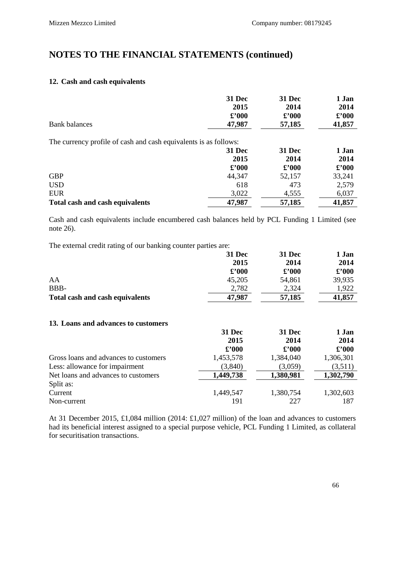#### **12. Cash and cash equivalents**

| <b>Bank balances</b>                                             | 31 Dec<br>2015<br>$\pounds$ '000<br>47,987 | 31 Dec<br>2014<br>$\pounds$ '000<br>57,185 | 1 Jan<br>2014<br>$\pounds$ '000<br>41,857 |
|------------------------------------------------------------------|--------------------------------------------|--------------------------------------------|-------------------------------------------|
| The currency profile of cash and cash equivalents is as follows: |                                            |                                            |                                           |
|                                                                  | <b>31 Dec</b>                              | <b>31 Dec</b>                              | 1 Jan                                     |
|                                                                  | 2015                                       | 2014                                       | 2014                                      |
|                                                                  | $\pounds 000$                              | $\pounds$ '000                             | $\pounds$ '000                            |
| <b>GBP</b>                                                       | 44,347                                     | 52,157                                     | 33,241                                    |
| <b>USD</b>                                                       | 618                                        | 473                                        | 2,579                                     |
| <b>EUR</b>                                                       | 3,022                                      | 4,555                                      | 6,037                                     |
| <b>Total cash and cash equivalents</b>                           | 47,987                                     | 57,185                                     | 41,857                                    |

Cash and cash equivalents include encumbered cash balances held by PCL Funding 1 Limited (see note 26).

The external credit rating of our banking counter parties are:

|                                        | 31 Dec         | 31 Dec         | 1 Jan          |
|----------------------------------------|----------------|----------------|----------------|
|                                        | 2015           | 2014           | 2014           |
|                                        | $\pounds$ '000 | $\pounds$ '000 | $\pounds$ '000 |
| AA                                     | 45,205         | 54,861         | 39,935         |
| BBB-                                   | 2,782          | 2,324          | 1.922          |
| <b>Total cash and cash equivalents</b> | 47,987         | 57,185         | 41,857         |

#### **13. Loans and advances to customers**

|                                       | 31 Dec         | 31 Dec    | 1 Jan          |  |
|---------------------------------------|----------------|-----------|----------------|--|
|                                       | 2015           | 2014      | 2014           |  |
|                                       | $\pounds$ '000 | £'000     | $\pounds$ '000 |  |
| Gross loans and advances to customers | 1,453,578      | 1,384,040 | 1,306,301      |  |
| Less: allowance for impairment        | (3,840)        | (3,059)   | (3,511)        |  |
| Net loans and advances to customers   | 1,449,738      | 1,380,981 | 1,302,790      |  |
| Split as:                             |                |           |                |  |
| Current                               | 1,449,547      | 1,380,754 | 1,302,603      |  |
| Non-current                           | 191            | 227       | 187            |  |

At 31 December 2015, £1,084 million (2014: £1,027 million) of the loan and advances to customers had its beneficial interest assigned to a special purpose vehicle, PCL Funding 1 Limited, as collateral for securitisation transactions.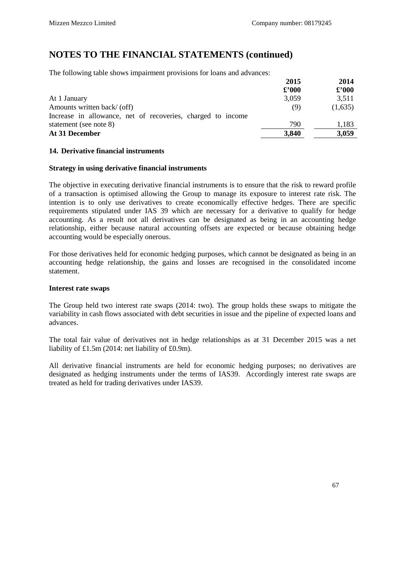The following table shows impairment provisions for loans and advances:

|                                                             | 2015           | 2014          |
|-------------------------------------------------------------|----------------|---------------|
|                                                             | $\pounds$ '000 | $\pounds 000$ |
| At 1 January                                                | 3,059          | 3,511         |
| Amounts written back/ (off)                                 | (9)            | (1,635)       |
| Increase in allowance, net of recoveries, charged to income |                |               |
| statement (see note 8)                                      | 790            | 1.183         |
| At 31 December                                              | 3,840          | 3,059         |

#### **14. Derivative financial instruments**

#### **Strategy in using derivative financial instruments**

The objective in executing derivative financial instruments is to ensure that the risk to reward profile of a transaction is optimised allowing the Group to manage its exposure to interest rate risk. The intention is to only use derivatives to create economically effective hedges. There are specific requirements stipulated under IAS 39 which are necessary for a derivative to qualify for hedge accounting. As a result not all derivatives can be designated as being in an accounting hedge relationship, either because natural accounting offsets are expected or because obtaining hedge accounting would be especially onerous.

For those derivatives held for economic hedging purposes, which cannot be designated as being in an accounting hedge relationship, the gains and losses are recognised in the consolidated income statement.

#### **Interest rate swaps**

The Group held two interest rate swaps (2014: two). The group holds these swaps to mitigate the variability in cash flows associated with debt securities in issue and the pipeline of expected loans and advances.

The total fair value of derivatives not in hedge relationships as at 31 December 2015 was a net liability of £1.5m (2014: net liability of £0.9m).

All derivative financial instruments are held for economic hedging purposes; no derivatives are designated as hedging instruments under the terms of IAS39. Accordingly interest rate swaps are treated as held for trading derivatives under IAS39.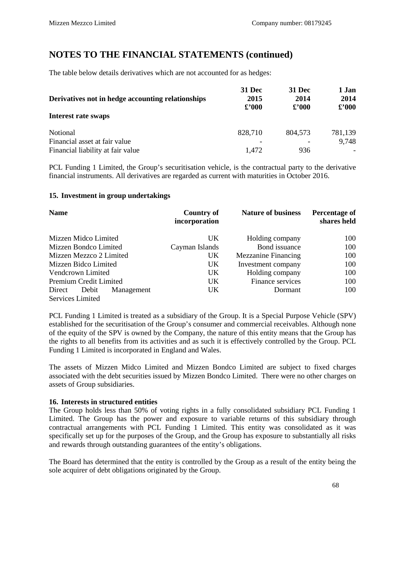The table below details derivatives which are not accounted for as hedges:

| Derivatives not in hedge accounting relationships | 31 Dec<br>2015<br>$\pounds 000$ | 31 Dec<br>2014<br>$\pounds$ 000 | 1 Jan<br>2014<br>$\pounds$ '000 |
|---------------------------------------------------|---------------------------------|---------------------------------|---------------------------------|
| Interest rate swaps                               |                                 |                                 |                                 |
| <b>Notional</b>                                   | 828,710                         | 804.573                         | 781,139                         |
| Financial asset at fair value                     |                                 |                                 | 9,748                           |
| Financial liability at fair value                 | 1.472                           | 936                             |                                 |

PCL Funding 1 Limited, the Group's securitisation vehicle, is the contractual party to the derivative financial instruments. All derivatives are regarded as current with maturities in October 2016.

#### **15. Investment in group undertakings**

| <b>Name</b>                   | <b>Country of</b><br>incorporation | <b>Nature of business</b>  | Percentage of<br>shares held |
|-------------------------------|------------------------------------|----------------------------|------------------------------|
| Mizzen Midco Limited          | <b>UK</b>                          | Holding company            | 100                          |
| Mizzen Bondco Limited         | Cayman Islands                     | Bond issuance              | 100                          |
| Mizzen Mezzco 2 Limited       | UK                                 | <b>Mezzanine Financing</b> | 100                          |
| Mizzen Bidco Limited          | UK                                 | Investment company         | 100                          |
| Vendcrown Limited             | UK.                                | Holding company            | 100                          |
| Premium Credit Limited        | UK.                                | Finance services           | 100                          |
| Direct<br>Debit<br>Management | UK.                                | Dormant                    | 100                          |
| <b>Services Limited</b>       |                                    |                            |                              |

PCL Funding 1 Limited is treated as a subsidiary of the Group. It is a Special Purpose Vehicle (SPV) established for the securitisation of the Group's consumer and commercial receivables. Although none of the equity of the SPV is owned by the Company, the nature of this entity means that the Group has the rights to all benefits from its activities and as such it is effectively controlled by the Group. PCL Funding 1 Limited is incorporated in England and Wales.

The assets of Mizzen Midco Limited and Mizzen Bondco Limited are subject to fixed charges associated with the debt securities issued by Mizzen Bondco Limited. There were no other charges on assets of Group subsidiaries.

#### **16. Interests in structured entities**

The Group holds less than 50% of voting rights in a fully consolidated subsidiary PCL Funding 1 Limited. The Group has the power and exposure to variable returns of this subsidiary through contractual arrangements with PCL Funding 1 Limited. This entity was consolidated as it was specifically set up for the purposes of the Group, and the Group has exposure to substantially all risks and rewards through outstanding guarantees of the entity's obligations.

The Board has determined that the entity is controlled by the Group as a result of the entity being the sole acquirer of debt obligations originated by the Group.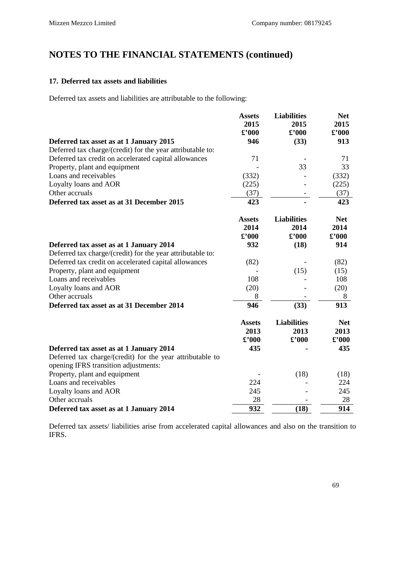#### **17. Deferred tax assets and liabilities**

Deferred tax assets and liabilities are attributable to the following:

|                                                            | <b>Assets</b>  | <b>Liabilities</b> | <b>Net</b>                        |
|------------------------------------------------------------|----------------|--------------------|-----------------------------------|
|                                                            | 2015           | 2015               | 2015                              |
|                                                            | $\pounds$ '000 | £'000              | $\pounds$ '000                    |
| Deferred tax asset as at 1 January 2015                    | 946            | (33)               | 913                               |
| Deferred tax charge/(credit) for the year attributable to: |                |                    |                                   |
| Deferred tax credit on accelerated capital allowances      | 71             |                    | 71                                |
| Property, plant and equipment                              |                | 33                 | 33                                |
| Loans and receivables                                      | (332)          |                    | (332)                             |
| Loyalty loans and AOR                                      | (225)          |                    | (225)                             |
| Other accruals                                             | (37)           |                    | (37)                              |
| Deferred tax asset as at 31 December 2015                  | 423            |                    | 423                               |
|                                                            | <b>Assets</b>  | <b>Liabilities</b> | <b>Net</b>                        |
|                                                            | 2014           | 2014               | 2014                              |
|                                                            | $\pounds$ '000 | £'000              | $\pounds$ '000                    |
| Deferred tax asset as at 1 January 2014                    | 932            | (18)               | 914                               |
| Deferred tax charge/(credit) for the year attributable to: |                |                    |                                   |
| Deferred tax credit on accelerated capital allowances      | (82)           |                    | (82)                              |
| Property, plant and equipment                              |                | (15)               | (15)                              |
| Loans and receivables                                      | 108            |                    | 108                               |
| Loyalty loans and AOR                                      | (20)           |                    | (20)                              |
| Other accruals                                             | 8              |                    | 8                                 |
| Deferred tax asset as at 31 December 2014                  | 946            | (33)               | 913                               |
|                                                            | <b>Assets</b>  | <b>Liabilities</b> | <b>Net</b>                        |
|                                                            | 2013           | 2013               | 2013                              |
|                                                            | $\pounds$ '000 | $\pounds$ '000     | $\pmb{\pounds}^{\pmb{\cdot}} 000$ |
| Deferred tax asset as at 1 January 2014                    | 435            |                    | 435                               |
| Deferred tax charge/(credit) for the year attributable to  |                |                    |                                   |
| opening IFRS transition adjustments:                       |                |                    |                                   |
| Property, plant and equipment                              |                | (18)               | (18)                              |
| Loans and receivables                                      | 224            |                    | 224                               |
| Loyalty loans and AOR                                      | 245            |                    | 245                               |
| Other accruals                                             | 28             |                    | 28                                |
| Deferred tax asset as at 1 January 2014                    | 932            | (18)               | 914                               |

Deferred tax assets/ liabilities arise from accelerated capital allowances and also on the transition to IFRS.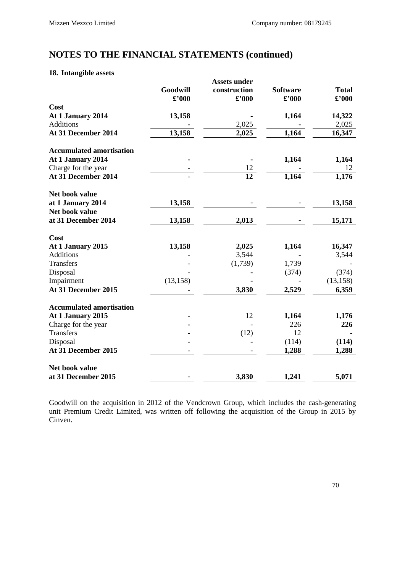#### **18. Intangible assets**

|                                 | Goodwill<br>$\pounds$ '000 | <b>Assets under</b><br>construction<br>$\pounds$ '000 | <b>Software</b><br>$\pounds$ '000 | <b>Total</b><br>$\pounds$ '000 |
|---------------------------------|----------------------------|-------------------------------------------------------|-----------------------------------|--------------------------------|
| Cost                            |                            |                                                       |                                   |                                |
| At 1 January 2014               | 13,158                     |                                                       | 1,164                             | 14,322                         |
| <b>Additions</b>                |                            | 2,025                                                 |                                   | 2,025                          |
| At 31 December 2014             | 13,158                     | 2,025                                                 | 1,164                             | 16,347                         |
| <b>Accumulated amortisation</b> |                            |                                                       |                                   |                                |
| At 1 January 2014               |                            |                                                       | 1,164                             | 1,164                          |
| Charge for the year             |                            | 12                                                    |                                   | 12                             |
| At 31 December 2014             |                            | 12                                                    | 1,164                             | 1,176                          |
| Net book value                  |                            |                                                       |                                   |                                |
| at 1 January 2014               | 13,158                     |                                                       |                                   | 13,158                         |
| Net book value                  |                            |                                                       |                                   |                                |
| at 31 December 2014             | 13,158                     | 2,013                                                 |                                   | 15,171                         |
| Cost                            |                            |                                                       |                                   |                                |
| At 1 January 2015               | 13,158                     | 2,025                                                 | 1,164                             | 16,347                         |
| <b>Additions</b>                |                            | 3,544                                                 |                                   | 3,544                          |
| <b>Transfers</b>                |                            | (1,739)                                               | 1,739                             |                                |
| Disposal                        |                            |                                                       | (374)                             | (374)                          |
| Impairment                      | (13, 158)                  |                                                       |                                   | (13, 158)                      |
| At 31 December 2015             |                            | 3,830                                                 | 2,529                             | 6,359                          |
| <b>Accumulated amortisation</b> |                            |                                                       |                                   |                                |
| At 1 January 2015               |                            | 12                                                    | 1,164                             | 1,176                          |
| Charge for the year             |                            |                                                       | 226                               | 226                            |
| <b>Transfers</b>                |                            | (12)                                                  | 12                                |                                |
| Disposal                        |                            |                                                       | (114)                             | (114)                          |
| At 31 December 2015             |                            |                                                       | 1,288                             | 1,288                          |
| Net book value                  |                            |                                                       |                                   |                                |
| at 31 December 2015             |                            | 3,830                                                 | 1,241                             | 5,071                          |

Goodwill on the acquisition in 2012 of the Vendcrown Group, which includes the cash-generating unit Premium Credit Limited, was written off following the acquisition of the Group in 2015 by Cinven.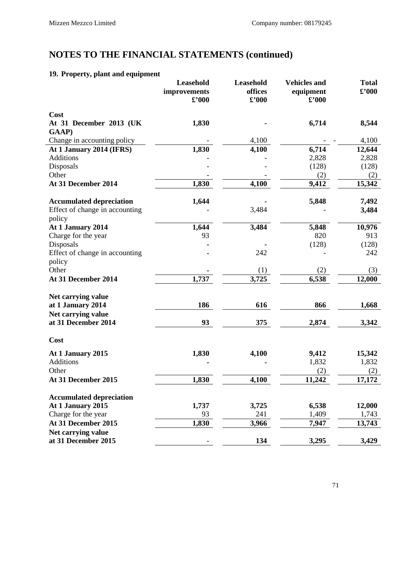### **19. Property, plant and equipment**

|                                          | <b>Leasehold</b><br>improvements | Leasehold<br>offices        | <b>Vehicles and</b><br>equipment | <b>Total</b><br>$\pounds$ '000 |
|------------------------------------------|----------------------------------|-----------------------------|----------------------------------|--------------------------------|
|                                          | $\pmb{\pounds}$ '000             | $\pmb{\pounds}^{\prime}000$ | $\pounds$ '000                   |                                |
| Cost                                     |                                  |                             |                                  |                                |
| At 31 December 2013 (UK                  | 1,830                            |                             | 6,714                            | 8,544                          |
| GAAP)                                    |                                  |                             |                                  |                                |
| Change in accounting policy              |                                  | 4,100                       |                                  | 4,100                          |
| At 1 January 2014 (IFRS)                 | 1,830                            | 4,100                       | 6,714                            | 12,644                         |
| <b>Additions</b>                         |                                  |                             | 2,828                            | 2,828                          |
| Disposals                                |                                  |                             | (128)                            | (128)                          |
| Other                                    |                                  |                             | (2)                              | (2)                            |
| At 31 December 2014                      | 1,830                            | 4,100                       | 9,412                            | 15,342                         |
| <b>Accumulated depreciation</b>          | 1,644                            |                             | 5,848                            | 7,492                          |
| Effect of change in accounting<br>policy |                                  | 3,484                       |                                  | 3,484                          |
| At 1 January 2014                        | 1,644                            | 3,484                       | 5,848                            | 10,976                         |
| Charge for the year                      | 93                               |                             | 820                              | 913                            |
| Disposals                                |                                  |                             | (128)                            | (128)                          |
| Effect of change in accounting           |                                  | 242                         |                                  | 242                            |
| policy                                   |                                  |                             |                                  |                                |
| Other                                    |                                  | (1)                         | (2)                              | (3)                            |
| At 31 December 2014                      | 1,737                            | 3,725                       | 6,538                            | 12,000                         |
| Net carrying value                       |                                  |                             |                                  |                                |
| at 1 January 2014                        | 186                              | 616                         | 866                              | 1,668                          |
| Net carrying value                       |                                  |                             |                                  |                                |
| at 31 December 2014                      | 93                               | 375                         | 2,874                            | 3,342                          |
| Cost                                     |                                  |                             |                                  |                                |
| At 1 January 2015                        | 1,830                            | 4,100                       | 9,412                            | 15,342                         |
| Additions                                |                                  |                             | 1,832                            | 1,832                          |
| Other                                    |                                  |                             | (2)                              | (2)                            |
| At 31 December 2015                      | 1,830                            | 4,100                       | 11,242                           | 17,172                         |
| <b>Accumulated depreciation</b>          |                                  |                             |                                  |                                |
| At 1 January 2015                        | 1,737                            | 3,725                       | 6,538                            | 12,000                         |
| Charge for the year                      | 93                               | 241                         | 1,409                            | 1,743                          |
| At 31 December 2015                      | 1,830                            | 3,966                       | 7,947                            | 13,743                         |
| Net carrying value                       |                                  |                             |                                  |                                |
| at 31 December 2015                      | $\overline{\phantom{0}}$         | 134                         | 3,295                            | 3,429                          |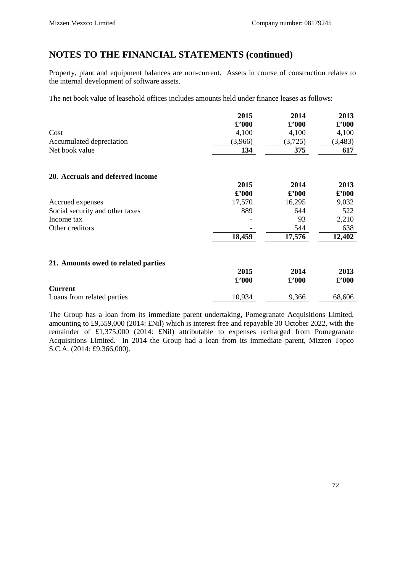Property, plant and equipment balances are non-current. Assets in course of construction relates to the internal development of software assets.

The net book value of leasehold offices includes amounts held under finance leases as follows:

|                                     | 2015           | 2014                              | 2013                              |
|-------------------------------------|----------------|-----------------------------------|-----------------------------------|
|                                     | $\pounds$ '000 | $\pounds$ '000                    | $\pounds$ '000                    |
| Cost                                | 4,100          | 4,100                             | 4,100                             |
| Accumulated depreciation            | (3,966)        | (3,725)                           | (3,483)                           |
| Net book value                      | 134            | 375                               | 617                               |
| 20. Accruals and deferred income    |                |                                   |                                   |
|                                     | 2015           | 2014                              | 2013                              |
|                                     | $\pounds$ '000 | $\pmb{\pounds}^{\pmb{\cdot}} 000$ | $\pounds$ '000                    |
| Accrued expenses                    | 17,570         | 16,295                            | 9,032                             |
| Social security and other taxes     | 889            | 644                               | 522                               |
| Income tax                          |                | 93                                | 2,210                             |
| Other creditors                     |                | 544                               | 638                               |
|                                     | 18,459         | 17,576                            | 12,402                            |
| 21. Amounts owed to related parties |                |                                   |                                   |
|                                     | 2015           | 2014                              | 2013                              |
|                                     | $\pounds$ '000 | $\pmb{\pounds}^{\pmb{\cdot}} 000$ | $\pmb{\pounds}^{\pmb{\cdot}} 000$ |
| <b>Current</b>                      |                |                                   |                                   |
| Loans from related parties          | 10,934         | 9,366                             | 68,606                            |

The Group has a loan from its immediate parent undertaking, Pomegranate Acquisitions Limited, amounting to £9,559,000 (2014: £Nil) which is interest free and repayable 30 October 2022, with the remainder of £1,375,000 (2014: £Nil) attributable to expenses recharged from Pomegranate Acquisitions Limited. In 2014 the Group had a loan from its immediate parent, Mizzen Topco S.C.A. (2014: £9,366,000).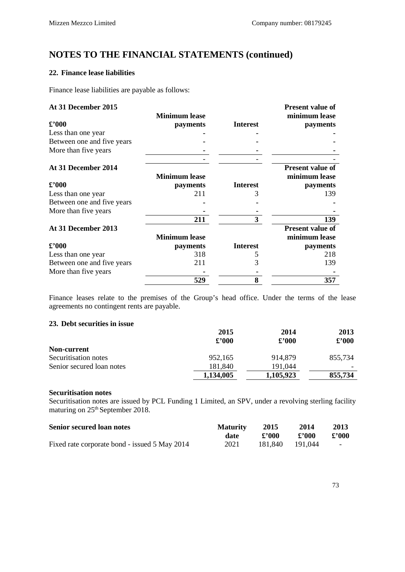## **22. Finance lease liabilities**

Finance lease liabilities are payable as follows:

| <b>At 31 December 2015</b> |  |
|----------------------------|--|
|----------------------------|--|

| At 31 December 2015        |                      |                 | <b>Present value of</b> |
|----------------------------|----------------------|-----------------|-------------------------|
|                            | <b>Minimum lease</b> |                 | minimum lease           |
| $\pounds$ '000             | payments             | <b>Interest</b> | payments                |
| Less than one year         |                      |                 |                         |
| Between one and five years |                      |                 |                         |
| More than five years       |                      |                 |                         |
|                            |                      |                 |                         |
| At 31 December 2014        |                      |                 | <b>Present value of</b> |
|                            | <b>Minimum lease</b> |                 | minimum lease           |
| $\pounds$ '000             | payments             | <b>Interest</b> | payments                |
| Less than one year         | 211                  | 3               | 139                     |
| Between one and five years |                      |                 |                         |
| More than five years       |                      |                 |                         |
|                            | 211                  | 3               | 139                     |
| At 31 December 2013        |                      |                 | <b>Present value of</b> |
|                            | <b>Minimum lease</b> |                 | minimum lease           |
| $\pounds$ '000             | payments             | <b>Interest</b> | payments                |
| Less than one year         | 318                  |                 | 218                     |
| Between one and five years | 211                  | 3               | 139                     |
| More than five years       |                      |                 |                         |
|                            | 529                  | 8               | 357                     |

Finance leases relate to the premises of the Group's head office. Under the terms of the lease agreements no contingent rents are payable.

### **23. Debt securities in issue**

|                           | 2015           | 2014           | 2013          |
|---------------------------|----------------|----------------|---------------|
|                           | $\pounds$ '000 | $\pounds$ '000 | $\pounds 000$ |
| Non-current               |                |                |               |
| Securitisation notes      | 952,165        | 914.879        | 855.734       |
| Senior secured loan notes | 181.840        | 191.044        |               |
|                           | 1,134,005      | 1,105,923      | 855,734       |

#### **Securitisation notes**

Securitisation notes are issued by PCL Funding 1 Limited, an SPV, under a revolving sterling facility maturing on  $25<sup>th</sup>$  September 2018.

| <b>Senior secured loan notes</b>              | <b>Maturity</b> | 2015            | 2014  | 2013   |
|-----------------------------------------------|-----------------|-----------------|-------|--------|
|                                               | date            | £'000           | £'000 | £'000  |
| Fixed rate corporate bond - issued 5 May 2014 | 2021            | 181.840 191.044 |       | $\sim$ |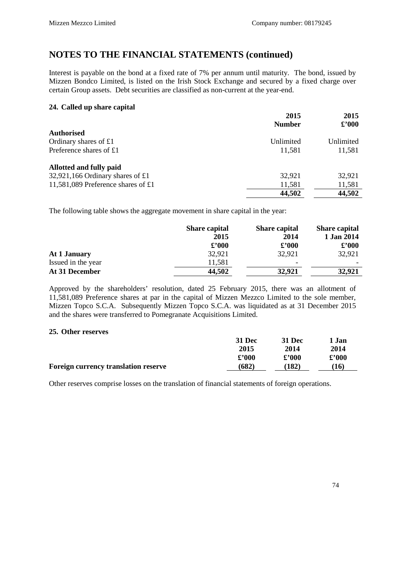Interest is payable on the bond at a fixed rate of 7% per annum until maturity. The bond, issued by Mizzen Bondco Limited, is listed on the Irish Stock Exchange and secured by a fixed charge over certain Group assets. Debt securities are classified as non-current at the year-end.

#### **24. Called up share capital**

|                                    | 2015          | 2015           |  |
|------------------------------------|---------------|----------------|--|
|                                    | <b>Number</b> | $\pounds$ '000 |  |
| <b>Authorised</b>                  |               |                |  |
| Ordinary shares of £1              | Unlimited     | Unlimited      |  |
| Preference shares of £1            | 11,581        | 11,581         |  |
| Allotted and fully paid            |               |                |  |
| 32,921,166 Ordinary shares of £1   | 32,921        | 32,921         |  |
| 11,581,089 Preference shares of £1 | 11,581        | 11,581         |  |
|                                    | 44,502        | 44,502         |  |

The following table shows the aggregate movement in share capital in the year:

| <b>Share capital</b> | <b>Share capital</b>     | <b>Share capital</b> |
|----------------------|--------------------------|----------------------|
| 2015                 | 2014                     | 1 Jan 2014           |
| $\pounds$ '000       | $\pounds$ '000           | $\pounds$ '000       |
| 32,921               | 32,921                   | 32,921               |
| 11,581               | $\overline{\phantom{a}}$ |                      |
| 44,502               | 32,921                   | 32,921               |
|                      |                          |                      |

Approved by the shareholders' resolution, dated 25 February 2015, there was an allotment of 11,581,089 Preference shares at par in the capital of Mizzen Mezzco Limited to the sole member, Mizzen Topco S.C.A. Subsequently Mizzen Topco S.C.A. was liquidated as at 31 December 2015 and the shares were transferred to Pomegranate Acquisitions Limited.

#### **25. Other reserves**

|                                             | <b>31 Dec</b>  | <b>31 Dec</b> | 1 Jan          |
|---------------------------------------------|----------------|---------------|----------------|
|                                             | 2015           | 2014          | 2014           |
|                                             | $\pounds$ '000 | $\pounds 000$ | $\pounds$ '000 |
| <b>Foreign currency translation reserve</b> | (682)          | (182)         | 16)            |

Other reserves comprise losses on the translation of financial statements of foreign operations.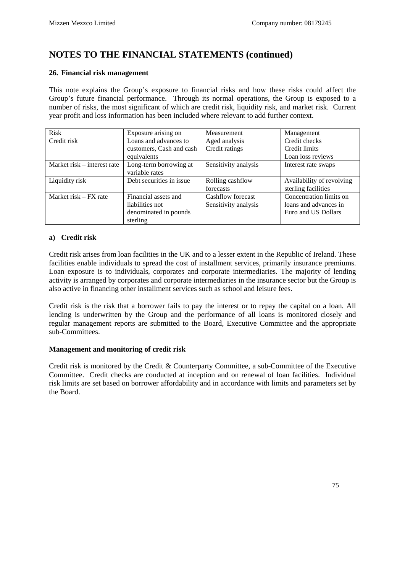### **26. Financial risk management**

This note explains the Group's exposure to financial risks and how these risks could affect the Group's future financial performance. Through its normal operations, the Group is exposed to a number of risks, the most significant of which are credit risk, liquidity risk, and market risk. Current year profit and loss information has been included where relevant to add further context.

| <b>Risk</b>                 | Exposure arising on      | Measurement          | Management                |
|-----------------------------|--------------------------|----------------------|---------------------------|
| Credit risk                 | Loans and advances to    | Aged analysis        | Credit checks             |
|                             | customers, Cash and cash | Credit ratings       | Credit limits             |
|                             | equivalents              |                      | Loan loss reviews         |
| Market risk – interest rate | Long-term borrowing at   | Sensitivity analysis | Interest rate swaps       |
|                             | variable rates           |                      |                           |
| Liquidity risk              | Debt securities in issue | Rolling cashflow     | Availability of revolving |
|                             |                          | forecasts            | sterling facilities       |
| Market risk $-$ FX rate     | Financial assets and     | Cashflow forecast    | Concentration limits on   |
|                             | liabilities not          | Sensitivity analysis | loans and advances in     |
|                             | denominated in pounds    |                      | Euro and US Dollars       |
|                             | sterling                 |                      |                           |

### **a) Credit risk**

Credit risk arises from loan facilities in the UK and to a lesser extent in the Republic of Ireland. These facilities enable individuals to spread the cost of installment services, primarily insurance premiums. Loan exposure is to individuals, corporates and corporate intermediaries. The majority of lending activity is arranged by corporates and corporate intermediaries in the insurance sector but the Group is also active in financing other installment services such as school and leisure fees.

Credit risk is the risk that a borrower fails to pay the interest or to repay the capital on a loan. All lending is underwritten by the Group and the performance of all loans is monitored closely and regular management reports are submitted to the Board, Executive Committee and the appropriate sub-Committees.

### **Management and monitoring of credit risk**

Credit risk is monitored by the Credit & Counterparty Committee, a sub-Committee of the Executive Committee. Credit checks are conducted at inception and on renewal of loan facilities. Individual risk limits are set based on borrower affordability and in accordance with limits and parameters set by the Board.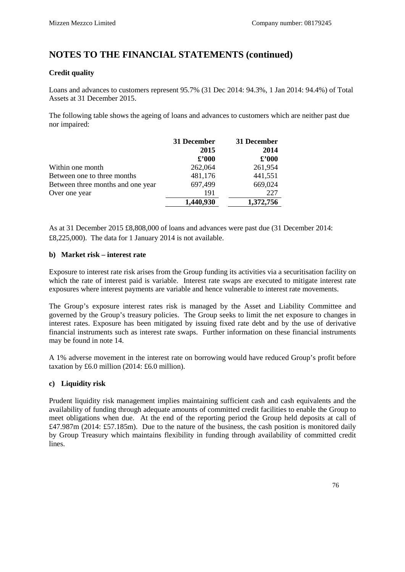### **Credit quality**

Loans and advances to customers represent 95.7% (31 Dec 2014: 94.3%, 1 Jan 2014: 94.4%) of Total Assets at 31 December 2015.

The following table shows the ageing of loans and advances to customers which are neither past due nor impaired:

|                                   | 31 December    | 31 December    |
|-----------------------------------|----------------|----------------|
|                                   | 2015           | 2014           |
|                                   | $\pounds$ '000 | $\pounds$ '000 |
| Within one month                  | 262,064        | 261,954        |
| Between one to three months       | 481,176        | 441,551        |
| Between three months and one year | 697,499        | 669,024        |
| Over one year                     | 191            | 227            |
|                                   | 1,440,930      | 1,372,756      |

As at 31 December 2015 £8,808,000 of loans and advances were past due (31 December 2014: £8,225,000). The data for 1 January 2014 is not available.

### **b) Market risk – interest rate**

Exposure to interest rate risk arises from the Group funding its activities via a securitisation facility on which the rate of interest paid is variable. Interest rate swaps are executed to mitigate interest rate exposures where interest payments are variable and hence vulnerable to interest rate movements.

The Group's exposure interest rates risk is managed by the Asset and Liability Committee and governed by the Group's treasury policies. The Group seeks to limit the net exposure to changes in interest rates. Exposure has been mitigated by issuing fixed rate debt and by the use of derivative financial instruments such as interest rate swaps. Further information on these financial instruments may be found in note 14.

A 1% adverse movement in the interest rate on borrowing would have reduced Group's profit before taxation by £6.0 million (2014: £6.0 million).

## **c) Liquidity risk**

Prudent liquidity risk management implies maintaining sufficient cash and cash equivalents and the availability of funding through adequate amounts of committed credit facilities to enable the Group to meet obligations when due. At the end of the reporting period the Group held deposits at call of £47.987m (2014: £57.185m). Due to the nature of the business, the cash position is monitored daily by Group Treasury which maintains flexibility in funding through availability of committed credit lines.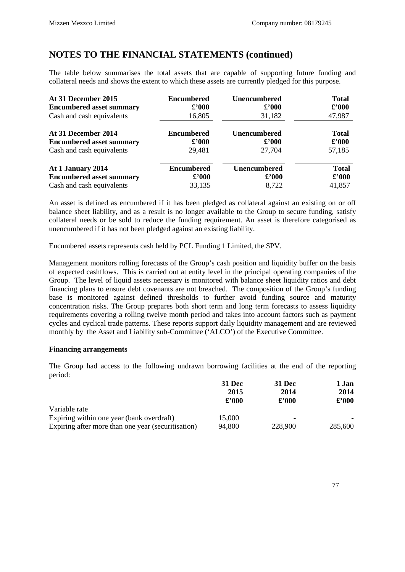The table below summarises the total assets that are capable of supporting future funding and collateral needs and shows the extent to which these assets are currently pledged for this purpose.

| At 31 December 2015             | <b>Encumbered</b> | <b>Unencumbered</b> | <b>Total</b>   |
|---------------------------------|-------------------|---------------------|----------------|
| <b>Encumbered asset summary</b> | $\pounds$ '000    | $\pounds$ '000      | $\pounds$ '000 |
| Cash and cash equivalents       | 16,805            | 31,182              | 47,987         |
| At 31 December 2014             | <b>Encumbered</b> | <b>Unencumbered</b> |                |
| <b>Encumbered asset summary</b> | $\pounds$ '000    | $\pounds$ '000      |                |
| Cash and cash equivalents       | 29,481            | 27,704              |                |
| At 1 January 2014               | <b>Encumbered</b> | <b>Unencumbered</b> | <b>Total</b>   |
| <b>Encumbered asset summary</b> | $\pounds$ '000    | $\pounds$ '000      | $\pounds$ '000 |
| Cash and cash equivalents       | 33,135            | 8,722               | 41,857         |

An asset is defined as encumbered if it has been pledged as collateral against an existing on or off balance sheet liability, and as a result is no longer available to the Group to secure funding, satisfy collateral needs or be sold to reduce the funding requirement. An asset is therefore categorised as unencumbered if it has not been pledged against an existing liability.

Encumbered assets represents cash held by PCL Funding 1 Limited, the SPV.

Management monitors rolling forecasts of the Group's cash position and liquidity buffer on the basis of expected cashflows. This is carried out at entity level in the principal operating companies of the Group. The level of liquid assets necessary is monitored with balance sheet liquidity ratios and debt financing plans to ensure debt covenants are not breached. The composition of the Group's funding base is monitored against defined thresholds to further avoid funding source and maturity concentration risks. The Group prepares both short term and long term forecasts to assess liquidity requirements covering a rolling twelve month period and takes into account factors such as payment cycles and cyclical trade patterns. These reports support daily liquidity management and are reviewed monthly by the Asset and Liability sub-Committee ('ALCO') of the Executive Committee.

### **Financing arrangements**

The Group had access to the following undrawn borrowing facilities at the end of the reporting period:

|                                                    | <b>31 Dec</b>  | <b>31 Dec</b>  | 1 Jan         |  |
|----------------------------------------------------|----------------|----------------|---------------|--|
|                                                    | 2015           | 2014           | 2014          |  |
|                                                    | $\pounds$ '000 | $\pounds$ '000 | $\pounds 000$ |  |
| Variable rate                                      |                |                |               |  |
| Expiring within one year (bank overdraft)          | 15,000         |                |               |  |
| Expiring after more than one year (securitisation) | 94,800         | 228,900        | 285,600       |  |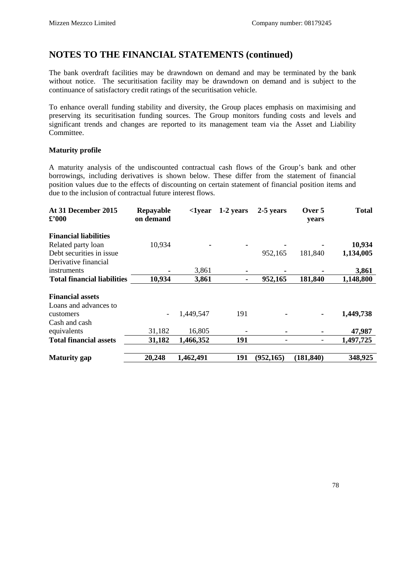The bank overdraft facilities may be drawndown on demand and may be terminated by the bank without notice. The securitisation facility may be drawndown on demand and is subject to the continuance of satisfactory credit ratings of the securitisation vehicle.

To enhance overall funding stability and diversity, the Group places emphasis on maximising and preserving its securitisation funding sources. The Group monitors funding costs and levels and significant trends and changes are reported to its management team via the Asset and Liability Committee.

### **Maturity profile**

A maturity analysis of the undiscounted contractual cash flows of the Group's bank and other borrowings, including derivatives is shown below. These differ from the statement of financial position values due to the effects of discounting on certain statement of financial position items and due to the inclusion of contractual future interest flows.

| At 31 December 2015<br>$\pounds 000$             | Repayable<br>on demand | <1year    | 1-2 years | 2-5 years  | Over 5<br>years          | <b>Total</b> |
|--------------------------------------------------|------------------------|-----------|-----------|------------|--------------------------|--------------|
| <b>Financial liabilities</b>                     |                        |           |           |            |                          |              |
| Related party loan                               | 10,934                 |           |           |            |                          | 10,934       |
| Debt securities in issue.                        |                        |           |           | 952,165    | 181,840                  | 1,134,005    |
| Derivative financial                             |                        |           |           |            |                          |              |
| instruments                                      |                        | 3,861     |           |            |                          | 3,861        |
| <b>Total financial liabilities</b>               | 10,934                 | 3,861     | ۰         | 952,165    | 181,840                  | 1,148,800    |
| <b>Financial assets</b><br>Loans and advances to |                        |           |           |            |                          |              |
| customers                                        | -                      | 1,449,547 | 191       |            | $\blacksquare$           | 1,449,738    |
| Cash and cash<br>equivalents                     | 31,182                 | 16,805    |           |            | $\blacksquare$           | 47,987       |
| <b>Total financial assets</b>                    | 31,182                 | 1,466,352 | 191       |            | $\overline{\phantom{0}}$ | 1,497,725    |
| <b>Maturity</b> gap                              | 20,248                 | 1,462,491 | 191       | (952, 165) | (181, 840)               | 348,925      |
|                                                  |                        |           |           |            |                          |              |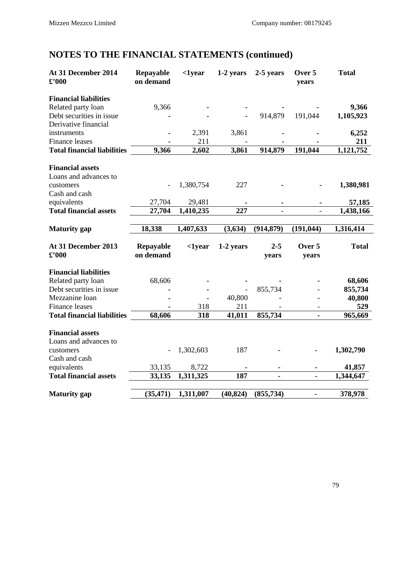| At 31 December 2014<br>$\pounds$ '000                       | Repayable<br>on demand | $1year$      | 1-2 years | 2-5 years  | Over 5<br>years          | <b>Total</b> |
|-------------------------------------------------------------|------------------------|--------------|-----------|------------|--------------------------|--------------|
| <b>Financial liabilities</b>                                |                        |              |           |            |                          |              |
| Related party loan                                          | 9,366                  |              |           |            |                          | 9,366        |
| Debt securities in issue                                    |                        |              |           | 914,879    | 191,044                  | 1,105,923    |
| Derivative financial                                        |                        |              |           |            |                          |              |
| instruments                                                 |                        | 2,391        | 3,861     |            |                          | 6,252        |
| <b>Finance leases</b><br><b>Total financial liabilities</b> | 9,366                  | 211<br>2,602 | 3,861     | 914,879    | 191,044                  | 211          |
|                                                             |                        |              |           |            |                          | 1,121,752    |
| <b>Financial assets</b>                                     |                        |              |           |            |                          |              |
| Loans and advances to                                       |                        |              |           |            |                          |              |
| customers                                                   |                        | 1,380,754    | 227       |            |                          | 1,380,981    |
| Cash and cash                                               |                        |              |           |            |                          |              |
| equivalents                                                 | 27,704                 | 29,481       |           |            |                          | 57,185       |
| <b>Total financial assets</b>                               | 27,704                 | 1,410,235    | 227       |            |                          | 1,438,166    |
| <b>Maturity</b> gap                                         | 18,338                 | 1,407,633    | (3,634)   | (914, 879) | (191, 044)               | 1,316,414    |
| At 31 December 2013                                         | Repayable              | $1year$      | 1-2 years | $2 - 5$    | Over 5                   | <b>Total</b> |
| $\pounds$ '000                                              | on demand              |              |           | years      | years                    |              |
| <b>Financial liabilities</b>                                |                        |              |           |            |                          |              |
| Related party loan                                          | 68,606                 |              |           |            |                          | 68,606       |
| Debt securities in issue                                    |                        |              |           | 855,734    |                          | 855,734      |
| Mezzanine loan                                              |                        |              | 40,800    |            |                          | 40,800       |
| <b>Finance leases</b>                                       |                        | 318          | 211       |            | $\overline{\phantom{a}}$ | 529          |
| <b>Total financial liabilities</b>                          | 68,606                 | 318          | 41,011    | 855,734    |                          | 965,669      |
| <b>Financial assets</b>                                     |                        |              |           |            |                          |              |
| Loans and advances to                                       |                        |              |           |            |                          |              |
| customers                                                   |                        | 1,302,603    | 187       |            |                          | 1,302,790    |
| Cash and cash                                               |                        |              |           |            |                          |              |
| equivalents                                                 | 33,135                 | 8,722        |           |            |                          | 41,857       |
| <b>Total financial assets</b>                               | 33,135                 | 1,311,325    | 187       |            |                          | 1,344,647    |
|                                                             |                        |              |           |            |                          |              |
| <b>Maturity</b> gap                                         | (35, 471)              | 1,311,007    | (40, 824) | (855, 734) | -                        | 378,978      |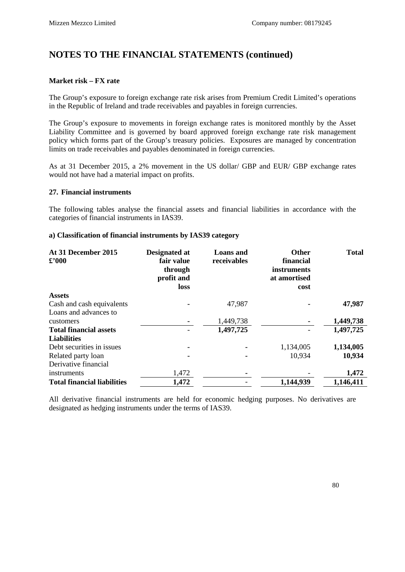### **Market risk – FX rate**

The Group's exposure to foreign exchange rate risk arises from Premium Credit Limited's operations in the Republic of Ireland and trade receivables and payables in foreign currencies.

The Group's exposure to movements in foreign exchange rates is monitored monthly by the Asset Liability Committee and is governed by board approved foreign exchange rate risk management policy which forms part of the Group's treasury policies. Exposures are managed by concentration limits on trade receivables and payables denominated in foreign currencies.

As at 31 December 2015, a 2% movement in the US dollar/ GBP and EUR/ GBP exchange rates would not have had a material impact on profits.

#### **27. Financial instruments**

The following tables analyse the financial assets and financial liabilities in accordance with the categories of financial instruments in IAS39.

#### **a) Classification of financial instruments by IAS39 category**

| At 31 December 2015<br>$\pounds$ '000 | Designated at<br>fair value<br>through<br>profit and<br>loss | <b>Loans</b> and<br>receivables | <b>Other</b><br>financial<br>instruments<br>at amortised<br>cost | <b>Total</b> |
|---------------------------------------|--------------------------------------------------------------|---------------------------------|------------------------------------------------------------------|--------------|
| <b>Assets</b>                         |                                                              |                                 |                                                                  |              |
| Cash and cash equivalents             |                                                              | 47,987                          |                                                                  | 47,987       |
| Loans and advances to                 |                                                              |                                 |                                                                  |              |
| customers                             |                                                              | 1,449,738                       |                                                                  | 1,449,738    |
| <b>Total financial assets</b>         |                                                              | 1,497,725                       |                                                                  | 1,497,725    |
| <b>Liabilities</b>                    |                                                              |                                 |                                                                  |              |
| Debt securities in issues             | ۰                                                            | $\blacksquare$                  | 1,134,005                                                        | 1,134,005    |
| Related party loan                    |                                                              | $\blacksquare$                  | 10,934                                                           | 10,934       |
| Derivative financial                  |                                                              |                                 |                                                                  |              |
| instruments                           | 1,472                                                        |                                 |                                                                  | 1,472        |
| <b>Total financial liabilities</b>    | 1,472                                                        |                                 | 1,144,939                                                        | 1,146,411    |

All derivative financial instruments are held for economic hedging purposes. No derivatives are designated as hedging instruments under the terms of IAS39.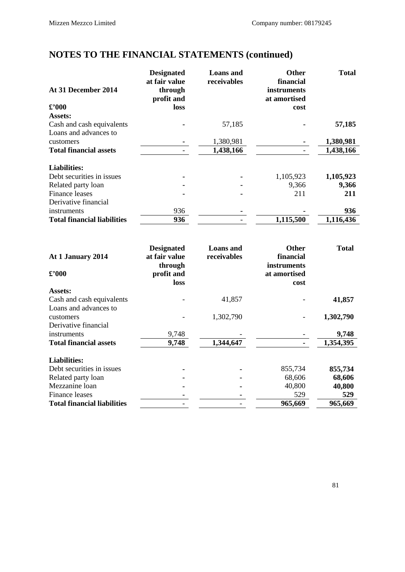| At 31 December 2014                | <b>Designated</b><br>at fair value<br>through<br>profit and | <b>Loans</b> and<br>receivables | <b>Other</b><br>financial<br><i>instruments</i><br>at amortised | <b>Total</b> |
|------------------------------------|-------------------------------------------------------------|---------------------------------|-----------------------------------------------------------------|--------------|
| $\pounds$ '000                     | <b>loss</b>                                                 |                                 | cost                                                            |              |
| Assets:                            |                                                             |                                 |                                                                 |              |
| Cash and cash equivalents          |                                                             | 57,185                          |                                                                 | 57,185       |
| Loans and advances to              |                                                             |                                 |                                                                 |              |
| customers                          |                                                             | 1,380,981                       |                                                                 | 1,380,981    |
| <b>Total financial assets</b>      |                                                             | 1,438,166                       |                                                                 | 1,438,166    |
| <b>Liabilities:</b>                |                                                             |                                 |                                                                 |              |
| Debt securities in issues          |                                                             |                                 | 1,105,923                                                       | 1,105,923    |
| Related party loan                 |                                                             |                                 | 9,366                                                           | 9,366        |
| Finance leases                     |                                                             |                                 | 211                                                             | 211          |
| Derivative financial               |                                                             |                                 |                                                                 |              |
| instruments                        | 936                                                         |                                 |                                                                 | 936          |
| <b>Total financial liabilities</b> | 936                                                         |                                 | 1,115,500                                                       | 1,116,436    |

| At 1 January 2014                  | <b>Designated</b><br>at fair value<br>through | <b>Loans</b> and<br>receivables | <b>Other</b><br>financial<br>instruments | <b>Total</b> |
|------------------------------------|-----------------------------------------------|---------------------------------|------------------------------------------|--------------|
| $\pmb{\pounds}^{\pmb{\cdot}} 000$  | profit and                                    |                                 | at amortised                             |              |
|                                    | loss                                          |                                 | cost                                     |              |
| Assets:                            |                                               |                                 |                                          |              |
| Cash and cash equivalents          |                                               | 41,857                          |                                          | 41,857       |
| Loans and advances to              |                                               |                                 |                                          |              |
| customers                          |                                               | 1,302,790                       |                                          | 1,302,790    |
| Derivative financial               |                                               |                                 |                                          |              |
| instruments                        | 9,748                                         |                                 |                                          | 9,748        |
| <b>Total financial assets</b>      | 9,748                                         | 1,344,647                       |                                          | 1,354,395    |
| <b>Liabilities:</b>                |                                               |                                 |                                          |              |
| Debt securities in issues          |                                               |                                 | 855,734                                  | 855,734      |
| Related party loan                 |                                               |                                 | 68,606                                   | 68,606       |
| Mezzanine loan                     |                                               | ۰                               | 40,800                                   | 40,800       |
| Finance leases                     |                                               |                                 | 529                                      | 529          |
| <b>Total financial liabilities</b> |                                               |                                 | 965,669                                  | 965,669      |
|                                    |                                               |                                 |                                          |              |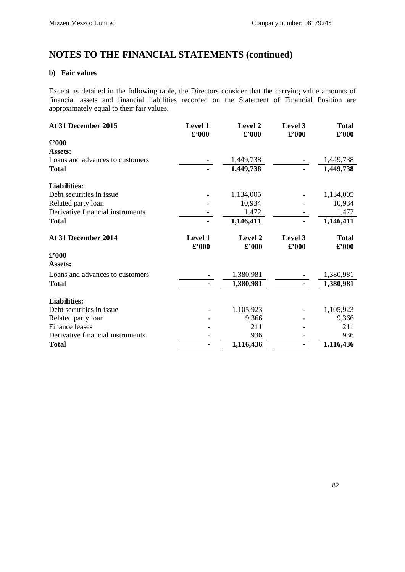## **b) Fair values**

Except as detailed in the following table, the Directors consider that the carrying value amounts of financial assets and financial liabilities recorded on the Statement of Financial Position are approximately equal to their fair values.

| At 31 December 2015               | Level 1<br>£'000          | <b>Level 2</b><br>$\pmb{\pounds}$ '000        | Level 3<br>$\pmb{\pounds}^{\pmb{\cdot}} 000$ | <b>Total</b><br>$\pounds$ '000       |
|-----------------------------------|---------------------------|-----------------------------------------------|----------------------------------------------|--------------------------------------|
| $\pmb{\pounds}^{\pmb{\cdot}} 000$ |                           |                                               |                                              |                                      |
| Assets:                           |                           |                                               |                                              |                                      |
| Loans and advances to customers   |                           | 1,449,738                                     |                                              | 1,449,738                            |
| <b>Total</b>                      |                           | 1,449,738                                     |                                              | 1,449,738                            |
| <b>Liabilities:</b>               |                           |                                               |                                              |                                      |
| Debt securities in issue          |                           | 1,134,005                                     |                                              | 1,134,005                            |
| Related party loan                |                           | 10,934                                        |                                              | 10,934                               |
| Derivative financial instruments  |                           | 1,472                                         |                                              | 1,472                                |
| <b>Total</b>                      |                           | 1,146,411                                     |                                              | 1,146,411                            |
| At 31 December 2014               | Level 1<br>$\pounds$ '000 | <b>Level 2</b><br>$\pmb{\pounds}^{\prime}000$ | Level 3<br>$\pmb{\pounds}^{\pmb{\cdot}} 000$ | <b>Total</b><br>$\pmb{\pounds}$ '000 |
| $\pounds$ '000                    |                           |                                               |                                              |                                      |
| Assets:                           |                           |                                               |                                              |                                      |
| Loans and advances to customers   |                           | 1,380,981                                     |                                              | 1,380,981                            |
| <b>Total</b>                      |                           | 1,380,981                                     |                                              | 1,380,981                            |
| <b>Liabilities:</b>               |                           |                                               |                                              |                                      |
| Debt securities in issue.         |                           | 1,105,923                                     |                                              | 1,105,923                            |
| Related party loan                |                           | 9,366                                         |                                              | 9,366                                |
| Finance leases                    |                           | 211                                           |                                              | 211                                  |
| Derivative financial instruments  |                           | 936                                           |                                              | 936                                  |
| <b>Total</b>                      |                           | 1,116,436                                     |                                              | 1,116,436                            |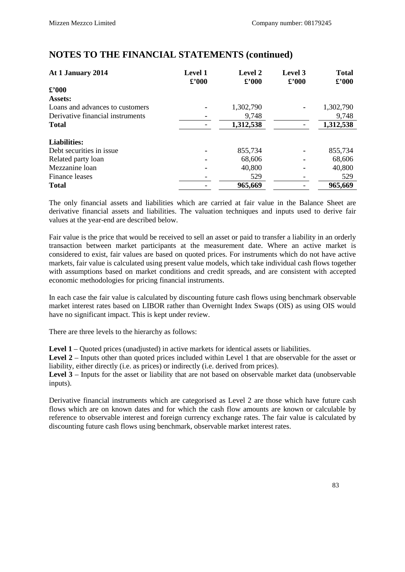| At 1 January 2014                | <b>Level 1</b><br>$\pounds$ '000 | <b>Level 2</b><br>$\pounds$ '000 | <b>Level</b> 3<br>$\pounds$ '000 | <b>Total</b><br>$\pounds$ '000 |
|----------------------------------|----------------------------------|----------------------------------|----------------------------------|--------------------------------|
| $\pounds$ '000                   |                                  |                                  |                                  |                                |
| Assets:                          |                                  |                                  |                                  |                                |
| Loans and advances to customers  |                                  | 1,302,790                        |                                  | 1,302,790                      |
| Derivative financial instruments |                                  | 9,748                            |                                  | 9,748                          |
| <b>Total</b>                     |                                  | 1,312,538                        |                                  | 1,312,538                      |
| <b>Liabilities:</b>              |                                  |                                  |                                  |                                |
| Debt securities in issue         |                                  | 855,734                          |                                  | 855,734                        |
| Related party loan               |                                  | 68,606                           |                                  | 68,606                         |
| Mezzanine loan                   |                                  | 40,800                           |                                  | 40,800                         |
| Finance leases                   |                                  | 529                              |                                  | 529                            |
| <b>Total</b>                     |                                  | 965,669                          |                                  | 965,669                        |

The only financial assets and liabilities which are carried at fair value in the Balance Sheet are derivative financial assets and liabilities. The valuation techniques and inputs used to derive fair values at the year-end are described below.

Fair value is the price that would be received to sell an asset or paid to transfer a liability in an orderly transaction between market participants at the measurement date. Where an active market is considered to exist, fair values are based on quoted prices. For instruments which do not have active markets, fair value is calculated using present value models, which take individual cash flows together with assumptions based on market conditions and credit spreads, and are consistent with accepted economic methodologies for pricing financial instruments.

In each case the fair value is calculated by discounting future cash flows using benchmark observable market interest rates based on LIBOR rather than Overnight Index Swaps (OIS) as using OIS would have no significant impact. This is kept under review.

There are three levels to the hierarchy as follows:

**Level 1** – Quoted prices (unadjusted) in active markets for identical assets or liabilities.

**Level 2** – Inputs other than quoted prices included within Level 1 that are observable for the asset or liability, either directly (i.e. as prices) or indirectly (i.e. derived from prices).

Level 3 – Inputs for the asset or liability that are not based on observable market data (unobservable inputs).

Derivative financial instruments which are categorised as Level 2 are those which have future cash flows which are on known dates and for which the cash flow amounts are known or calculable by reference to observable interest and foreign currency exchange rates. The fair value is calculated by discounting future cash flows using benchmark, observable market interest rates.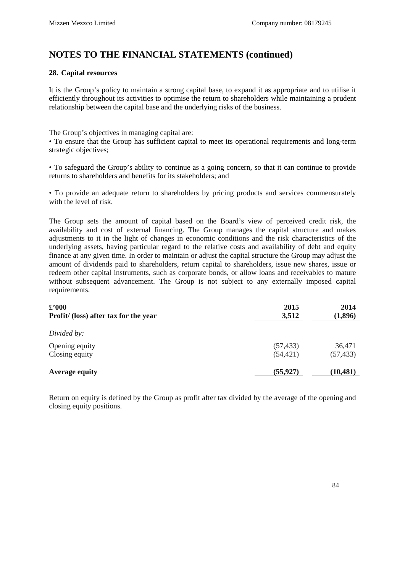### **28. Capital resources**

It is the Group's policy to maintain a strong capital base, to expand it as appropriate and to utilise it efficiently throughout its activities to optimise the return to shareholders while maintaining a prudent relationship between the capital base and the underlying risks of the business.

The Group's objectives in managing capital are:

• To ensure that the Group has sufficient capital to meet its operational requirements and long-term strategic objectives;

• To safeguard the Group's ability to continue as a going concern, so that it can continue to provide returns to shareholders and benefits for its stakeholders; and

• To provide an adequate return to shareholders by pricing products and services commensurately with the level of risk.

The Group sets the amount of capital based on the Board's view of perceived credit risk, the availability and cost of external financing. The Group manages the capital structure and makes adjustments to it in the light of changes in economic conditions and the risk characteristics of the underlying assets, having particular regard to the relative costs and availability of debt and equity finance at any given time. In order to maintain or adjust the capital structure the Group may adjust the amount of dividends paid to shareholders, return capital to shareholders, issue new shares, issue or redeem other capital instruments, such as corporate bonds, or allow loans and receivables to mature without subsequent advancement. The Group is not subject to any externally imposed capital requirements.

| $\pounds$ '000<br>Profit/ (loss) after tax for the year | 2015<br>3,512 | 2014<br>(1,896) |
|---------------------------------------------------------|---------------|-----------------|
| Divided by:                                             |               |                 |
| Opening equity                                          | (57, 433)     | 36,471          |
| Closing equity                                          | (54, 421)     | (57, 433)       |
| <b>Average equity</b>                                   | (55, 927)     | (10, 481)       |

Return on equity is defined by the Group as profit after tax divided by the average of the opening and closing equity positions.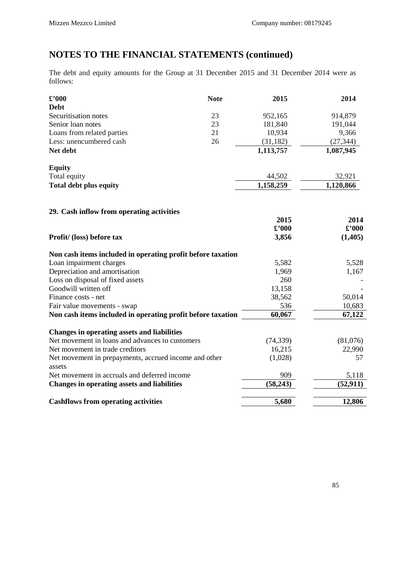The debt and equity amounts for the Group at 31 December 2015 and 31 December 2014 were as follows:

| $\pounds$ '000                                                  | <b>Note</b> | 2015           | 2014           |
|-----------------------------------------------------------------|-------------|----------------|----------------|
| <b>Debt</b>                                                     |             |                |                |
| Securitisation notes                                            | 23          | 952,165        | 914,879        |
| Senior loan notes                                               | 23          | 181,840        | 191,044        |
| Loans from related parties                                      | 21          | 10,934         | 9,366          |
| Less: unencumbered cash                                         | 26          | (31, 182)      | (27, 344)      |
| Net debt                                                        |             | 1,113,757      | 1,087,945      |
| <b>Equity</b>                                                   |             |                |                |
| Total equity                                                    |             | 44,502         | 32,921         |
| <b>Total debt plus equity</b>                                   |             | 1,158,259      | 1,120,866      |
| 29. Cash inflow from operating activities                       |             |                |                |
|                                                                 |             | 2015           | 2014           |
|                                                                 |             | $\pounds$ '000 | $\pounds$ '000 |
| Profit/ (loss) before tax                                       |             | 3,856          | (1,405)        |
| Non cash items included in operating profit before taxation     |             |                |                |
| Loan impairment charges                                         |             | 5,582          | 5,528          |
| Depreciation and amortisation                                   |             | 1,969          | 1,167          |
| Loss on disposal of fixed assets                                |             | 260            |                |
| Goodwill written off                                            |             | 13,158         |                |
| Finance costs - net                                             |             | 38,562         | 50,014         |
| Fair value movements - swap                                     |             | 536            | 10,683         |
| Non cash items included in operating profit before taxation     |             | 60,067         | 67,122         |
| <b>Changes in operating assets and liabilities</b>              |             |                |                |
| Net movement in loans and advances to customers                 |             | (74, 339)      | (81,076)       |
| Net movement in trade creditors                                 |             | 16,215         | 22,990         |
| Net movement in prepayments, accrued income and other<br>assets |             | (1,028)        | 57             |
| Net movement in accruals and deferred income                    |             | 909            | 5,118          |
| <b>Changes in operating assets and liabilities</b>              |             | (58, 243)      | (52, 911)      |
| <b>Cashflows from operating activities</b>                      |             | 5,680          | 12,806         |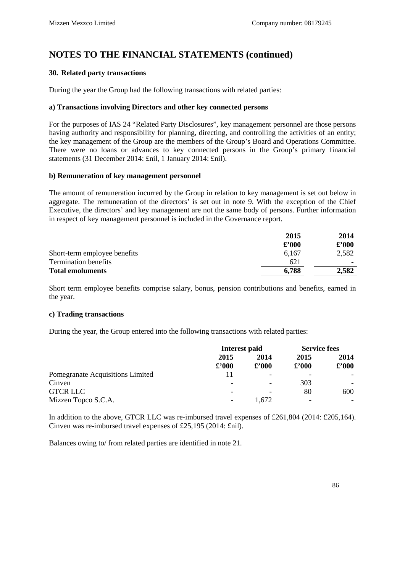## **30. Related party transactions**

During the year the Group had the following transactions with related parties:

#### **a) Transactions involving Directors and other key connected persons**

For the purposes of IAS 24 "Related Party Disclosures", key management personnel are those persons having authority and responsibility for planning, directing, and controlling the activities of an entity; the key management of the Group are the members of the Group's Board and Operations Committee. There were no loans or advances to key connected persons in the Group's primary financial statements (31 December 2014: £nil, 1 January 2014: £nil).

#### **b) Remuneration of key management personnel**

The amount of remuneration incurred by the Group in relation to key management is set out below in aggregate. The remuneration of the directors' is set out in note 9. With the exception of the Chief Executive, the directors' and key management are not the same body of persons. Further information in respect of key management personnel is included in the Governance report.

|                              | 2015           | 2014          |
|------------------------------|----------------|---------------|
|                              | $\pounds$ '000 | $\pounds 000$ |
| Short-term employee benefits | 6.167          | 2,582         |
| <b>Termination benefits</b>  | 621            |               |
| <b>Total emoluments</b>      | 6,788          | 2,582         |

Short term employee benefits comprise salary, bonus, pension contributions and benefits, earned in the year.

#### **c) Trading transactions**

During the year, the Group entered into the following transactions with related parties:

|                                  | Interest paid            |                        | <b>Service fees</b>    |                        |
|----------------------------------|--------------------------|------------------------|------------------------|------------------------|
|                                  | 2015<br>$\pounds$ '000   | 2014<br>$\pounds$ '000 | 2015<br>$\pounds$ '000 | 2014<br>$\pounds$ '000 |
| Pomegranate Acquisitions Limited |                          |                        |                        |                        |
| Cinven                           | $\overline{\phantom{a}}$ |                        | 303                    |                        |
| <b>GTCR LLC</b>                  | -                        |                        | 80                     | 600                    |
| Mizzen Topco S.C.A.              | $\overline{\phantom{a}}$ | .672                   |                        |                        |

In addition to the above, GTCR LLC was re-imbursed travel expenses of £261,804 (2014: £205,164). Cinven was re-imbursed travel expenses of £25,195 (2014: £nil).

Balances owing to/ from related parties are identified in note 21.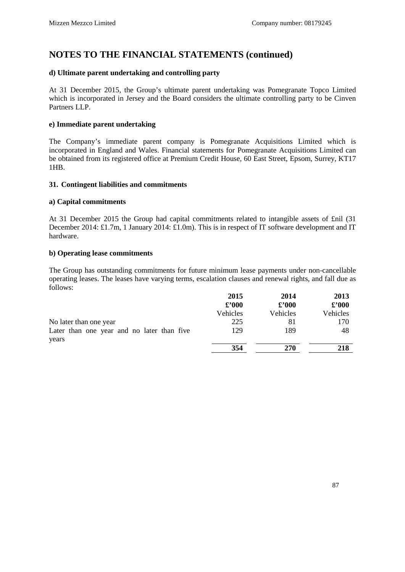### **d) Ultimate parent undertaking and controlling party**

At 31 December 2015, the Group's ultimate parent undertaking was Pomegranate Topco Limited which is incorporated in Jersey and the Board considers the ultimate controlling party to be Cinven Partners LLP.

#### **e) Immediate parent undertaking**

The Company's immediate parent company is Pomegranate Acquisitions Limited which is incorporated in England and Wales. Financial statements for Pomegranate Acquisitions Limited can be obtained from its registered office at Premium Credit House, 60 East Street, Epsom, Surrey, KT17 1HB.

#### **31. Contingent liabilities and commitments**

#### **a) Capital commitments**

At 31 December 2015 the Group had capital commitments related to intangible assets of £nil (31 December 2014: £1.7m, 1 January 2014: £1.0m). This is in respect of IT software development and IT hardware.

#### **b) Operating lease commitments**

The Group has outstanding commitments for future minimum lease payments under non-cancellable operating leases. The leases have varying terms, escalation clauses and renewal rights, and fall due as follows:

|                                                     | 2015           | 2014           | 2013           |
|-----------------------------------------------------|----------------|----------------|----------------|
|                                                     | $\pounds$ '000 | $\pounds$ '000 | $\pounds$ '000 |
|                                                     | Vehicles       | Vehicles       | Vehicles       |
| No later than one year                              | 225            | 81             | 170            |
| Later than one year and no later than five<br>years | 129            | 189            | 48             |
|                                                     | 354            | 270            | 218            |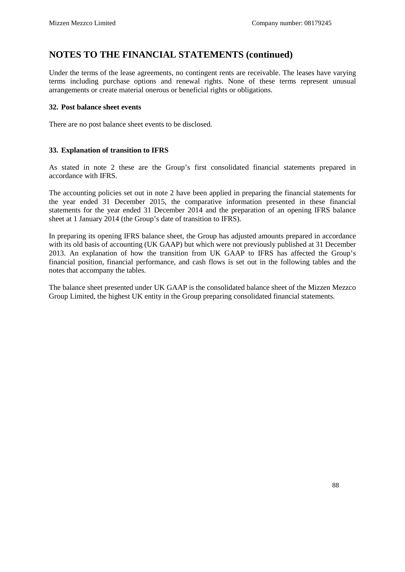Under the terms of the lease agreements, no contingent rents are receivable. The leases have varying terms including purchase options and renewal rights. None of these terms represent unusual arrangements or create material onerous or beneficial rights or obligations.

### **32. Post balance sheet events**

There are no post balance sheet events to be disclosed.

### **33. Explanation of transition to IFRS**

As stated in note 2 these are the Group's first consolidated financial statements prepared in accordance with IFRS.

The accounting policies set out in note 2 have been applied in preparing the financial statements for the year ended 31 December 2015, the comparative information presented in these financial statements for the year ended 31 December 2014 and the preparation of an opening IFRS balance sheet at 1 January 2014 (the Group's date of transition to IFRS).

In preparing its opening IFRS balance sheet, the Group has adjusted amounts prepared in accordance with its old basis of accounting (UK GAAP) but which were not previously published at 31 December 2013. An explanation of how the transition from UK GAAP to IFRS has affected the Group's financial position, financial performance, and cash flows is set out in the following tables and the notes that accompany the tables.

The balance sheet presented under UK GAAP is the consolidated balance sheet of the Mizzen Mezzco Group Limited, the highest UK entity in the Group preparing consolidated financial statements.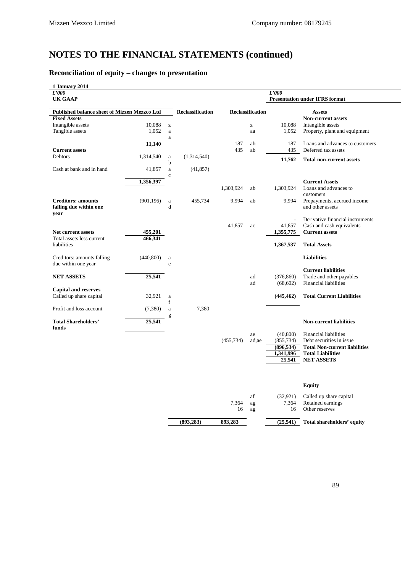# **Reconciliation of equity – changes to presentation**

| 1 January 2014                                      |                        |                         |            |                         |               |                                       |
|-----------------------------------------------------|------------------------|-------------------------|------------|-------------------------|---------------|---------------------------------------|
| $\pounds'000$                                       |                        |                         |            |                         | $\pounds'000$ |                                       |
| <b>UK GAAP</b>                                      |                        |                         |            |                         |               | <b>Presentation under IFRS format</b> |
|                                                     |                        |                         |            |                         |               |                                       |
| <b>Published balance sheet of Mizzen Mezzco Ltd</b> |                        | <b>Reclassification</b> |            | <b>Reclassification</b> |               | <b>Assets</b>                         |
| <b>Fixed Assets</b>                                 |                        |                         |            |                         |               | <b>Non-current assets</b>             |
| Intangible assets                                   | 10,088<br>$\mathbf{Z}$ |                         |            | z                       | 10,088        | Intangible assets                     |
| Tangible assets                                     | 1,052<br>$\rm{a}$      |                         |            | aa                      | 1,052         | Property, plant and equipment         |
|                                                     | $\rm{a}$               |                         |            |                         |               |                                       |
|                                                     | 11,140                 |                         | 187        | ab                      | 187           | Loans and advances to customers       |
| <b>Current assets</b>                               |                        |                         | 435        | ab                      | 435           | Deferred tax assets                   |
| Debtors                                             | 1,314,540<br>$\rm{a}$  | (1,314,540)             |            |                         | 11,762        | <b>Total non-current assets</b>       |
|                                                     | b                      |                         |            |                         |               |                                       |
| Cash at bank and in hand                            | 41,857<br>a            | (41, 857)               |            |                         |               |                                       |
|                                                     | $\mathbf c$            |                         |            |                         |               |                                       |
|                                                     | 1,356,397              |                         |            |                         |               | <b>Current Assets</b>                 |
|                                                     |                        |                         | 1,303,924  | ab                      | 1,303,924     | Loans and advances to                 |
|                                                     |                        |                         |            |                         |               | customers                             |
| <b>Creditors: amounts</b>                           | (901, 196)<br>$\rm{a}$ | 455,734                 | 9,994      | ab                      | 9,994         | Prepayments, accrued income           |
| falling due within one                              | d                      |                         |            |                         |               | and other assets                      |
| year                                                |                        |                         |            |                         |               |                                       |
|                                                     |                        |                         |            |                         |               | Derivative financial instruments      |
|                                                     |                        |                         | 41,857     | ac                      | 41,857        | Cash and cash equivalents             |
| <b>Net current assets</b>                           | 455,201                |                         |            |                         | 1,355,775     | <b>Current assets</b>                 |
| Total assets less current                           | 466,341                |                         |            |                         |               |                                       |
| liabilities                                         |                        |                         |            |                         | 1,367,537     | <b>Total Assets</b>                   |
|                                                     |                        |                         |            |                         |               |                                       |
| Creditors: amounts falling                          | (440, 800)<br>a        |                         |            |                         |               | <b>Liabilities</b>                    |
| due within one year                                 | e                      |                         |            |                         |               |                                       |
|                                                     |                        |                         |            |                         |               | <b>Current liabilities</b>            |
| <b>NET ASSETS</b>                                   | 25,541                 |                         |            | ad                      | (376, 860)    | Trade and other payables              |
|                                                     |                        |                         |            | ad                      | (68, 602)     | <b>Financial liabilities</b>          |
| <b>Capital and reserves</b>                         |                        |                         |            |                         |               |                                       |
| Called up share capital                             | 32,921<br>$\mathbf{a}$ |                         |            |                         | (445, 462)    | <b>Total Current Liabilities</b>      |
|                                                     | f                      |                         |            |                         |               |                                       |
| Profit and loss account                             | (7,380)<br>$\rm{a}$    | 7,380                   |            |                         |               |                                       |
|                                                     | g                      |                         |            |                         |               |                                       |
| <b>Total Shareholders'</b>                          | 25,541                 |                         |            |                         |               | <b>Non-current liabilities</b>        |
| funds                                               |                        |                         |            |                         |               |                                       |
|                                                     |                        |                         |            | ae                      | (40, 800)     | <b>Financial liabilities</b>          |
|                                                     |                        |                         | (455, 734) | ad, ae                  | (855, 734)    | Debt securities in issue              |
|                                                     |                        |                         |            |                         | (896, 534)    | <b>Total Non-current liabilities</b>  |
|                                                     |                        |                         |            |                         | 1,341,996     | <b>Total Liabilities</b>              |
|                                                     |                        |                         |            |                         | 25,541        | <b>NET ASSETS</b>                     |
|                                                     |                        |                         |            |                         |               |                                       |
|                                                     |                        |                         |            |                         |               |                                       |
|                                                     |                        |                         |            |                         |               | <b>Equity</b>                         |
|                                                     |                        |                         |            | af                      | (32, 921)     | Called up share capital               |
|                                                     |                        |                         | 7,364      | ag                      | 7,364         | Retained earnings                     |
|                                                     |                        |                         | 16         | ag                      | 16            | Other reserves                        |

**(893,283) 893,283 (25,541) Total shareholders' equity**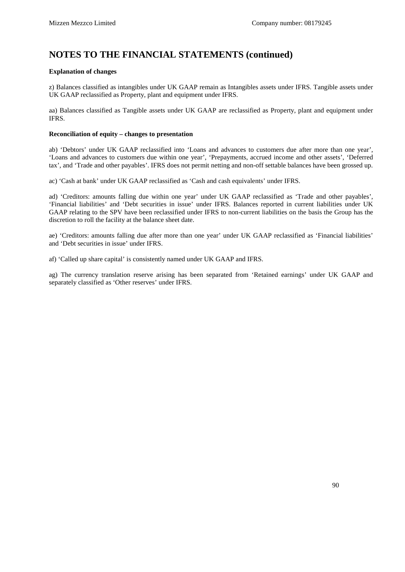#### **Explanation of changes**

z) Balances classified as intangibles under UK GAAP remain as Intangibles assets under IFRS. Tangible assets under UK GAAP reclassified as Property, plant and equipment under IFRS.

aa) Balances classified as Tangible assets under UK GAAP are reclassified as Property, plant and equipment under IFRS.

#### **Reconciliation of equity – changes to presentation**

ab) 'Debtors' under UK GAAP reclassified into 'Loans and advances to customers due after more than one year', 'Loans and advances to customers due within one year', 'Prepayments, accrued income and other assets', 'Deferred tax', and 'Trade and other payables'. IFRS does not permit netting and non-off settable balances have been grossed up.

ac) 'Cash at bank' under UK GAAP reclassified as 'Cash and cash equivalents' under IFRS.

ad) 'Creditors: amounts falling due within one year' under UK GAAP reclassified as 'Trade and other payables', 'Financial liabilities' and 'Debt securities in issue' under IFRS. Balances reported in current liabilities under UK GAAP relating to the SPV have been reclassified under IFRS to non-current liabilities on the basis the Group has the discretion to roll the facility at the balance sheet date.

ae) 'Creditors: amounts falling due after more than one year' under UK GAAP reclassified as 'Financial liabilities' and 'Debt securities in issue' under IFRS.

af) 'Called up share capital' is consistently named under UK GAAP and IFRS.

ag) The currency translation reserve arising has been separated from 'Retained earnings' under UK GAAP and separately classified as 'Other reserves' under IFRS.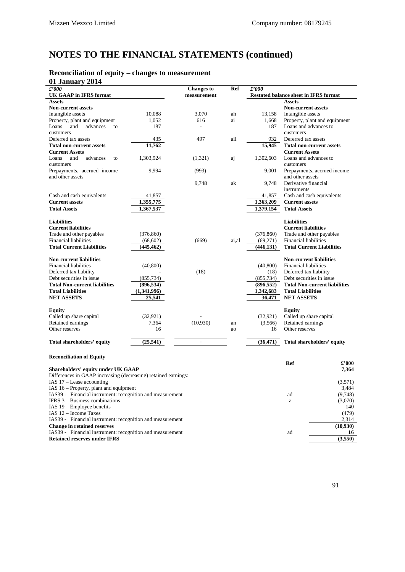# **Reconciliation of equity – changes to measurement**

| 01 January 2014                                                                                             |             |                          |       |                        |                                                       |                                      |
|-------------------------------------------------------------------------------------------------------------|-------------|--------------------------|-------|------------------------|-------------------------------------------------------|--------------------------------------|
| £'000                                                                                                       |             | <b>Changes</b> to        | Ref   | £'000                  |                                                       |                                      |
| <b>UK GAAP</b> in IFRS format                                                                               |             | measurement              |       |                        | Restated balance sheet in IFRS format                 |                                      |
| <b>Assets</b>                                                                                               |             |                          |       |                        | <b>Assets</b>                                         |                                      |
| <b>Non-current assets</b>                                                                                   |             |                          |       |                        | <b>Non-current assets</b>                             |                                      |
| Intangible assets                                                                                           | 10,088      | 3,070                    | ah    | 13,158                 | Intangible assets                                     |                                      |
| Property, plant and equipment                                                                               | 1,052       | 616                      | ai    | 1,668                  |                                                       | Property, plant and equipment        |
| and<br>advances<br>Loans<br>to                                                                              | 187         | $\overline{\phantom{a}}$ |       | 187                    | Loans and advances to                                 |                                      |
| customers                                                                                                   |             |                          |       |                        | customers                                             |                                      |
| Deferred tax assets                                                                                         | 435         | 497                      | aii   | 932                    | Deferred tax assets                                   |                                      |
| <b>Total non-current assets</b>                                                                             | 11,762      |                          |       | 15,945                 |                                                       | <b>Total non-current assets</b>      |
| <b>Current Assets</b>                                                                                       |             |                          |       |                        | <b>Current Assets</b>                                 |                                      |
| Loans<br>and<br>advances<br>to                                                                              | 1,303,924   | (1,321)                  | aj    | 1,302,603              | Loans and advances to                                 |                                      |
| customers                                                                                                   |             |                          |       |                        | customers                                             |                                      |
| Prepayments, accrued income                                                                                 | 9,994       | (993)                    |       | 9,001                  | and other assets                                      | Prepayments, accrued income          |
| and other assets                                                                                            |             |                          |       |                        | Derivative financial                                  |                                      |
|                                                                                                             |             | 9,748                    | ak    | 9,748                  |                                                       |                                      |
|                                                                                                             | 41,857      |                          |       | 41,857                 | instruments                                           | Cash and cash equivalents            |
| Cash and cash equivalents<br><b>Current assets</b>                                                          |             |                          |       |                        | <b>Current assets</b>                                 |                                      |
|                                                                                                             | 1,355,775   |                          |       | 1,363,209              | <b>Total Assets</b>                                   |                                      |
| <b>Total Assets</b>                                                                                         | 1,367,537   |                          |       | 1,379,154              |                                                       |                                      |
|                                                                                                             |             |                          |       |                        | <b>Liabilities</b>                                    |                                      |
| <b>Liabilities</b><br><b>Current liabilities</b>                                                            |             |                          |       |                        | <b>Current liabilities</b>                            |                                      |
| Trade and other payables                                                                                    | (376, 860)  |                          |       | (376, 860)             | Trade and other payables                              |                                      |
| <b>Financial liabilities</b>                                                                                | (68, 602)   |                          |       |                        | <b>Financial liabilities</b>                          |                                      |
| <b>Total Current Liabilities</b>                                                                            |             | (669)                    | ai,al | (69,271)<br>(446, 131) |                                                       | <b>Total Current Liabilities</b>     |
|                                                                                                             | (445, 462)  |                          |       |                        |                                                       |                                      |
| <b>Non-current liabilities</b>                                                                              |             |                          |       |                        | <b>Non-current liabilities</b>                        |                                      |
| <b>Financial liabilities</b>                                                                                | (40, 800)   |                          |       | (40, 800)              | <b>Financial liabilities</b>                          |                                      |
| Deferred tax liability                                                                                      |             | (18)                     |       | (18)                   | Deferred tax liability                                |                                      |
| Debt securities in issue                                                                                    | (855, 734)  |                          |       | (855, 734)             | Debt securities in issue                              |                                      |
| <b>Total Non-current liabilities</b>                                                                        | (896, 534)  |                          |       | (896, 552)             |                                                       | <b>Total Non-current liabilities</b> |
| <b>Total Liabilities</b>                                                                                    | (1,341,996) |                          |       | 1,342,683              | <b>Total Liabilities</b>                              |                                      |
| <b>NET ASSETS</b>                                                                                           | 25,541      |                          |       | 36,471                 |                                                       |                                      |
|                                                                                                             |             |                          |       |                        | <b>NET ASSETS</b>                                     |                                      |
| Equity                                                                                                      |             |                          |       |                        | <b>Equity</b>                                         |                                      |
| Called up share capital                                                                                     | (32, 921)   |                          |       | (32, 921)              | Called up share capital                               |                                      |
| Retained earnings                                                                                           | 7,364       | (10,930)                 | an    | (3,566)                | Retained earnings                                     |                                      |
| Other reserves                                                                                              | 16          |                          | ao    | 16                     | Other reserves                                        |                                      |
|                                                                                                             |             |                          |       |                        |                                                       |                                      |
| Total shareholders' equity                                                                                  | (25,541)    | $\mathbb{L}$             |       | (36, 471)              |                                                       | Total shareholders' equity           |
|                                                                                                             |             |                          |       |                        |                                                       |                                      |
|                                                                                                             |             |                          |       |                        |                                                       |                                      |
| <b>Reconciliation of Equity</b>                                                                             |             |                          |       |                        |                                                       |                                      |
|                                                                                                             |             |                          |       |                        | <b>Ref</b>                                            | $\pounds 000$                        |
| <b>Shareholders' equity under UK GAAP</b><br>Differences in GAAP increasing (decreasing) retained earnings: |             |                          |       |                        |                                                       | 7,364                                |
| IAS 17 - Lease accounting                                                                                   |             |                          |       |                        |                                                       |                                      |
| IAS 16 - Property, plant and equipment                                                                      |             |                          |       |                        |                                                       | (3,571)                              |
|                                                                                                             |             |                          |       |                        |                                                       | 3,484                                |
| IAS39 - Financial instrument: recognition and measurement<br><b>IFRS 3 – Business combinations</b>          |             |                          |       |                        | ad                                                    | (9,748)                              |
|                                                                                                             |             |                          |       |                        | $\mathbf{Z}% ^{T}=\mathbf{Z}^{T}\times\mathbf{Z}^{T}$ | (3,070)                              |
| IAS 19 – Employee benefits                                                                                  |             |                          |       |                        |                                                       | 140                                  |
| IAS 12 - Income Taxes                                                                                       |             |                          |       |                        |                                                       | (479)                                |
| IAS39 - Financial instrument: recognition and measurement                                                   |             |                          |       |                        |                                                       | 2,314                                |
| <b>Change in retained reserves</b>                                                                          |             |                          |       |                        |                                                       | (10,930)                             |
| IAS39 - Financial instrument: recognition and measurement                                                   |             |                          |       |                        | ad                                                    | 16                                   |
| <b>Retained reserves under IFRS</b>                                                                         |             |                          |       |                        |                                                       | (3,550)                              |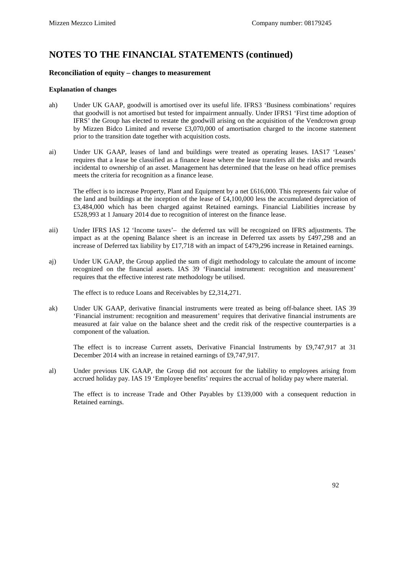#### **Reconciliation of equity – changes to measurement**

#### **Explanation of changes**

- ah) Under UK GAAP, goodwill is amortised over its useful life. IFRS3 'Business combinations' requires that goodwill is not amortised but tested for impairment annually. Under IFRS1 'First time adoption of IFRS' the Group has elected to restate the goodwill arising on the acquisition of the Vendcrown group by Mizzen Bidco Limited and reverse £3,070,000 of amortisation charged to the income statement prior to the transition date together with acquisition costs.
- ai) Under UK GAAP, leases of land and buildings were treated as operating leases. IAS17 'Leases' requires that a lease be classified as a finance lease where the lease transfers all the risks and rewards incidental to ownership of an asset. Management has determined that the lease on head office premises meets the criteria for recognition as a finance lease.

The effect is to increase Property, Plant and Equipment by a net £616,000. This represents fair value of the land and buildings at the inception of the lease of £4,100,000 less the accumulated depreciation of £3,484,000 which has been charged against Retained earnings. Financial Liabilities increase by £528,993 at 1 January 2014 due to recognition of interest on the finance lease.

- aii) Under IFRS IAS 12 'Income taxes'– the deferred tax will be recognized on IFRS adjustments. The impact as at the opening Balance sheet is an increase in Deferred tax assets by £497,298 and an increase of Deferred tax liability by £17,718 with an impact of £479,296 increase in Retained earnings.
- aj) Under UK GAAP, the Group applied the sum of digit methodology to calculate the amount of income recognized on the financial assets. IAS 39 'Financial instrument: recognition and measurement' requires that the effective interest rate methodology be utilised.

The effect is to reduce Loans and Receivables by £2,314,271.

ak) Under UK GAAP, derivative financial instruments were treated as being off-balance sheet. IAS 39 'Financial instrument: recognition and measurement' requires that derivative financial instruments are measured at fair value on the balance sheet and the credit risk of the respective counterparties is a component of the valuation.

The effect is to increase Current assets, Derivative Financial Instruments by £9,747,917 at 31 December 2014 with an increase in retained earnings of £9,747,917.

al) Under previous UK GAAP, the Group did not account for the liability to employees arising from accrued holiday pay. IAS 19 'Employee benefits' requires the accrual of holiday pay where material.

The effect is to increase Trade and Other Payables by £139,000 with a consequent reduction in Retained earnings.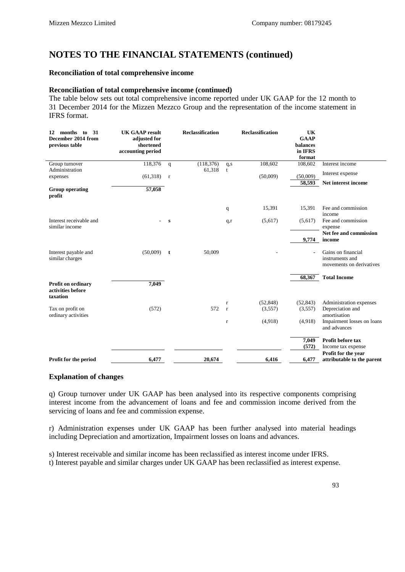#### **Reconciliation of total comprehensive income**

#### **Reconciliation of total comprehensive income (continued)**

The table below sets out total comprehensive income reported under UK GAAP for the 12 month to 31 December 2014 for the Mizzen Mezzco Group and the representation of the income statement in IFRS format.

| months to<br>31<br>12<br>December 2014 from<br>previous table | <b>UK GAAP result</b><br>adjusted for<br>shortened<br>accounting period |              | <b>Reclassification</b> |              | <b>Reclassification</b> | UK<br><b>GAAP</b><br>balances<br>in IFRS<br>format |                                                                   |
|---------------------------------------------------------------|-------------------------------------------------------------------------|--------------|-------------------------|--------------|-------------------------|----------------------------------------------------|-------------------------------------------------------------------|
| Group turnover                                                | 118,376                                                                 | $\mathbf q$  | (118, 376)              | q,s          | 108,602                 | 108,602                                            | Interest income                                                   |
| Administration                                                |                                                                         |              | 61,318                  | t            |                         |                                                    | Interest expense                                                  |
| expenses                                                      | (61,318)                                                                | $\mathbf{r}$ |                         |              | (50,009)                | (50,009)                                           |                                                                   |
|                                                               |                                                                         |              |                         |              |                         | 58,593                                             | Net interest income                                               |
| <b>Group operating</b><br>profit                              | 57,058                                                                  |              |                         |              |                         |                                                    |                                                                   |
|                                                               |                                                                         |              |                         | q            | 15,391                  | 15,391                                             | Fee and commission<br>income                                      |
| Interest receivable and<br>similar income                     |                                                                         | s            |                         | q,r          | (5,617)                 | (5,617)                                            | Fee and commission<br>expense                                     |
|                                                               |                                                                         |              |                         |              |                         | 9,774                                              | Net fee and commission<br>income                                  |
| Interest payable and<br>similar charges                       | (50,009)                                                                | t            | 50,009                  |              |                         |                                                    | Gains on financial<br>instruments and<br>movements on derivatives |
|                                                               |                                                                         |              |                         |              |                         | 68,367                                             | <b>Total Income</b>                                               |
| <b>Profit on ordinary</b><br>activities before<br>taxation    | 7,049                                                                   |              |                         |              |                         |                                                    |                                                                   |
|                                                               |                                                                         |              |                         | $\mathbf r$  | (52, 848)               | (52, 843)                                          | Administration expenses                                           |
| Tax on profit on<br>ordinary activities                       | (572)                                                                   |              | 572                     | $\mathbf{r}$ | (3,557)                 | (3,557)                                            | Depreciation and<br>amortisation                                  |
|                                                               |                                                                         |              |                         | $\bf r$      | (4,918)                 | (4,918)                                            | Impairment losses on loans<br>and advances                        |
|                                                               |                                                                         |              |                         |              |                         | 7,049                                              | Profit before tax                                                 |
|                                                               |                                                                         |              |                         |              |                         | (572)                                              | Income tax expense                                                |
| Profit for the period                                         | 6,477                                                                   |              | 20,674                  |              | 6,416                   | 6,477                                              | Profit for the year<br>attributable to the parent                 |

#### **Explanation of changes**

q) Group turnover under UK GAAP has been analysed into its respective components comprising interest income from the advancement of loans and fee and commission income derived from the servicing of loans and fee and commission expense.

r) Administration expenses under UK GAAP has been further analysed into material headings including Depreciation and amortization, Impairment losses on loans and advances.

s) Interest receivable and similar income has been reclassified as interest income under IFRS.

t) Interest payable and similar charges under UK GAAP has been reclassified as interest expense.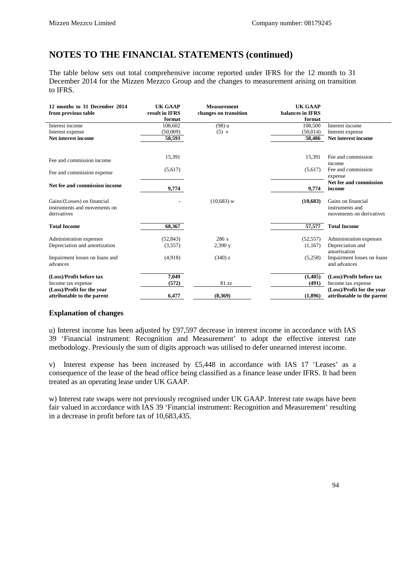The table below sets out total comprehensive income reported under IFRS for the 12 month to 31 December 2014 for the Mizzen Mezzco Group and the changes to measurement arising on transition to IFRS.

| 12 months to 31 December 2014<br>from previous table | <b>UK GAAP</b><br>result in IFRS<br>format | <b>Measurement</b><br>changes on transition | <b>UK GAAP</b><br>balances in IFRS<br>format |                            |
|------------------------------------------------------|--------------------------------------------|---------------------------------------------|----------------------------------------------|----------------------------|
| Interest income                                      | 108,602                                    | (98) u                                      | 108,500                                      | Interest income            |
| Interest expense                                     | (50,009)                                   | $(5)$ v                                     | (50, 014)                                    | Interest expense           |
| Net interest income                                  | 58,593                                     |                                             | 58,486                                       | Net interest income        |
|                                                      |                                            |                                             |                                              |                            |
| Fee and commission income                            | 15,391                                     |                                             | 15,391                                       | Fee and commission         |
|                                                      |                                            |                                             |                                              | income                     |
| Fee and commission expense                           | (5,617)                                    |                                             | (5,617)                                      | Fee and commission         |
|                                                      |                                            |                                             |                                              | expense                    |
| Net fee and commission income                        |                                            |                                             |                                              | Net fee and commission     |
|                                                      | 9,774                                      |                                             | 9,774                                        | income                     |
| Gains/(Losses) on financial                          |                                            | $(10,683)$ w                                | (10,683)                                     | Gains on financial         |
| instruments and movements on                         |                                            |                                             |                                              | instruments and            |
| derivatives                                          |                                            |                                             |                                              | movements on derivatives   |
| <b>Total Income</b>                                  | 68,367                                     |                                             | 57,577                                       | <b>Total Income</b>        |
| Administration expenses                              | (52, 843)                                  | 286 x                                       | (52, 557)                                    | Administration expenses    |
| Depreciation and amortization                        | (3,557)                                    | 2,390 y                                     | (1,167)                                      | Depreciation and           |
|                                                      |                                            |                                             |                                              | amortisation               |
| Impairment losses on loans and                       | (4,918)                                    | $(340)$ z                                   | (5,258)                                      | Impairment losses on loans |
| advances                                             |                                            |                                             |                                              | and advances               |
| (Loss)/Profit before tax                             | 7,049                                      |                                             | (1,405)                                      | (Loss)/Profit before tax   |
| Income tax expense                                   | (572)                                      | 81 zz                                       | (491)                                        | Income tax expense         |
| (Loss)/Profit for the year                           |                                            |                                             |                                              | (Loss)/Profit for the year |
| attributable to the parent                           | 6,477                                      | (8.369)                                     | (1,896)                                      | attributable to the parent |

### **Explanation of changes**

u) Interest income has been adjusted by £97,597 decrease in interest income in accordance with IAS 39 'Financial instrument: Recognition and Measurement' to adopt the effective interest rate methodology. Previously the sum of digits approach was utilised to defer unearned interest income.

v) Interest expense has been increased by £5,448 in accordance with IAS 17 'Leases' as a consequence of the lease of the head office being classified as a finance lease under IFRS. It had been treated as an operating lease under UK GAAP.

w) Interest rate swaps were not previously recognised under UK GAAP. Interest rate swaps have been fair valued in accordance with IAS 39 'Financial instrument: Recognition and Measurement' resulting in a decrease in profit before tax of 10,683,435.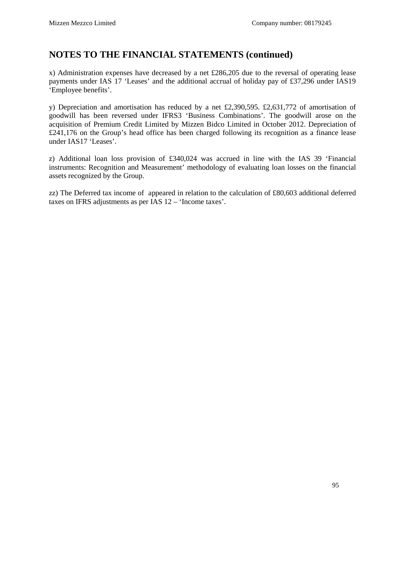x) Administration expenses have decreased by a net £286,205 due to the reversal of operating lease payments under IAS 17 'Leases' and the additional accrual of holiday pay of £37,296 under IAS19 'Employee benefits'.

y) Depreciation and amortisation has reduced by a net £2,390,595. £2,631,772 of amortisation of goodwill has been reversed under IFRS3 'Business Combinations'. The goodwill arose on the acquisition of Premium Credit Limited by Mizzen Bidco Limited in October 2012. Depreciation of £241,176 on the Group's head office has been charged following its recognition as a finance lease under IAS17 'Leases'.

z) Additional loan loss provision of £340,024 was accrued in line with the IAS 39 'Financial instruments: Recognition and Measurement' methodology of evaluating loan losses on the financial assets recognized by the Group.

zz) The Deferred tax income of appeared in relation to the calculation of £80,603 additional deferred taxes on IFRS adjustments as per IAS 12 – 'Income taxes'.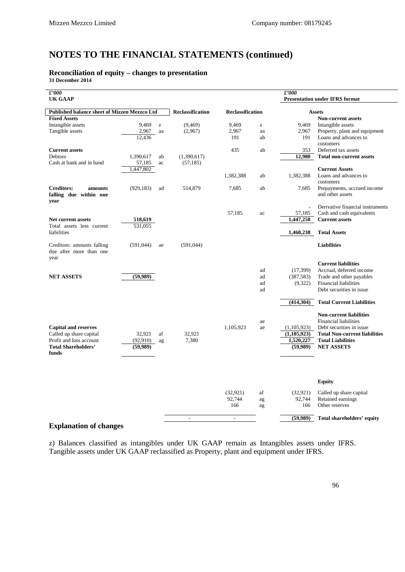# **Reconciliation of equity – changes to presentation**

**31 December 2014**

| f'000                                                  |            |                                                       |                         |                         |    | f'000                        |                                                          |
|--------------------------------------------------------|------------|-------------------------------------------------------|-------------------------|-------------------------|----|------------------------------|----------------------------------------------------------|
| <b>UK GAAP</b>                                         |            |                                                       |                         |                         |    |                              | <b>Presentation under IFRS format</b>                    |
| Published balance sheet of Mizzen Mezzco Ltd           |            |                                                       | <b>Reclassification</b> | <b>Reclassification</b> |    |                              | <b>Assets</b>                                            |
| <b>Fixed Assets</b>                                    |            |                                                       |                         |                         |    |                              | <b>Non-current assets</b>                                |
| Intangible assets                                      | 9,469      | $\mathbf{Z}% ^{T}=\mathbf{Z}^{T}\times\mathbf{Z}^{T}$ | (9, 469)                | 9,469                   | z  | 9,469                        | Intangible assets                                        |
| Tangible assets                                        | 2,967      | aa                                                    | (2,967)                 | 2,967                   | aa | 2,967                        | Property, plant and equipment                            |
|                                                        | 12,436     |                                                       |                         | 191                     | ab | 191                          | Loans and advances to                                    |
|                                                        |            |                                                       |                         |                         |    |                              | customers                                                |
| <b>Current assets</b>                                  |            |                                                       |                         | 435                     | ab | 353                          | Deferred tax assets                                      |
| Debtors                                                | 1,390,617  | ab                                                    | (1,390,617)             |                         |    | 12,980                       | <b>Total non-current assets</b>                          |
| Cash at bank and in hand                               | 57,185     | ac                                                    | (57, 185)               |                         |    |                              |                                                          |
|                                                        | 1,447,802  |                                                       |                         |                         |    |                              | <b>Current Assets</b>                                    |
|                                                        |            |                                                       |                         | 1,382,388               | ab | 1,382,388                    | Loans and advances to                                    |
|                                                        |            |                                                       |                         |                         |    |                              | customers                                                |
| <b>Creditors:</b><br>amounts<br>falling due within one | (929, 183) | ad                                                    | 514,879                 | 7,685                   | ab | 7,685                        | Prepayments, accrued income<br>and other assets          |
| year                                                   |            |                                                       |                         |                         |    |                              |                                                          |
|                                                        |            |                                                       |                         |                         |    | L.                           | Derivative financial instruments                         |
|                                                        |            |                                                       |                         | 57,185                  | ac | 57,185                       | Cash and cash equivalents                                |
| <b>Net current assets</b>                              | 518,619    |                                                       |                         |                         |    | 1,447,258                    | <b>Current assets</b>                                    |
| Total assets less current                              | 531,055    |                                                       |                         |                         |    |                              |                                                          |
| liabilities                                            |            |                                                       |                         |                         |    | 1,460,238                    | <b>Total Assets</b>                                      |
| Creditors: amounts falling                             | (591,044)  | ae                                                    | (591,044)               |                         |    |                              | <b>Liabilities</b>                                       |
| due after more than one                                |            |                                                       |                         |                         |    |                              |                                                          |
| year                                                   |            |                                                       |                         |                         |    |                              |                                                          |
|                                                        |            |                                                       |                         |                         |    |                              | <b>Current liabilities</b>                               |
|                                                        |            |                                                       |                         |                         | ad | (17, 399)                    | Accrual, deferred income                                 |
| <b>NET ASSETS</b>                                      | (59, 989)  |                                                       |                         |                         | ad | (387, 583)                   | Trade and other payables                                 |
|                                                        |            |                                                       |                         |                         | ad | (9,322)                      | <b>Financial liabilities</b>                             |
|                                                        |            |                                                       |                         |                         | ad |                              | Debt securities in issue                                 |
|                                                        |            |                                                       |                         |                         |    | (414, 304)                   | <b>Total Current Liabilities</b>                         |
|                                                        |            |                                                       |                         |                         |    |                              |                                                          |
|                                                        |            |                                                       |                         |                         |    |                              | <b>Non-current liabilities</b>                           |
|                                                        |            |                                                       |                         |                         | ae |                              | <b>Financial liabilities</b><br>Debt securities in issue |
| <b>Capital and reserves</b><br>Called up share capital | 32,921     | af                                                    | 32,921                  | 1,105,923               | ae | (1,105,923)<br>(1, 105, 923) | <b>Total Non-current liabilities</b>                     |
| Profit and loss account                                | (92, 910)  | ag                                                    | 7,380                   |                         |    | 1,520,227                    | <b>Total Liabilities</b>                                 |
| <b>Total Shareholders'</b>                             | (59,989)   |                                                       |                         |                         |    | (59,989)                     | <b>NET ASSETS</b>                                        |
| funds                                                  |            |                                                       |                         |                         |    |                              |                                                          |
|                                                        |            |                                                       |                         |                         |    |                              |                                                          |
|                                                        |            |                                                       |                         |                         |    |                              |                                                          |
|                                                        |            |                                                       |                         |                         |    |                              |                                                          |
|                                                        |            |                                                       |                         |                         |    |                              | <b>Equity</b>                                            |
|                                                        |            |                                                       |                         | (32, 921)               | af | (32, 921)                    | Called up share capital                                  |
|                                                        |            |                                                       |                         | 92,744                  | ag | 92,744                       | Retained earnings                                        |
|                                                        |            |                                                       |                         | 166                     | ag | 166                          | Other reserves                                           |
|                                                        |            |                                                       | $\overline{a}$          | $\overline{a}$          |    | (59,989)                     | Total shareholders' equity                               |

### **Explanation of changes**

z) Balances classified as intangibles under UK GAAP remain as Intangibles assets under IFRS. Tangible assets under UK GAAP reclassified as Property, plant and equipment under IFRS.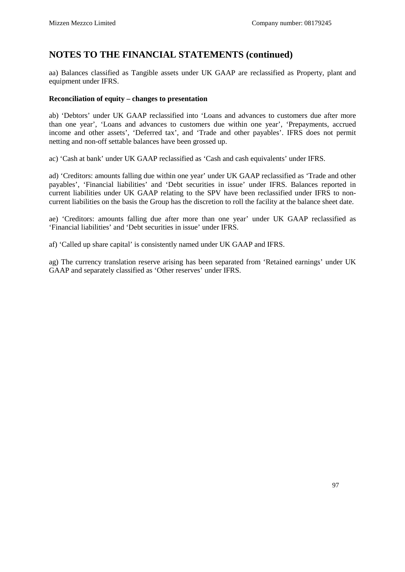aa) Balances classified as Tangible assets under UK GAAP are reclassified as Property, plant and equipment under IFRS.

### **Reconciliation of equity – changes to presentation**

ab) 'Debtors' under UK GAAP reclassified into 'Loans and advances to customers due after more than one year', 'Loans and advances to customers due within one year', 'Prepayments, accrued income and other assets', 'Deferred tax', and 'Trade and other payables'. IFRS does not permit netting and non-off settable balances have been grossed up.

ac) 'Cash at bank' under UK GAAP reclassified as 'Cash and cash equivalents' under IFRS.

ad) 'Creditors: amounts falling due within one year' under UK GAAP reclassified as 'Trade and other payables', 'Financial liabilities' and 'Debt securities in issue' under IFRS. Balances reported in current liabilities under UK GAAP relating to the SPV have been reclassified under IFRS to noncurrent liabilities on the basis the Group has the discretion to roll the facility at the balance sheet date.

ae) 'Creditors: amounts falling due after more than one year' under UK GAAP reclassified as 'Financial liabilities' and 'Debt securities in issue' under IFRS.

af) 'Called up share capital' is consistently named under UK GAAP and IFRS.

ag) The currency translation reserve arising has been separated from 'Retained earnings' under UK GAAP and separately classified as 'Other reserves' under IFRS.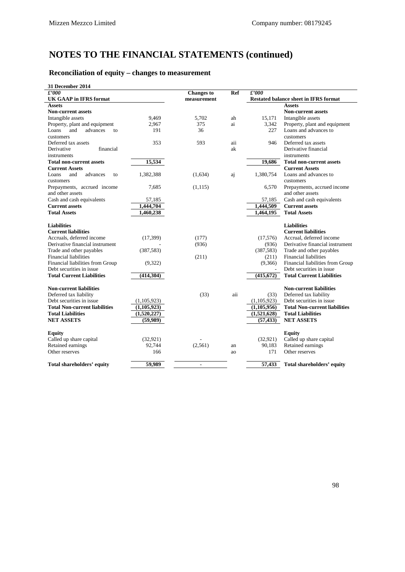# **Reconciliation of equity – changes to measurement**

| 31 December 2014                     |               |                          |            |             |                                              |
|--------------------------------------|---------------|--------------------------|------------|-------------|----------------------------------------------|
| £'000                                |               | <b>Changes</b> to        | <b>Ref</b> | £'000       |                                              |
| <b>UK GAAP</b> in IFRS format        |               |                          |            |             | <b>Restated balance sheet in IFRS format</b> |
| <b>Assets</b>                        |               |                          |            |             | <b>Assets</b>                                |
| <b>Non-current assets</b>            |               |                          |            |             | <b>Non-current assets</b>                    |
| Intangible assets                    | 9,469         | 5.702                    | ah         | 15.171      | Intangible assets                            |
| Property, plant and equipment        | 2.967         | 375                      | ai         | 3.342       | Property, plant and equipment                |
| Loans<br>and<br>advances<br>to       | 191           | 36                       |            | 227         | Loans and advances to                        |
| customers                            |               |                          |            |             | customers                                    |
| Deferred tax assets                  | 353           | 593                      | aii        | 946         | Deferred tax assets                          |
| financial<br>Derivative              |               |                          | ak         |             | Derivative financial                         |
| instruments                          |               |                          |            |             | instruments                                  |
| <b>Total non-current assets</b>      | 15,534        |                          |            | 19,686      | <b>Total non-current assets</b>              |
| <b>Current Assets</b>                |               |                          |            |             | <b>Current Assets</b>                        |
| and<br>advances<br>Loans<br>to       | 1,382,388     | (1,634)                  | aj         | 1,380,754   | Loans and advances to                        |
| customers                            |               |                          |            |             | customers                                    |
| Prepayments, accrued income          | 7,685         | (1, 115)                 |            | 6,570       | Prepayments, accrued income                  |
| and other assets                     |               |                          |            |             | and other assets                             |
| Cash and cash equivalents            | 57,185        |                          |            | 57,185      | Cash and cash equivalents                    |
| <b>Current assets</b>                | 1,444,704     |                          |            | 1,444,509   | <b>Current assets</b>                        |
| <b>Total Assets</b>                  | 1,460,238     |                          |            | 1,464,195   | <b>Total Assets</b>                          |
|                                      |               |                          |            |             |                                              |
| <b>Liabilities</b>                   |               |                          |            |             | <b>Liabilities</b>                           |
| <b>Current liabilities</b>           |               |                          |            |             | <b>Current liabilities</b>                   |
| Accruals, deferred income            | (17, 399)     | (177)                    |            | (17,576)    | Accrual, deferred income                     |
| Derivative financial instrument      |               | (936)                    |            | (936)       | Derivative financial instrument              |
| Trade and other payables             | (387, 583)    |                          |            | (387, 583)  | Trade and other payables                     |
| Financial liabilities                |               | (211)                    |            | (211)       | <b>Financial liabilities</b>                 |
| Financial liabilities from Group     | (9,322)       |                          |            | (9,366)     | Financial liabilities from Group             |
| Debt securities in issue             |               |                          |            |             | Debt securities in issue                     |
| <b>Total Current Liabilities</b>     | (414, 304)    |                          |            | (415,672)   | <b>Total Current Liabilities</b>             |
|                                      |               |                          |            |             |                                              |
| <b>Non-current liabilities</b>       |               |                          |            |             | <b>Non-current liabilities</b>               |
| Deferred tax liability               |               | (33)                     | aii        | (33)        | Deferred tax liability                       |
| Debt securities in issue             | (1,105,923)   |                          |            | (1,105,923) | Debt securities in issue                     |
| <b>Total Non-current liabilities</b> | (1, 105, 923) |                          |            | (1,105,956) | <b>Total Non-current liabilities</b>         |
| <b>Total Liabilities</b>             | (1,520,227)   |                          |            | (1,521,628) | <b>Total Liabilities</b>                     |
| <b>NET ASSETS</b>                    | (59,989)      |                          |            | (57, 433)   | <b>NET ASSETS</b>                            |
|                                      |               |                          |            |             |                                              |
| <b>Equity</b>                        |               |                          |            |             | <b>Equity</b>                                |
| Called up share capital              | (32, 921)     |                          |            | (32, 921)   | Called up share capital                      |
| Retained earnings                    | 92,744        | (2, 561)                 | an         | 90,183      | Retained earnings                            |
| Other reserves                       | 166           |                          | ao         | 171         | Other reserves                               |
|                                      |               |                          |            |             |                                              |
| Total shareholders' equity           | 59,989        | $\overline{\phantom{a}}$ |            | 57,433      | Total shareholders' equity                   |
|                                      |               |                          |            |             |                                              |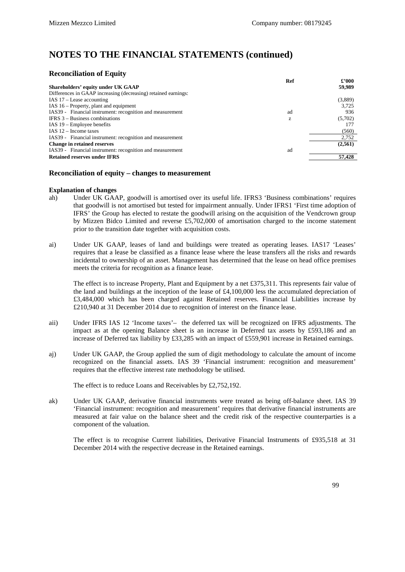### **Reconciliation of Equity**

| Ref                                                             | £2000   |
|-----------------------------------------------------------------|---------|
| Shareholders' equity under UK GAAP                              | 59,989  |
| Differences in GAAP increasing (decreasing) retained earnings:  |         |
| IAS $17$ – Lease accounting                                     | (3,889) |
| IAS $16$ – Property, plant and equipment                        | 3.725   |
| IAS39 - Financial instrument: recognition and measurement<br>ad | 936     |
| <b>IFRS</b> $3 - Business$ combinations<br>z                    | (5,702) |
| IAS $19$ – Employee benefits                                    | 177     |
| IAS $12$ – Income taxes                                         | (560)   |
| IAS39 - Financial instrument: recognition and measurement       | 2,752   |
| <b>Change in retained reserves</b>                              | (2,561) |
| IAS39 - Financial instrument: recognition and measurement<br>ad |         |
| <b>Retained reserves under IFRS</b>                             | 57,428  |

#### **Reconciliation of equity – changes to measurement**

#### **Explanation of changes**

- ah) Under UK GAAP, goodwill is amortised over its useful life. IFRS3 'Business combinations' requires that goodwill is not amortised but tested for impairment annually. Under IFRS1 'First time adoption of IFRS' the Group has elected to restate the goodwill arising on the acquisition of the Vendcrown group by Mizzen Bidco Limited and reverse £5,702,000 of amortisation charged to the income statement prior to the transition date together with acquisition costs.
- ai) Under UK GAAP, leases of land and buildings were treated as operating leases. IAS17 'Leases' requires that a lease be classified as a finance lease where the lease transfers all the risks and rewards incidental to ownership of an asset. Management has determined that the lease on head office premises meets the criteria for recognition as a finance lease.

The effect is to increase Property, Plant and Equipment by a net £375,311. This represents fair value of the land and buildings at the inception of the lease of £4,100,000 less the accumulated depreciation of £3,484,000 which has been charged against Retained reserves. Financial Liabilities increase by £210,940 at 31 December 2014 due to recognition of interest on the finance lease.

- aii) Under IFRS IAS 12 'Income taxes'– the deferred tax will be recognized on IFRS adjustments. The impact as at the opening Balance sheet is an increase in Deferred tax assets by £593,186 and an increase of Deferred tax liability by £33,285 with an impact of £559,901 increase in Retained earnings.
- aj) Under UK GAAP, the Group applied the sum of digit methodology to calculate the amount of income recognized on the financial assets. IAS 39 'Financial instrument: recognition and measurement' requires that the effective interest rate methodology be utilised.

The effect is to reduce Loans and Receivables by £2,752,192.

ak) Under UK GAAP, derivative financial instruments were treated as being off-balance sheet. IAS 39 'Financial instrument: recognition and measurement' requires that derivative financial instruments are measured at fair value on the balance sheet and the credit risk of the respective counterparties is a component of the valuation.

The effect is to recognise Current liabilities, Derivative Financial Instruments of £935,518 at 31 December 2014 with the respective decrease in the Retained earnings.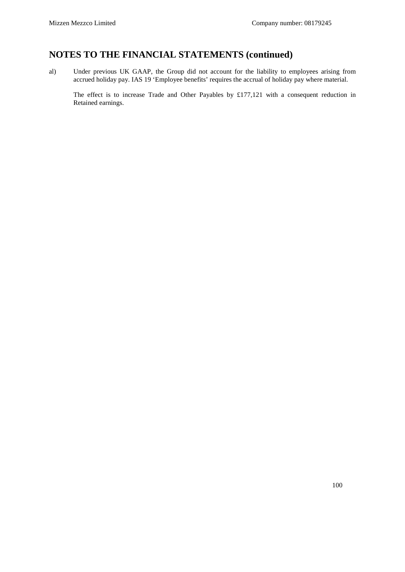al) Under previous UK GAAP, the Group did not account for the liability to employees arising from accrued holiday pay. IAS 19 'Employee benefits' requires the accrual of holiday pay where material.

The effect is to increase Trade and Other Payables by £177,121 with a consequent reduction in Retained earnings.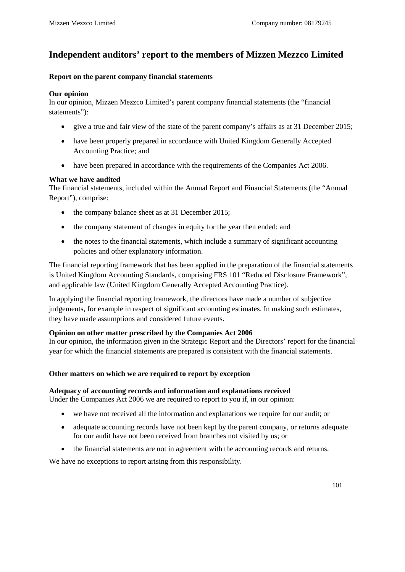# **Independent auditors' report to the members of Mizzen Mezzco Limited**

### **Report on the parent company financial statements**

### **Our opinion**

In our opinion, Mizzen Mezzco Limited's parent company financial statements (the "financial statements"):

- give a true and fair view of the state of the parent company's affairs as at 31 December 2015;
- have been properly prepared in accordance with United Kingdom Generally Accepted Accounting Practice; and
- have been prepared in accordance with the requirements of the Companies Act 2006.

### **What we have audited**

The financial statements, included within the Annual Report and Financial Statements (the "Annual Report"), comprise:

- the company balance sheet as at 31 December 2015;
- the company statement of changes in equity for the year then ended; and
- the notes to the financial statements, which include a summary of significant accounting policies and other explanatory information.

The financial reporting framework that has been applied in the preparation of the financial statements is United Kingdom Accounting Standards, comprising FRS 101 "Reduced Disclosure Framework", and applicable law (United Kingdom Generally Accepted Accounting Practice).

In applying the financial reporting framework, the directors have made a number of subjective judgements, for example in respect of significant accounting estimates. In making such estimates, they have made assumptions and considered future events.

### **Opinion on other matter prescribed by the Companies Act 2006**

In our opinion, the information given in the Strategic Report and the Directors' report for the financial year for which the financial statements are prepared is consistent with the financial statements.

## **Other matters on which we are required to report by exception**

### **Adequacy of accounting records and information and explanations received**

Under the Companies Act 2006 we are required to report to you if, in our opinion:

- we have not received all the information and explanations we require for our audit; or
- adequate accounting records have not been kept by the parent company, or returns adequate for our audit have not been received from branches not visited by us; or
- the financial statements are not in agreement with the accounting records and returns.

We have no exceptions to report arising from this responsibility.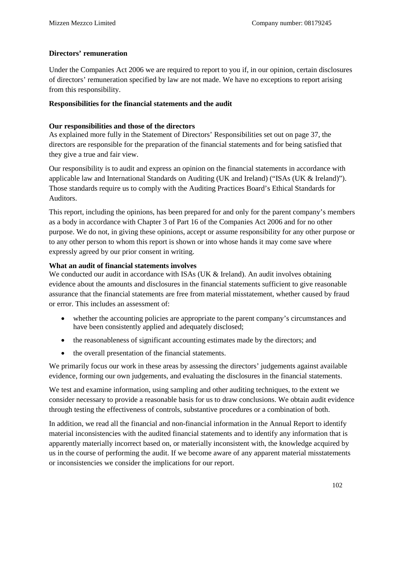## **Directors' remuneration**

Under the Companies Act 2006 we are required to report to you if, in our opinion, certain disclosures of directors' remuneration specified by law are not made. We have no exceptions to report arising from this responsibility.

### **Responsibilities for the financial statements and the audit**

### **Our responsibilities and those of the directors**

As explained more fully in the Statement of Directors' Responsibilities set out on page 37, the directors are responsible for the preparation of the financial statements and for being satisfied that they give a true and fair view.

Our responsibility is to audit and express an opinion on the financial statements in accordance with applicable law and International Standards on Auditing (UK and Ireland) ("ISAs (UK & Ireland)"). Those standards require us to comply with the Auditing Practices Board's Ethical Standards for Auditors.

This report, including the opinions, has been prepared for and only for the parent company's members as a body in accordance with Chapter 3 of Part 16 of the Companies Act 2006 and for no other purpose. We do not, in giving these opinions, accept or assume responsibility for any other purpose or to any other person to whom this report is shown or into whose hands it may come save where expressly agreed by our prior consent in writing.

### **What an audit of financial statements involves**

We conducted our audit in accordance with ISAs (UK & Ireland). An audit involves obtaining evidence about the amounts and disclosures in the financial statements sufficient to give reasonable assurance that the financial statements are free from material misstatement, whether caused by fraud or error. This includes an assessment of:

- whether the accounting policies are appropriate to the parent company's circumstances and have been consistently applied and adequately disclosed;
- the reasonableness of significant accounting estimates made by the directors; and
- the overall presentation of the financial statements.

We primarily focus our work in these areas by assessing the directors' judgements against available evidence, forming our own judgements, and evaluating the disclosures in the financial statements.

We test and examine information, using sampling and other auditing techniques, to the extent we consider necessary to provide a reasonable basis for us to draw conclusions. We obtain audit evidence through testing the effectiveness of controls, substantive procedures or a combination of both.

In addition, we read all the financial and non-financial information in the Annual Report to identify material inconsistencies with the audited financial statements and to identify any information that is apparently materially incorrect based on, or materially inconsistent with, the knowledge acquired by us in the course of performing the audit. If we become aware of any apparent material misstatements or inconsistencies we consider the implications for our report.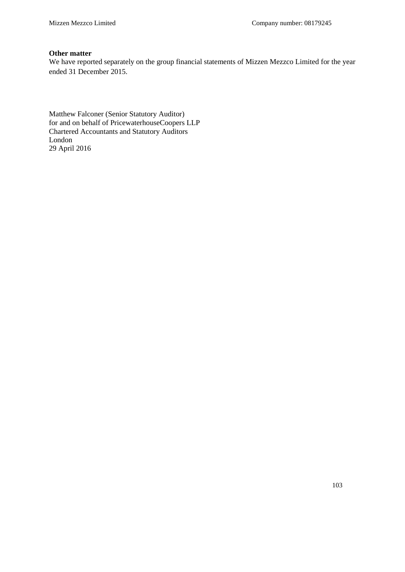#### **Other matter**

We have reported separately on the group financial statements of Mizzen Mezzco Limited for the year ended 31 December 2015.

Matthew Falconer (Senior Statutory Auditor) for and on behalf of PricewaterhouseCoopers LLP Chartered Accountants and Statutory Auditors London 29 April 2016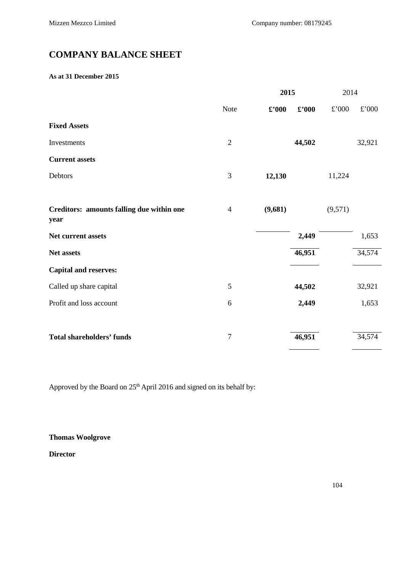# **COMPANY BALANCE SHEET**

#### **As at 31 December 2015**

|                                                   |                | 2015           |                             | 2014          |               |
|---------------------------------------------------|----------------|----------------|-----------------------------|---------------|---------------|
|                                                   | Note           | $\pounds$ '000 | $\pmb{\pounds}^{\prime}000$ | $\pounds$ 000 | $\pounds$ 000 |
| <b>Fixed Assets</b>                               |                |                |                             |               |               |
| Investments                                       | $\overline{2}$ |                | 44,502                      |               | 32,921        |
| <b>Current assets</b>                             |                |                |                             |               |               |
| Debtors                                           | 3              | 12,130         |                             | 11,224        |               |
|                                                   |                |                |                             |               |               |
| Creditors: amounts falling due within one<br>year | $\overline{4}$ | (9,681)        |                             | (9,571)       |               |
| Net current assets                                |                |                | 2,449                       |               | 1,653         |
| Net assets                                        |                |                | 46,951                      |               | 34,574        |
| <b>Capital and reserves:</b>                      |                |                |                             |               |               |
| Called up share capital                           | $\mathfrak{S}$ |                | 44,502                      |               | 32,921        |
| Profit and loss account                           | 6              |                | 2,449                       |               | 1,653         |
|                                                   |                |                |                             |               |               |
| <b>Total shareholders' funds</b>                  | $\overline{7}$ |                | 46,951                      |               | 34,574        |
|                                                   |                |                |                             |               |               |

Approved by the Board on 25<sup>th</sup> April 2016 and signed on its behalf by:

## **Thomas Woolgrove**

**Director**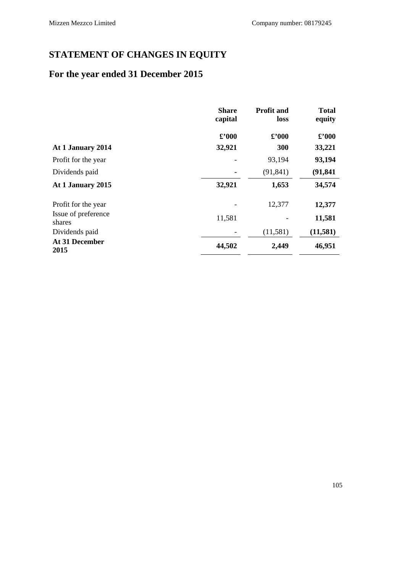# **STATEMENT OF CHANGES IN EQUITY**

# **For the year ended 31 December 2015**

|                               | <b>Share</b><br>capital | <b>Profit and</b><br>loss         | <b>Total</b><br>equity |
|-------------------------------|-------------------------|-----------------------------------|------------------------|
|                               | $\pounds$ '000          | $\pmb{\pounds}^{\pmb{\cdot}} 000$ | $\pounds$ '000         |
| At 1 January 2014             | 32,921                  | 300                               | 33,221                 |
| Profit for the year           |                         | 93,194                            | 93,194                 |
| Dividends paid                |                         | (91, 841)                         | (91, 841)              |
| At 1 January 2015             | 32,921                  | 1,653                             | 34,574                 |
| Profit for the year           |                         | 12,377                            | 12,377                 |
| Issue of preference<br>shares | 11,581                  |                                   | 11,581                 |
| Dividends paid                |                         | (11,581)                          | (11,581)               |
| At 31 December<br>2015        | 44,502                  | 2,449                             | 46,951                 |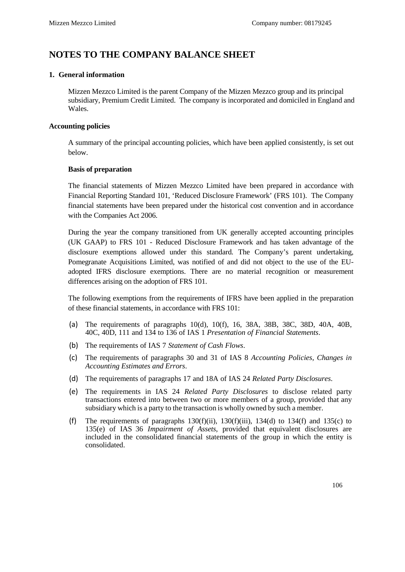# **NOTES TO THE COMPANY BALANCE SHEET**

### **1. General information**

Mizzen Mezzco Limited is the parent Company of the Mizzen Mezzco group and its principal subsidiary, Premium Credit Limited. The company is incorporated and domiciled in England and Wales.

### **Accounting policies**

A summary of the principal accounting policies, which have been applied consistently, is set out below.

### **Basis of preparation**

The financial statements of Mizzen Mezzco Limited have been prepared in accordance with Financial Reporting Standard 101, 'Reduced Disclosure Framework' (FRS 101). The Company financial statements have been prepared under the historical cost convention and in accordance with the Companies Act 2006.

During the year the company transitioned from UK generally accepted accounting principles (UK GAAP) to FRS 101 - Reduced Disclosure Framework and has taken advantage of the disclosure exemptions allowed under this standard. The Company's parent undertaking, Pomegranate Acquisitions Limited, was notified of and did not object to the use of the EUadopted IFRS disclosure exemptions. There are no material recognition or measurement differences arising on the adoption of FRS 101.

The following exemptions from the requirements of IFRS have been applied in the preparation of these financial statements, in accordance with FRS 101:

- (a) The requirements of paragraphs 10(d), 10(f), 16, 38A, 38B, 38C, 38D, 40A, 40B, 40C, 40D, 111 and 134 to 136 of IAS 1 *Presentation of Financial Statements*.
- (b) The requirements of IAS 7 *Statement of Cash Flows*.
- (c) The requirements of paragraphs 30 and 31 of IAS 8 *Accounting Policies, Changes in Accounting Estimates and Errors*.
- (d) The requirements of paragraphs 17 and 18A of IAS 24 *Related Party Disclosures*.
- (e) The requirements in IAS 24 *Related Party Disclosures* to disclose related party transactions entered into between two or more members of a group, provided that any subsidiary which is a party to the transaction is wholly owned by such a member.
- (f) The requirements of paragraphs  $130(f)(ii)$ ,  $130(f)(iii)$ ,  $134(d)$  to  $134(f)$  and  $135(c)$  to 135(e) of IAS 36 *Impairment of Assets*, provided that equivalent disclosures are included in the consolidated financial statements of the group in which the entity is consolidated.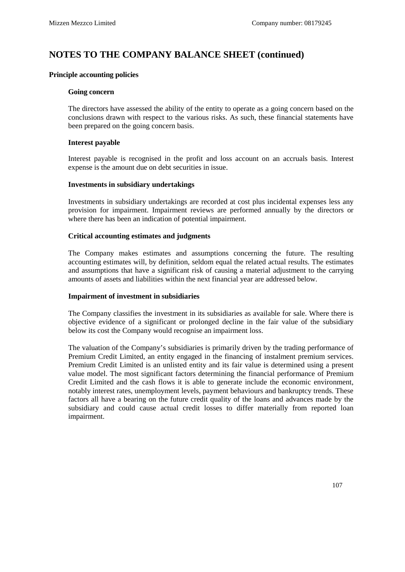# **NOTES TO THE COMPANY BALANCE SHEET (continued)**

#### **Principle accounting policies**

#### **Going concern**

The directors have assessed the ability of the entity to operate as a going concern based on the conclusions drawn with respect to the various risks. As such, these financial statements have been prepared on the going concern basis.

#### **Interest payable**

Interest payable is recognised in the profit and loss account on an accruals basis. Interest expense is the amount due on debt securities in issue.

#### **Investments in subsidiary undertakings**

Investments in subsidiary undertakings are recorded at cost plus incidental expenses less any provision for impairment. Impairment reviews are performed annually by the directors or where there has been an indication of potential impairment.

#### **Critical accounting estimates and judgments**

The Company makes estimates and assumptions concerning the future. The resulting accounting estimates will, by definition, seldom equal the related actual results. The estimates and assumptions that have a significant risk of causing a material adjustment to the carrying amounts of assets and liabilities within the next financial year are addressed below.

#### **Impairment of investment in subsidiaries**

The Company classifies the investment in its subsidiaries as available for sale. Where there is objective evidence of a significant or prolonged decline in the fair value of the subsidiary below its cost the Company would recognise an impairment loss.

The valuation of the Company's subsidiaries is primarily driven by the trading performance of Premium Credit Limited, an entity engaged in the financing of instalment premium services. Premium Credit Limited is an unlisted entity and its fair value is determined using a present value model. The most significant factors determining the financial performance of Premium Credit Limited and the cash flows it is able to generate include the economic environment, notably interest rates, unemployment levels, payment behaviours and bankruptcy trends. These factors all have a bearing on the future credit quality of the loans and advances made by the subsidiary and could cause actual credit losses to differ materially from reported loan impairment.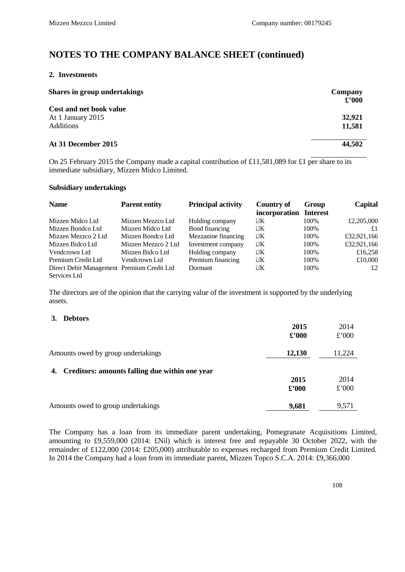# **NOTES TO THE COMPANY BALANCE SHEET (continued)**

#### **2. Investments**

| <b>Shares in group undertakings</b>                              | Company<br>$\pounds$ '000 |
|------------------------------------------------------------------|---------------------------|
| Cost and net book value<br>At 1 January 2015<br><b>Additions</b> | 32,921<br>11,581          |
| At 31 December 2015                                              | 44,502                    |

On 25 February 2015 the Company made a capital contribution of £11,581,089 for £1 per share to its immediate subsidiary, Mizzen Midco Limited.

#### **Subsidiary undertakings**

| <b>Name</b>                                | <b>Parent entity</b> | <b>Principal activity</b> | <b>Country of</b><br>incorporation | Group<br><b>Interest</b> | Capital     |
|--------------------------------------------|----------------------|---------------------------|------------------------------------|--------------------------|-------------|
| Mizzen Midco Ltd                           | Mizzen Mezzco Ltd    | Holding company           | UK                                 | 100%                     | £2,205,000  |
| Mizzen Bondco Ltd                          | Mizzen Midco Ltd     | Bond financing            | UK                                 | 100%                     | £1          |
| Mizzen Mezzco 2 Ltd                        | Mizzen Bondco Ltd    | Mezzanine financing       | UK                                 | 100%                     | £32,921,166 |
| Mizzen Bidco Ltd                           | Mizzen Mezzco 2 Ltd  | Investment company        | UK                                 | 100%                     | £32,921,166 |
| Vendcrown Ltd                              | Mizzen Bidco Ltd     | Holding company           | UK                                 | 100%                     | £16,258     |
| Premium Credit Ltd                         | Vendcrown Ltd        | Premium financing         | UK                                 | 100%                     | £10,000     |
| Direct Debit Management Premium Credit Ltd |                      | Dormant                   | UK                                 | 100%                     | £2          |
| Services Ltd                               |                      |                           |                                    |                          |             |

The directors are of the opinion that the carrying value of the investment is supported by the underlying assets.

#### **3. Debtors**

|                                                   | 2015           | 2014   |
|---------------------------------------------------|----------------|--------|
|                                                   | $\pounds$ '000 | £'000  |
| Amounts owed by group undertakings                | 12,130         | 11,224 |
| 4. Creditors: amounts falling due within one year |                |        |
|                                                   | 2015           | 2014   |
|                                                   | $\pounds$ '000 | £'000  |
| Amounts owed to group undertakings                | 9,681          | 9,571  |

The Company has a loan from its immediate parent undertaking, Pomegranate Acquisitions Limited, amounting to £9,559,000 (2014: £Nil) which is interest free and repayable 30 October 2022, with the remainder of £122,000 (2014: £205,000) attributable to expenses recharged from Premium Credit Limited. In 2014 the Company had a loan from its immediate parent, Mizzen Topco S.C.A. 2014: £9,366,000